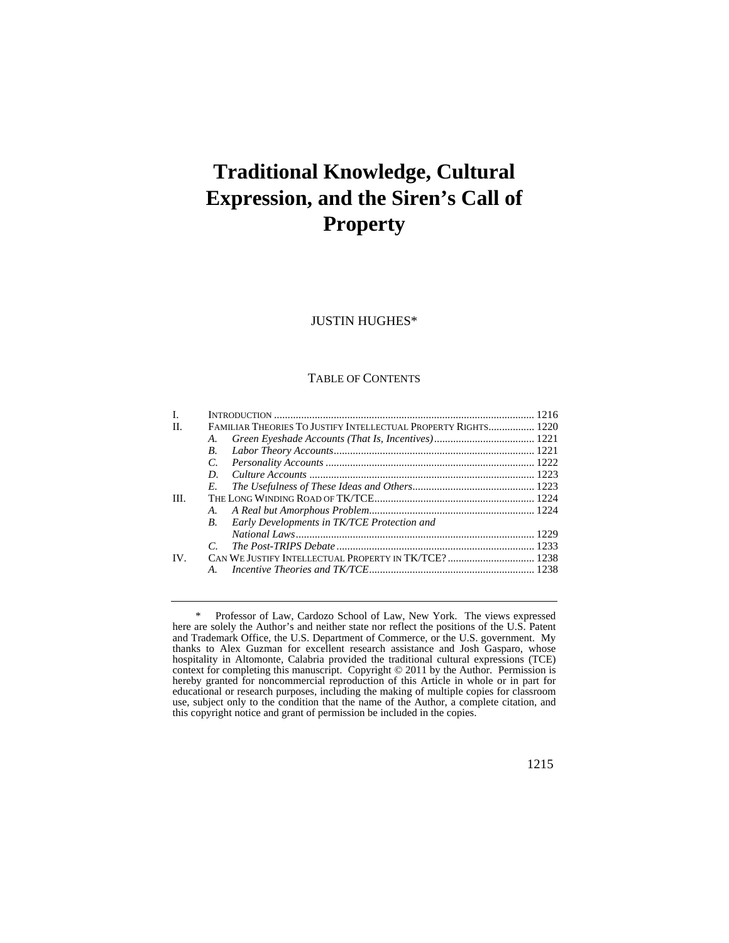# **Traditional Knowledge, Cultural Expression, and the Siren's Call of Property**

# JUSTIN HUGHES\*

## TABLE OF CONTENTS

| L    |                                                                |                                             |  |
|------|----------------------------------------------------------------|---------------------------------------------|--|
| H.   | FAMILIAR THEORIES TO JUSTIFY INTELLECTUAL PROPERTY RIGHTS 1220 |                                             |  |
|      | A.                                                             |                                             |  |
|      | B.                                                             |                                             |  |
|      | $C_{\cdot}$                                                    |                                             |  |
|      | D.                                                             |                                             |  |
|      | E.                                                             |                                             |  |
| III. |                                                                |                                             |  |
|      |                                                                |                                             |  |
|      | B.                                                             | Early Developments in TK/TCE Protection and |  |
|      |                                                                |                                             |  |
|      |                                                                |                                             |  |
| IV.  |                                                                |                                             |  |
|      | $A_{\cdot}$                                                    |                                             |  |
|      |                                                                |                                             |  |

<sup>\*</sup> Professor of Law, Cardozo School of Law, New York. The views expressed here are solely the Author's and neither state nor reflect the positions of the U.S. Patent and Trademark Office, the U.S. Department of Commerce, or the U.S. government. My thanks to Alex Guzman for excellent research assistance and Josh Gasparo, whose hospitality in Altomonte, Calabria provided the traditional cultural expressions (TCE) context for completing this manuscript. Copyright © 2011 by the Author. Permission is hereby granted for noncommercial reproduction of this Article in whole or in part for educational or research purposes, including the making of multiple copies for classroom use, subject only to the condition that the name of the Author, a complete citation, and this copyright notice and grant of permission be included in the copies.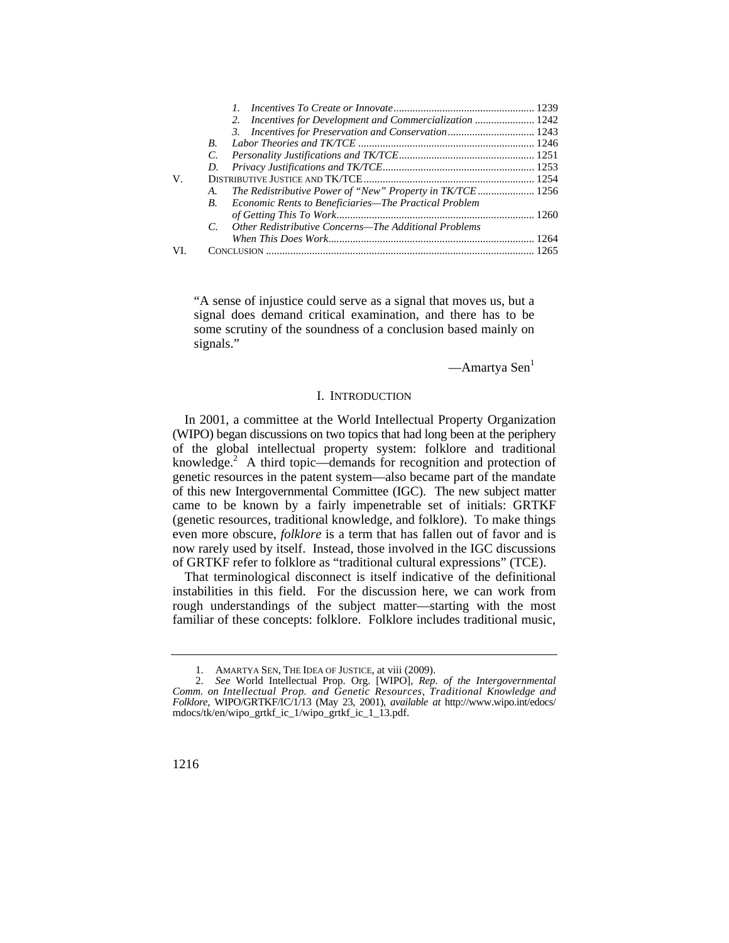|     |             | 2.                                                        |  |
|-----|-------------|-----------------------------------------------------------|--|
|     |             |                                                           |  |
|     | $R_{\cdot}$ |                                                           |  |
|     | C.          |                                                           |  |
|     | D.          |                                                           |  |
| V.  |             |                                                           |  |
|     | A.          | The Redistributive Power of "New" Property in TK/TCE 1256 |  |
|     | $B_{\cdot}$ | Economic Rents to Beneficiaries—The Practical Problem     |  |
|     |             |                                                           |  |
|     | $C_{\cdot}$ | Other Redistributive Concerns—The Additional Problems     |  |
|     |             |                                                           |  |
| VI. |             |                                                           |  |

"A sense of injustice could serve as a signal that moves us, but a signal does demand critical examination, and there has to be some scrutiny of the soundness of a conclusion based mainly on signals."

 $—A$ martya Sen<sup>1</sup>

# I. INTRODUCTION

knowledge. $^{2}$  A third topic—demands for recognition and protection of In 2001, a committee at the World Intellectual Property Organization (WIPO) began discussions on two topics that had long been at the periphery of the global intellectual property system: folklore and traditional genetic resources in the patent system—also became part of the mandate of this new Intergovernmental Committee (IGC). The new subject matter came to be known by a fairly impenetrable set of initials: GRTKF (genetic resources, traditional knowledge, and folklore). To make things even more obscure, *folklore* is a term that has fallen out of favor and is now rarely used by itself. Instead, those involved in the IGC discussions of GRTKF refer to folklore as "traditional cultural expressions" (TCE).

That terminological disconnect is itself indicative of the definitional instabilities in this field. For the discussion here, we can work from rough understandings of the subject matter—starting with the most familiar of these concepts: folklore. Folklore includes traditional music,

<sup>1.</sup> AMARTYA SEN, THE IDEA OF JUSTICE, at viii (2009).

<sup>2.</sup> *See* World Intellectual Prop. Org. [WIPO], *Rep. of the Intergovernmental Comm. on Intellectual Prop. and Genetic Resources, Traditional Knowledge and Folklore*, WIPO/GRTKF/IC/1/13 (May 23, 2001), *available at* [http://www.wipo.int/edocs/](http://www.wipo.int/edocs) mdocs/tk/en/wipo\_grtkf\_ic\_1/wipo\_grtkf\_ic\_1\_13.pdf.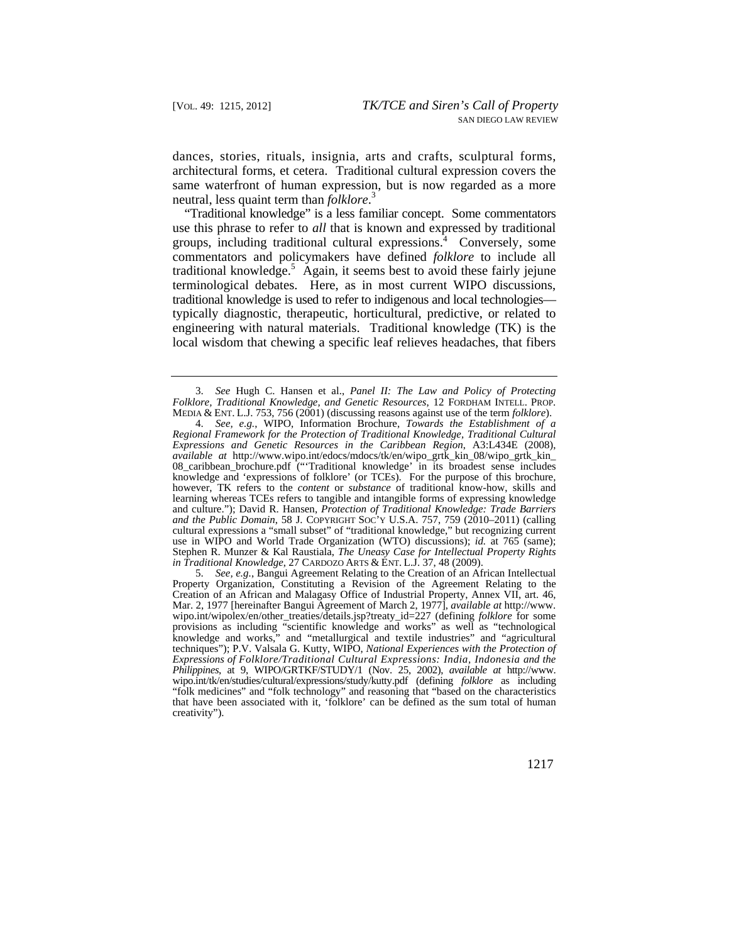dances, stories, rituals, insignia, arts and crafts, sculptural forms, architectural forms, et cetera. Traditional cultural expression covers the same waterfront of human expression, but is now regarded as a more neutral, less quaint term than *folklore*. 3

"Traditional knowledge" is a less familiar concept. Some commentators use this phrase to refer to *all* that is known and expressed by traditional groups, including traditional cultural expressions.<sup>4</sup> Conversely, some commentators and policymakers have defined *folklore* to include all traditional knowledge.<sup>5</sup> Again, it seems best to avoid these fairly jejune terminological debates. Here, as in most current WIPO discussions, traditional knowledge is used to refer to indigenous and local technologies typically diagnostic, therapeutic, horticultural, predictive, or related to engineering with natural materials. Traditional knowledge (TK) is the local wisdom that chewing a specific leaf relieves headaches, that fibers

 MEDIA & ENT. L.J. 753, 756 (2001) (discussing reasons against use of the term *folklore*). 3. *See* Hugh C. Hansen et al., *Panel II: The Law and Policy of Protecting Folklore, Traditional Knowledge, and Genetic Resources*, 12 FORDHAM INTELL. PROP.

 *in Traditional Knowledge*, 27 CARDOZO ARTS & ENT. L.J. 37, 48 (2009). 4. *See, e.g.*, WIPO, Information Brochure, *Towards the Establishment of a Regional Framework for the Protection of Traditional Knowledge, Traditional Cultural Expressions and Genetic Resources in the Caribbean Region*, A3:L434E (2008), *available at* [http://www.wipo.int/edocs/mdocs/tk/en/wipo\\_grtk\\_kin\\_08/wipo\\_grtk\\_kin\\_](http://www.wipo.int/edocs/mdocs/tk/en/wipo_grtk_kin_08/wipo_grtk_kin) 08\_caribbean\_brochure.pdf ("'Traditional knowledge' in its broadest sense includes knowledge and 'expressions of folklore' (or TCEs). For the purpose of this brochure, however, TK refers to the *content* or *substance* of traditional know-how, skills and learning whereas TCEs refers to tangible and intangible forms of expressing knowledge and culture."); David R. Hansen, *Protection of Traditional Knowledge: Trade Barriers and the Public Domain*, 58 J. COPYRIGHT SOC'Y U.S.A. 757, 759 (2010–2011) (calling cultural expressions a "small subset" of "traditional knowledge," but recognizing current use in WIPO and World Trade Organization (WTO) discussions); *id.* at 765 (same); Stephen R. Munzer & Kal Raustiala, *The Uneasy Case for Intellectual Property Rights* 

 wipo.int/tk/en/studies/cultural/expressions/study/kutty.pdf (defining *folklore* as including 5. *See, e.g.*, Bangui Agreement Relating to the Creation of an African Intellectual Property Organization, Constituting a Revision of the Agreement Relating to the Creation of an African and Malagasy Office of Industrial Property, Annex VII, art. 46, Mar. 2, 1977 [hereinafter Bangui Agreement of March 2, 1977], *available at* [http://www.](http://www) wipo.int/wipolex/en/other\_treaties/details.jsp?treaty\_id=227 (defining *folklore* for some provisions as including "scientific knowledge and works" as well as "technological knowledge and works," and "metallurgical and textile industries" and "agricultural techniques"); P.V. Valsala G. Kutty, WIPO, *National Experiences with the Protection of Expressions of Folklore/Traditional Cultural Expressions: India, Indonesia and the Philippines*, at 9, WIPO/GRTKF/STUDY/1 (Nov. 25, 2002), *available at* [http://www.](http://www) "folk medicines" and "folk technology" and reasoning that "based on the characteristics that have been associated with it, 'folklore' can be defined as the sum total of human creativity").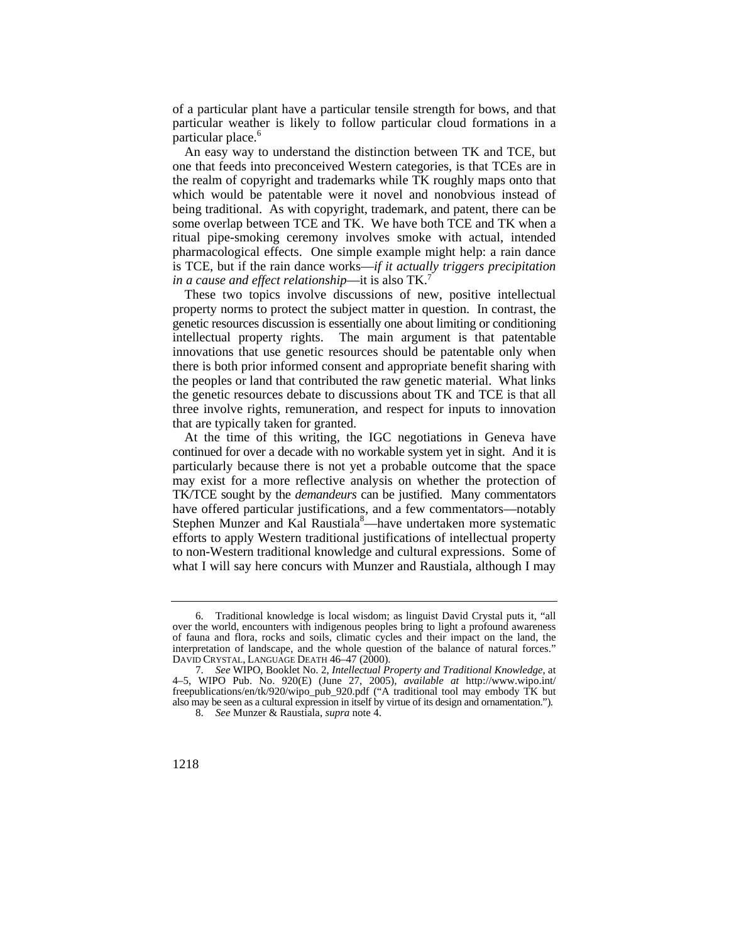of a particular plant have a particular tensile strength for bows, and that particular weather is likely to follow particular cloud formations in a particular place.<sup>6</sup>

An easy way to understand the distinction between TK and TCE, but one that feeds into preconceived Western categories, is that TCEs are in the realm of copyright and trademarks while TK roughly maps onto that which would be patentable were it novel and nonobvious instead of being traditional. As with copyright, trademark, and patent, there can be some overlap between TCE and TK. We have both TCE and TK when a ritual pipe-smoking ceremony involves smoke with actual, intended pharmacological effects. One simple example might help: a rain dance is TCE, but if the rain dance works—*if it actually triggers precipitation in a cause and effect relationship*—it is also TK.7

These two topics involve discussions of new, positive intellectual property norms to protect the subject matter in question. In contrast, the genetic resources discussion is essentially one about limiting or conditioning intellectual property rights. The main argument is that patentable innovations that use genetic resources should be patentable only when there is both prior informed consent and appropriate benefit sharing with the peoples or land that contributed the raw genetic material. What links the genetic resources debate to discussions about TK and TCE is that all three involve rights, remuneration, and respect for inputs to innovation that are typically taken for granted.

 what I will say here concurs with Munzer and Raustiala, although I may At the time of this writing, the IGC negotiations in Geneva have continued for over a decade with no workable system yet in sight. And it is particularly because there is not yet a probable outcome that the space may exist for a more reflective analysis on whether the protection of TK/TCE sought by the *demandeurs* can be justified. Many commentators have offered particular justifications, and a few commentators—notably Stephen Munzer and Kal Raustiala<sup>8</sup>—have undertaken more systematic efforts to apply Western traditional justifications of intellectual property to non-Western traditional knowledge and cultural expressions. Some of

<sup>6.</sup> Traditional knowledge is local wisdom; as linguist David Crystal puts it, "all over the world, encounters with indigenous peoples bring to light a profound awareness of fauna and flora, rocks and soils, climatic cycles and their impact on the land, the interpretation of landscape, and the whole question of the balance of natural forces." DAVID CRYSTAL, LANGUAGE DEATH 46–47 (2000).

 also may be seen as a cultural expression in itself by virtue of its design and ornamentation."). 7. *See* WIPO, Booklet No. 2, *Intellectual Property and Traditional Knowledge*, at 4–5, WIPO Pub. No. 920(E) (June 27, 2005), *available at* [http://www.wipo.int/](http://www.wipo.int) freepublications/en/tk/920/wipo\_pub\_920.pdf ("A traditional tool may embody TK but

<sup>8.</sup> *See* Munzer & Raustiala, *supra* note 4.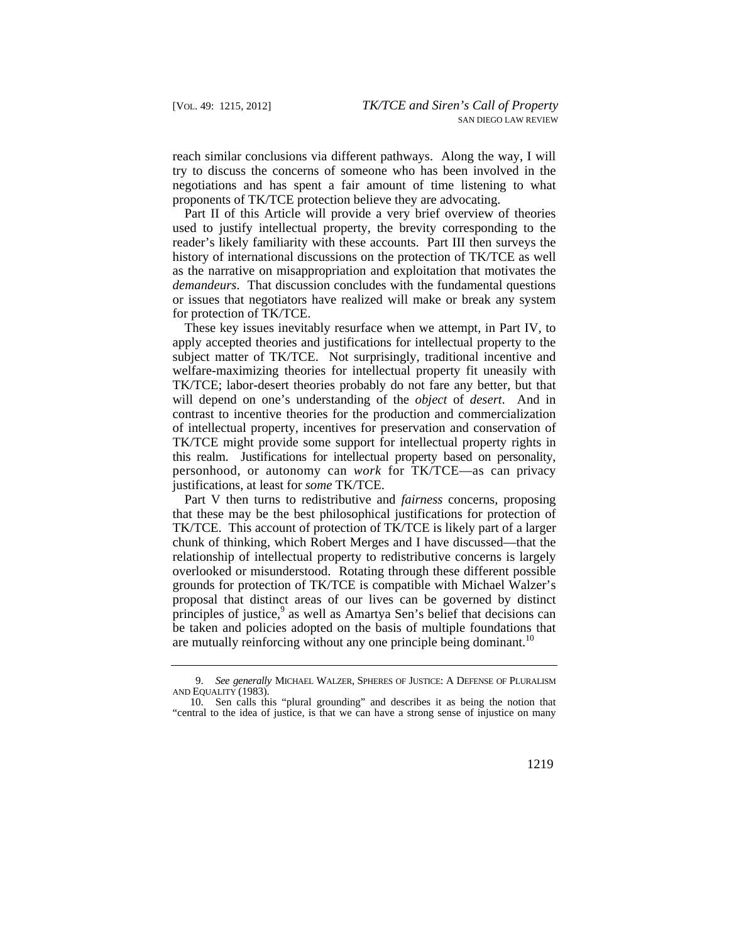reach similar conclusions via different pathways. Along the way, I will try to discuss the concerns of someone who has been involved in the negotiations and has spent a fair amount of time listening to what proponents of TK/TCE protection believe they are advocating.

Part II of this Article will provide a very brief overview of theories used to justify intellectual property, the brevity corresponding to the reader's likely familiarity with these accounts. Part III then surveys the history of international discussions on the protection of TK/TCE as well as the narrative on misappropriation and exploitation that motivates the *demandeurs*. That discussion concludes with the fundamental questions or issues that negotiators have realized will make or break any system for protection of TK/TCE.

 personhood, or autonomy can *work* for TK/TCE—as can privacy These key issues inevitably resurface when we attempt, in Part IV, to apply accepted theories and justifications for intellectual property to the subject matter of TK/TCE. Not surprisingly, traditional incentive and welfare-maximizing theories for intellectual property fit uneasily with TK/TCE; labor-desert theories probably do not fare any better, but that will depend on one's understanding of the *object* of *desert*. And in contrast to incentive theories for the production and commercialization of intellectual property, incentives for preservation and conservation of TK/TCE might provide some support for intellectual property rights in this realm. Justifications for intellectual property based on personality, justifications, at least for *some* TK/TCE.

Part V then turns to redistributive and *fairness* concerns, proposing that these may be the best philosophical justifications for protection of TK/TCE. This account of protection of TK/TCE is likely part of a larger chunk of thinking, which Robert Merges and I have discussed—that the relationship of intellectual property to redistributive concerns is largely overlooked or misunderstood. Rotating through these different possible grounds for protection of TK/TCE is compatible with Michael Walzer's proposal that distinct areas of our lives can be governed by distinct principles of justice,<sup>9</sup> as well as Amartya Sen's belief that decisions can be taken and policies adopted on the basis of multiple foundations that are mutually reinforcing without any one principle being dominant.<sup>10</sup>

 9. *See generally* MICHAEL WALZER, SPHERES OF JUSTICE: A DEFENSE OF PLURALISM AND EQUALITY (1983).

<sup>10.</sup> Sen calls this "plural grounding" and describes it as being the notion that "central to the idea of justice, is that we can have a strong sense of injustice on many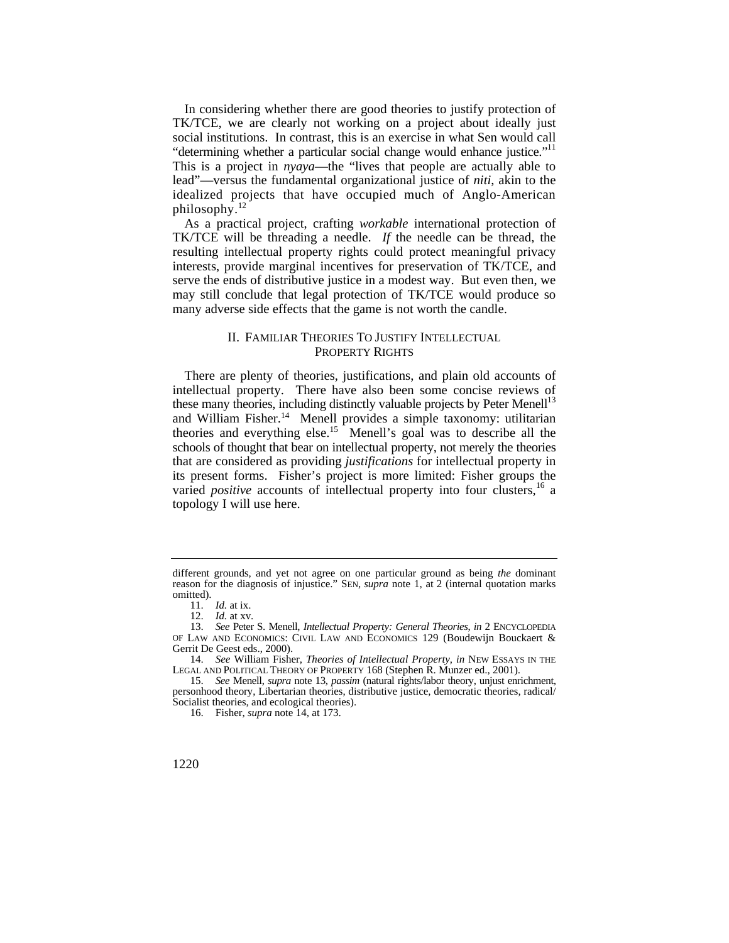"determining whether a particular social change would enhance justice."<sup>11</sup> In considering whether there are good theories to justify protection of TK/TCE, we are clearly not working on a project about ideally just social institutions. In contrast, this is an exercise in what Sen would call This is a project in *nyaya*—the "lives that people are actually able to lead"—versus the fundamental organizational justice of *niti*, akin to the idealized projects that have occupied much of Anglo-American [philosophy.12](https://philosophy.12)

As a practical project, crafting *workable* international protection of TK/TCE will be threading a needle. *If* the needle can be thread, the resulting intellectual property rights could protect meaningful privacy interests, provide marginal incentives for preservation of TK/TCE, and serve the ends of distributive justice in a modest way. But even then, we may still conclude that legal protection of TK/TCE would produce so many adverse side effects that the game is not worth the candle.

# II. FAMILIAR THEORIES TO JUSTIFY INTELLECTUAL PROPERTY RIGHTS

There are plenty of theories, justifications, and plain old accounts of intellectual property. There have also been some concise reviews of these many theories, including distinctly valuable projects by Peter Menell<sup>13</sup> and William Fisher.<sup>14</sup> Menell provides a simple taxonomy: utilitarian theories and everything else.<sup>15</sup> Menell's goal was to describe all the schools of thought that bear on intellectual property, not merely the theories that are considered as providing *justifications* for intellectual property in its present forms. Fisher's project is more limited: Fisher groups the varied *positive* accounts of intellectual property into four clusters, <sup>16</sup> a topology I will use here.

different grounds, and yet not agree on one particular ground as being *the* dominant reason for the diagnosis of injustice." SEN, *supra* note 1, at 2 (internal quotation marks omitted).

<sup>11.</sup> *Id.* at ix.

<sup>12.</sup> *Id.* at xv.

<sup>13.</sup> *See* Peter S. Menell, *Intellectual Property: General Theories*, *in* 2 ENCYCLOPEDIA OF LAW AND ECONOMICS: CIVIL LAW AND ECONOMICS 129 (Boudewijn Bouckaert & Gerrit De Geest eds., 2000).

<sup>14.</sup> *See* William Fisher, *Theories of Intellectual Property*, *in* NEW ESSAYS IN THE LEGAL AND POLITICAL THEORY OF PROPERTY 168 (Stephen R. Munzer ed., 2001).

<sup>15.</sup> *See* Menell, *supra* note 13, *passim* (natural rights/labor theory, unjust enrichment, personhood theory, Libertarian theories, distributive justice, democratic theories, radical/ Socialist theories, and ecological theories).

<sup>16.</sup> Fisher, *supra* note 14, at 173.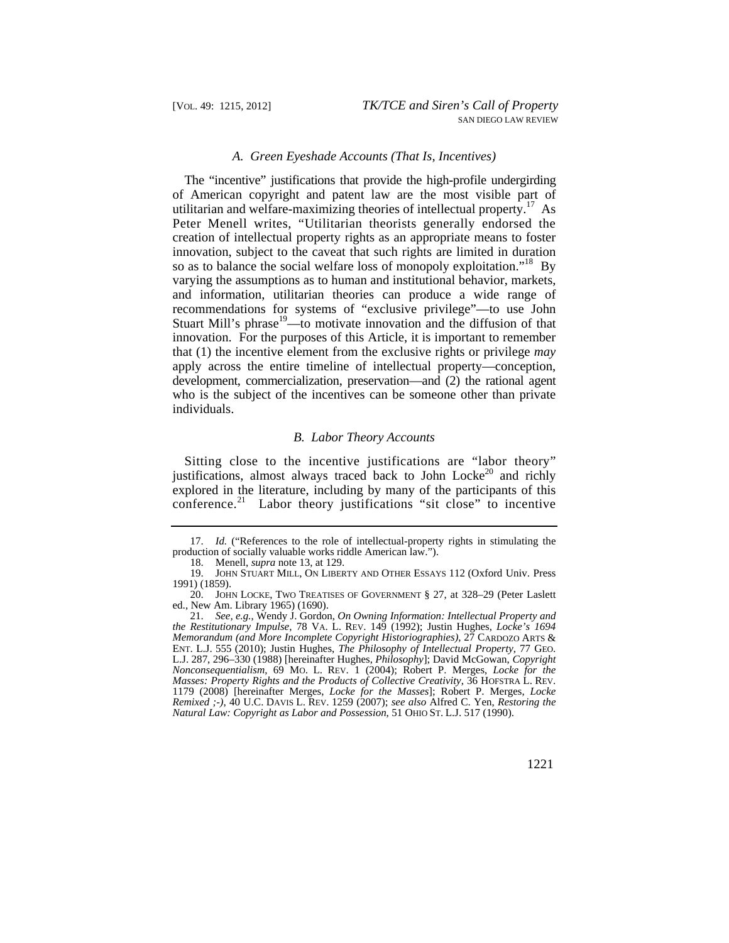#### *A. Green Eyeshade Accounts (That Is, Incentives)*

The "incentive" justifications that provide the high-profile undergirding of American copyright and patent law are the most visible part of utilitarian and welfare-maximizing theories of intellectual property.<sup>17</sup> As Peter Menell writes, "Utilitarian theorists generally endorsed the creation of intellectual property rights as an appropriate means to foster innovation, subject to the caveat that such rights are limited in duration so as to balance the social welfare loss of monopoly exploitation."<sup>18</sup> By varying the assumptions as to human and institutional behavior, markets, and information, utilitarian theories can produce a wide range of recommendations for systems of "exclusive privilege"—to use John Stuart Mill's phrase<sup>19</sup>—to motivate innovation and the diffusion of that innovation. For the purposes of this Article, it is important to remember that (1) the incentive element from the exclusive rights or privilege *may*  apply across the entire timeline of intellectual property—conception, development, commercialization, preservation—and (2) the rational agent who is the subject of the incentives can be someone other than private individuals.

## *B. Labor Theory Accounts*

Sitting close to the incentive justifications are "labor theory" justifications, almost always traced back to John Locke<sup>20</sup> and richly explored in the literature, including by many of the participants of this [conference.](https://conference.21)<sup>21</sup> Labor theory justifications "sit close" to incentive

<sup>17.</sup> *Id.* ("References to the role of intellectual-property rights in stimulating the production of socially valuable works riddle American law.").

<sup>18.</sup> Menell, *supra* note 13, at 129.

<sup>19.</sup> JOHN STUART MILL, ON LIBERTY AND OTHER ESSAYS 112 (Oxford Univ. Press 1991) (1859).

<sup>20.</sup> JOHN LOCKE, TWO TREATISES OF GOVERNMENT § 27, at 328–29 (Peter Laslett ed., New Am. Library 1965) (1690).

 *the Restitutionary Impulse*, 78 VA. L. REV. 149 (1992); Justin Hughes, *Locke's 1694*  ENT. L.J. 555 (2010); Justin Hughes, *The Philosophy of Intellectual Property*, 77 GEO. *Nonconsequentialism*, 69 MO. L. REV. 1 (2004); Robert P. Merges, *Locke for the*  21. *See, e.g.*, Wendy J. Gordon, *On Owning Information: Intellectual Property and Memorandum (and More Incomplete Copyright Historiographies)*, 27 CARDOZO ARTS & L.J. 287, 296–330 (1988) [hereinafter Hughes, *Philosophy*]; David McGowan, *Copyright Masses: Property Rights and the Products of Collective Creativity*, 36 HOFSTRA L. REV. 1179 (2008) [hereinafter Merges, *Locke for the Masses*]; Robert P. Merges, *Locke Remixed ;-)*, 40 U.C. DAVIS L. REV. 1259 (2007); *see also* Alfred C. Yen, *Restoring the Natural Law: Copyright as Labor and Possession*, 51 OHIO ST. L.J. 517 (1990).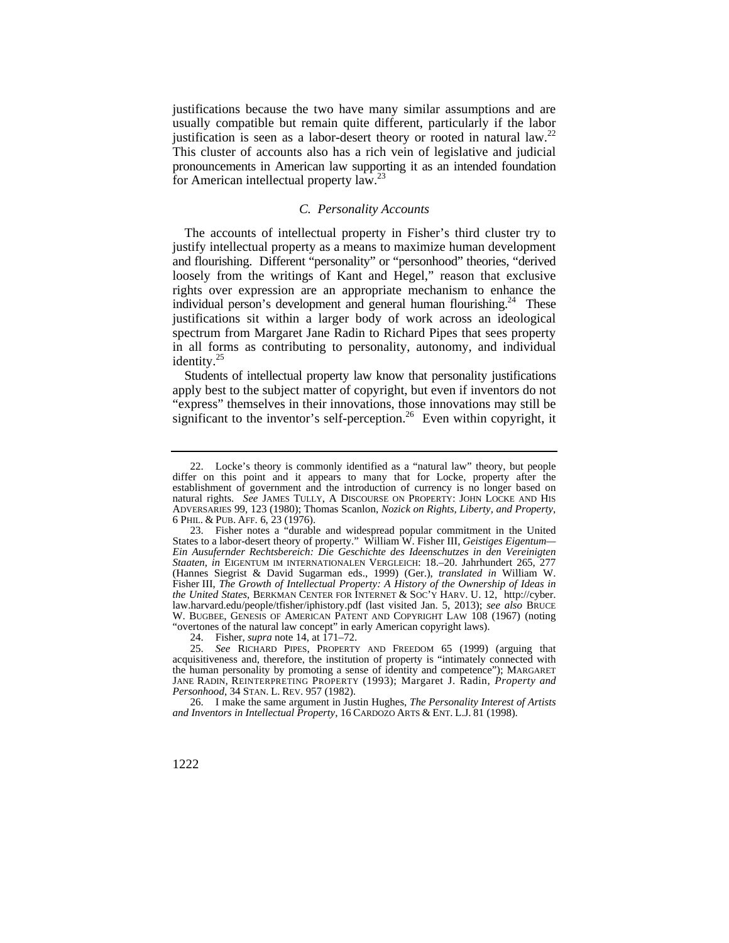justification is seen as a labor-desert theory or rooted in natural law.<sup>22</sup> justifications because the two have many similar assumptions and are usually compatible but remain quite different, particularly if the labor This cluster of accounts also has a rich vein of legislative and judicial pronouncements in American law supporting it as an intended foundation for American intellectual property  $law.<sup>23</sup>$ 

# *C. Personality Accounts*

The accounts of intellectual property in Fisher's third cluster try to justify intellectual property as a means to maximize human development and flourishing. Different "personality" or "personhood" theories, "derived loosely from the writings of Kant and Hegel," reason that exclusive rights over expression are an appropriate mechanism to enhance the individual person's development and general human flourishing.<sup>24</sup> These justifications sit within a larger body of work across an ideological spectrum from Margaret Jane Radin to Richard Pipes that sees property in all forms as contributing to personality, autonomy, and individual identity.<sup>25</sup>

 Students of intellectual property law know that personality justifications apply best to the subject matter of copyright, but even if inventors do not "express" themselves in their innovations, those innovations may still be significant to the inventor's self-perception.<sup>26</sup> Even within copyright, it

 natural rights. *See* JAMES TULLY, A DISCOURSE ON PROPERTY: JOHN LOCKE AND HIS 6 PHIL. & PUB. AFF. 6, 23 (1976). 22. Locke's theory is commonly identified as a "natural law" theory, but people differ on this point and it appears to many that for Locke, property after the establishment of government and the introduction of currency is no longer based on ADVERSARIES 99, 123 (1980); Thomas Scanlon, *Nozick on Rights, Liberty, and Property*,

 *the United States*, BERKMAN CENTER FOR INTERNET & SOC'Y HARV. U. 12, [http://cyber.](http://cyber) W. BUGBEE, GENESIS OF AMERICAN PATENT AND COPYRIGHT LAW 108 (1967) (noting 23. Fisher notes a "durable and widespread popular commitment in the United States to a labor-desert theory of property." William W. Fisher III, *Geistiges Eigentum— Ein Ausufernder Rechtsbereich: Die Geschichte des Ideenschutzes in den Vereinigten Staaten*, *in* EIGENTUM IM INTERNATIONALEN VERGLEICH: 18.–20. Jahrhundert 265, 277 (Hannes Siegrist & David Sugarman eds., 1999) (Ger.), *translated in* William W. Fisher III, *The Growth of Intellectual Property: A History of the Ownership of Ideas in*  [law.harvard.edu/people/tfisher/iphistory.pdf](https://law.harvard.edu/people/tfisher/iphistory.pdf) (last visited Jan. 5, 2013); *see also* BRUCE "overtones of the natural law concept" in early American copyright laws).

<sup>24.</sup> Fisher, *supra* note 14, at 171–72.

 *Personhood*, 34 STAN. L. REV. 957 (1982). 25. *See* RICHARD PIPES, PROPERTY AND FREEDOM 65 (1999) (arguing that acquisitiveness and, therefore, the institution of property is "intimately connected with the human personality by promoting a sense of identity and competence"); MARGARET JANE RADIN, REINTERPRETING PROPERTY (1993); Margaret J. Radin, *Property and* 

 *and Inventors in Intellectual Property*, 16 CARDOZO ARTS & ENT. L.J. 81 (1998). 26. I make the same argument in Justin Hughes, *The Personality Interest of Artists*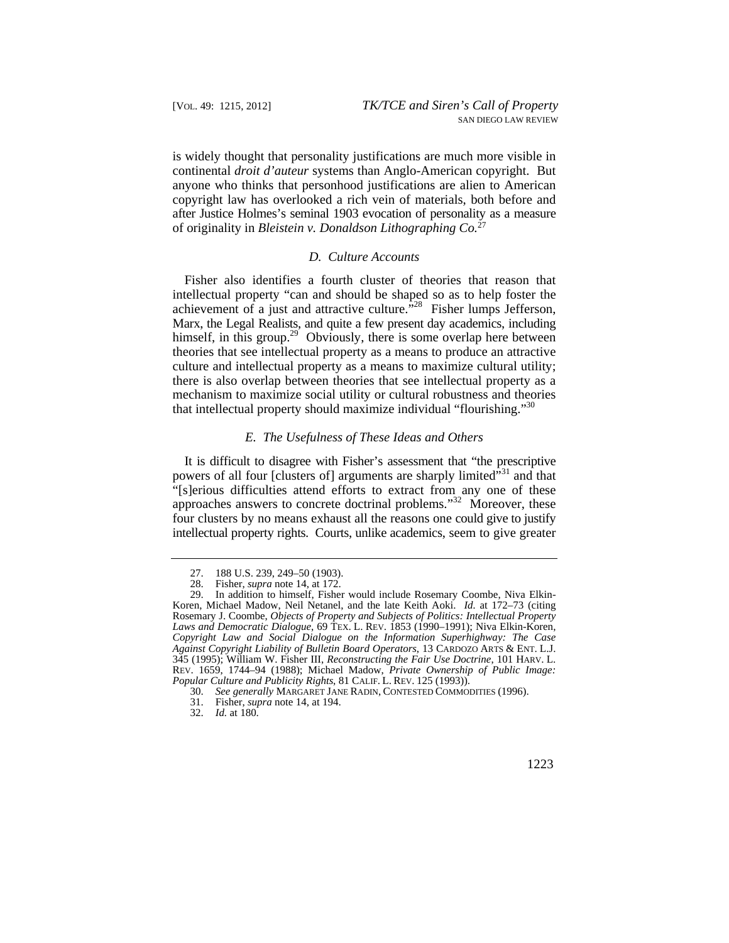is widely thought that personality justifications are much more visible in continental *droit d'auteur* systems than Anglo-American copyright. But anyone who thinks that personhood justifications are alien to American copyright law has overlooked a rich vein of materials, both before and after Justice Holmes's seminal 1903 evocation of personality as a measure of originality in *Bleistein v. Donaldson Lithographing Co.*<sup>27</sup>

### *D. Culture Accounts*

Fisher also identifies a fourth cluster of theories that reason that intellectual property "can and should be shaped so as to help foster the achievement of a just and attractive culture.<sup> $328$ </sup> Fisher lumps Jefferson, Marx, the Legal Realists, and quite a few present day academics, including himself, in this group.<sup>29</sup> Obviously, there is some overlap here between theories that see intellectual property as a means to produce an attractive culture and intellectual property as a means to maximize cultural utility; there is also overlap between theories that see intellectual property as a mechanism to maximize social utility or cultural robustness and theories that intellectual property should maximize individual "flourishing."<sup>30</sup>

# *E. The Usefulness of These Ideas and Others*

 "[s]erious difficulties attend efforts to extract from any one of these four clusters by no means exhaust all the reasons one could give to justify intellectual property rights. Courts, unlike academics, seem to give greater It is difficult to disagree with Fisher's assessment that "the prescriptive powers of all four [clusters of] arguments are sharply limited"<sup>31</sup> and that approaches answers to concrete doctrinal problems."<sup>32</sup> Moreover, these

<sup>27. 188</sup> U.S. 239, 249–50 (1903).<br>28. Fisher, *supra* note 14, at 172.

<sup>28.</sup> Fisher, *supra* note 14, at 172.

 Koren, Michael Madow, Neil Netanel, and the late Keith Aoki. *Id.* at 172–73 (citing *Laws and Democratic Dialogue*, 69 TEX. L. REV. 1853 (1990–1991); Niva Elkin-Koren, *Against Copyright Liability of Bulletin Board Operators*, 13 CARDOZO ARTS & ENT. L.J. *Popular Culture and Publicity Rights*, 81 CALIF. L. REV. 125 (1993)). In addition to himself, Fisher would include Rosemary Coombe, Niva Elkin-Rosemary J. Coombe, *Objects of Property and Subjects of Politics: Intellectual Property Copyright Law and Social Dialogue on the Information Superhighway: The Case* 345 (1995); William W. Fisher III, *Reconstructing the Fair Use Doctrine*, 101 HARV. L. REV. 1659, 1744–94 (1988); Michael Madow, *Private Ownership of Public Image:* 

<sup>30.</sup> *See generally* MARGARET JANE RADIN, CONTESTED COMMODITIES (1996).

<sup>31.</sup> Fisher, *supra* note 14, at 194.

<sup>32.</sup> *Id.* at 180.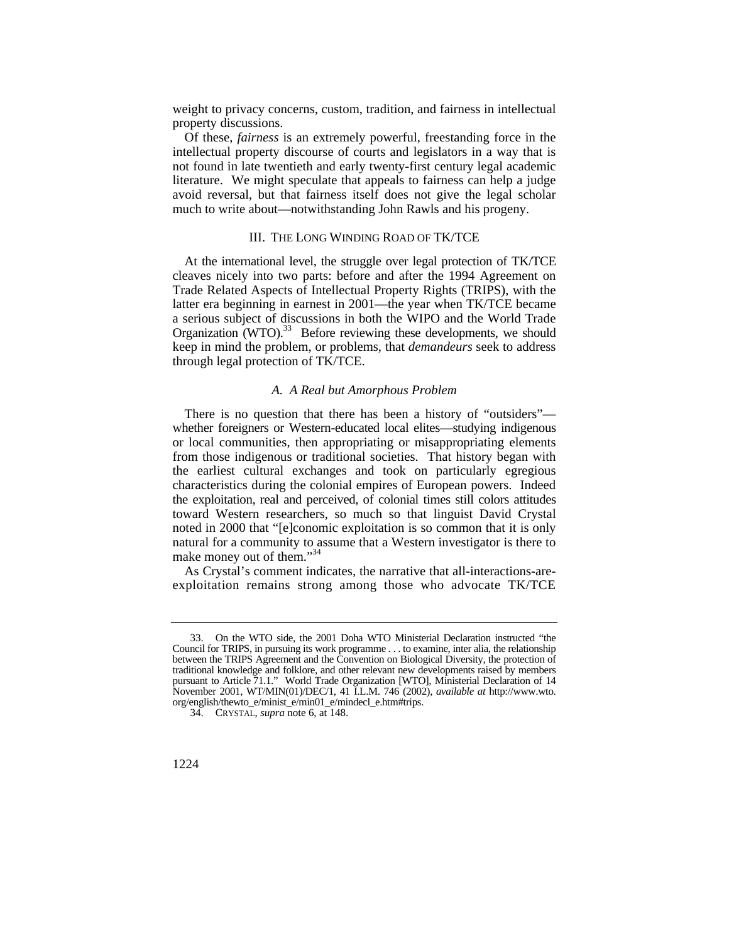weight to privacy concerns, custom, tradition, and fairness in intellectual property discussions.

Of these, *fairness* is an extremely powerful, freestanding force in the intellectual property discourse of courts and legislators in a way that is not found in late twentieth and early twenty-first century legal academic literature. We might speculate that appeals to fairness can help a judge avoid reversal, but that fairness itself does not give the legal scholar much to write about—notwithstanding John Rawls and his progeny.

## III. THE LONG WINDING ROAD OF TK/TCE

 At the international level, the struggle over legal protection of TK/TCE cleaves nicely into two parts: before and after the 1994 Agreement on Trade Related Aspects of Intellectual Property Rights (TRIPS), with the latter era beginning in earnest in 2001—the year when TK/TCE became a serious subject of discussions in both the WIPO and the World Trade Organization (WTO).<sup>33</sup> Before reviewing these developments, we should keep in mind the problem, or problems, that *demandeurs* seek to address through legal protection of TK/TCE.

#### *A. A Real but Amorphous Problem*

There is no question that there has been a history of "outsiders" whether foreigners or Western-educated local elites—studying indigenous or local communities, then appropriating or misappropriating elements from those indigenous or traditional societies. That history began with the earliest cultural exchanges and took on particularly egregious characteristics during the colonial empires of European powers. Indeed the exploitation, real and perceived, of colonial times still colors attitudes toward Western researchers, so much so that linguist David Crystal noted in 2000 that "[e]conomic exploitation is so common that it is only natural for a community to assume that a Western investigator is there to make money out of them."<sup>34</sup>

As Crystal's comment indicates, the narrative that all-interactions-areexploitation remains strong among those who advocate TK/TCE

<sup>33.</sup> On the WTO side, the 2001 Doha WTO Ministerial Declaration instructed "the Council for TRIPS, in pursuing its work programme . . . to examine, inter alia, the relationship between the TRIPS Agreement and the Convention on Biological Diversity, the protection of traditional knowledge and folklore, and other relevant new developments raised by members pursuant to Article 71.1." World Trade Organization [WTO], Ministerial Declaration of 14 November 2001, WT/MIN(01)/DEC/1, 41 I.L.M. 746 (2002), *available at* [http://www.wto.](http://www.wto) org/english/thewto\_e/minist\_e/min01\_e/mindecl\_e.htm#trips.

<sup>34.</sup> CRYSTAL, *supra* note 6, at 148.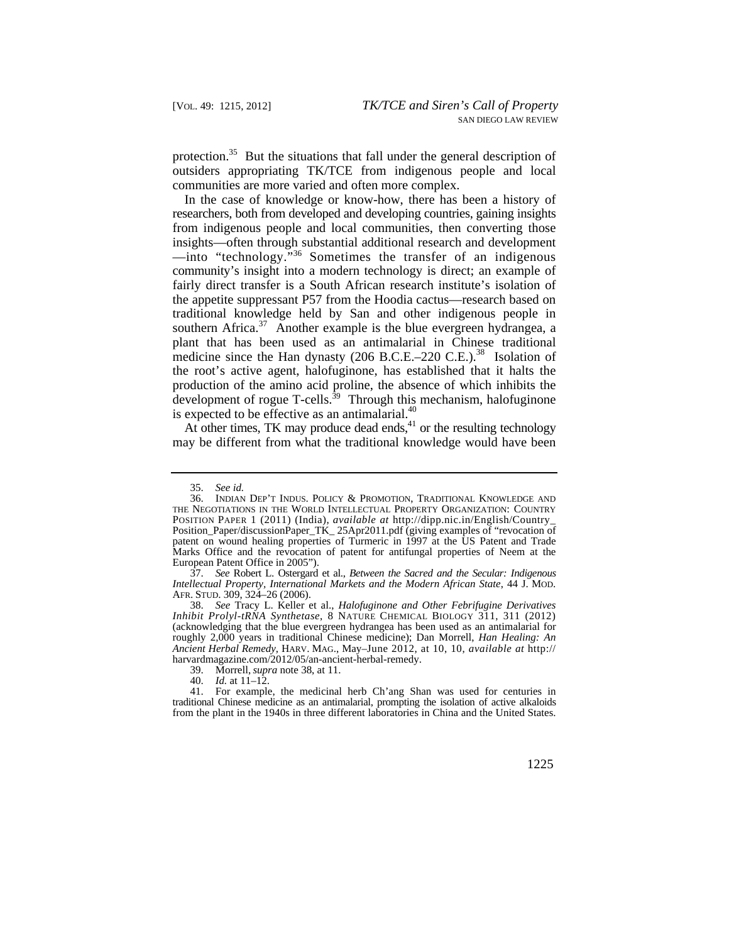protection.<sup>35</sup> But the situations that fall under the general description of outsiders appropriating TK/TCE from indigenous people and local communities are more varied and often more complex.

medicine since the Han dynasty  $(206 \text{ B.C.E.}-220 \text{ C.E.})^{38}$  Isolation of In the case of knowledge or know-how, there has been a history of researchers, both from developed and developing countries, gaining insights from indigenous people and local communities, then converting those insights—often through substantial additional research and development —into "technology."36 Sometimes the transfer of an indigenous community's insight into a modern technology is direct; an example of fairly direct transfer is a South African research institute's isolation of the appetite suppressant P57 from the Hoodia cactus—research based on traditional knowledge held by San and other indigenous people in southern [Africa.](https://Africa.37)<sup>37</sup> Another example is the blue evergreen hydrangea, a plant that has been used as an antimalarial in Chinese traditional the root's active agent, halofuginone, has established that it halts the production of the amino acid proline, the absence of which inhibits the development of rogue  $T$ -cells.<sup>39</sup> Through this mechanism, halofuginone is expected to be effective as an antimalarial.<sup>40</sup>

At other times, TK may produce dead ends, $41$  or the resulting technology may be different from what the traditional knowledge would have been

37. *See* Robert L. Ostergard et al., *Between the Sacred and the Secular: Indigenous Intellectual Property, International Markets and the Modern African State*, 44 J. MOD. AFR. STUD. 309, 324–26 (2006).

38. *See* Tracy L. Keller et al., *Halofuginone and Other Febrifugine Derivatives Inhibit Prolyl-tRNA Synthetase*, 8 NATURE CHEMICAL BIOLOGY 311, 311 (2012) (acknowledging that the blue evergreen hydrangea has been used as an antimalarial for roughly 2,000 years in traditional Chinese medicine); Dan Morrell, *Han Healing: An Ancient Herbal Remedy*, HARV. MAG., May–June 2012, at 10, 10, *available at* http:// [harvardmagazine.com/2012/05/an-ancient-herbal-remedy](https://harvardmagazine.com/2012/05/an-ancient-herbal-remedy).

39. Morrell, *supra* note 38, at 11.

40. *Id.* at 11–12.

 traditional Chinese medicine as an antimalarial, prompting the isolation of active alkaloids 41. For example, the medicinal herb Ch'ang Shan was used for centuries in from the plant in the 1940s in three different laboratories in China and the United States.

<sup>35.</sup> *See id.* 

<sup>36.</sup> INDIAN DEP'T INDUS. POLICY & PROMOTION, TRADITIONAL KNOWLEDGE AND THE NEGOTIATIONS IN THE WORLD INTELLECTUAL PROPERTY ORGANIZATION: COUNTRY POSITION PAPER 1 (2011) (India), *available at* <http://dipp.nic.in/English/Country>\_ Position\_Paper/discussionPaper\_TK\_ 25Apr2011.pdf (giving examples of "revocation of patent on wound healing properties of Turmeric in 1997 at the US Patent and Trade Marks Office and the revocation of patent for antifungal properties of Neem at the European Patent Office in 2005").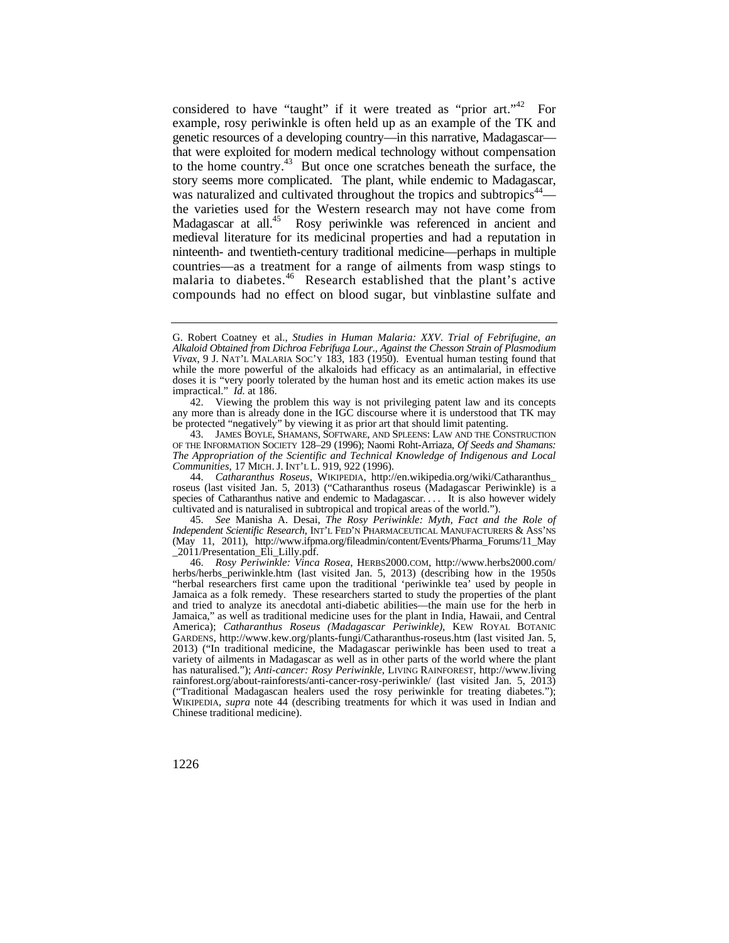considered to have "taught" if it were treated as "prior art."<sup>42</sup> For example, rosy periwinkle is often held up as an example of the TK and genetic resources of a developing country—in this narrative, Madagascar that were exploited for modern medical technology without compensation to the home [country.43](https://country.43) But once one scratches beneath the surface, the story seems more complicated. The plant, while endemic to Madagascar, was naturalized and cultivated throughout the tropics and subtropics<sup>44</sup> the varieties used for the Western research may not have come from Madagascar at all.<sup>45</sup> Rosy periwinkle was referenced in ancient and medieval literature for its medicinal properties and had a reputation in ninteenth- and twentieth-century traditional medicine—perhaps in multiple countries—as a treatment for a range of ailments from wasp stings to malaria to [diabetes.](https://diabetes.46)<sup>46</sup> Research established that the plant's active compounds had no effect on blood sugar, but vinblastine sulfate and

44. *Catharanthus Roseus*, WIKIPEDIA, [http://en.wikipedia.org/wiki/Catharanthus\\_](http://en.wikipedia.org/wiki/Catharanthus) roseus (last visited Jan. 5, 2013) ("Catharanthus roseus (Madagascar Periwinkle) is a species of Catharanthus native and endemic to Madagascar. . . . It is also however widely cultivated and is naturalised in subtropical and tropical areas of the world.").

45. *See* Manisha A. Desai, *The Rosy Periwinkle: Myth, Fact and the Role of Independent Scientific Research*, INT'L FED'N PHARMACEUTICAL MANUFACTURERS & ASS'NS (May 11, 2011), [http://www.ifpma.org/fileadmin/content/Events/Pharma\\_Forums/11\\_May](http://www.ifpma.org/fileadmin/content/Events/Pharma_Forums/11_May) \_2011/Presentation\_Eli\_Lilly.pdf.

46. *Rosy Periwinkle: Vinca Rosea*, [HERBS2000.COM](https://HERBS2000.COM), <http://www.herbs2000.com>/ herbs/herbs\_periwinkle.htm (last visited Jan. 5, 2013) (describing how in the 1950s "herbal researchers first came upon the traditional 'periwinkle tea' used by people in Jamaica as a folk remedy. These researchers started to study the properties of the plant and tried to analyze its anecdotal anti-diabetic abilities—the main use for the herb in Jamaica," as well as traditional medicine uses for the plant in India, Hawaii, and Central America); *Catharanthus Roseus (Madagascar Periwinkle)*, KEW ROYAL BOTANIC GARDENS, <http://www.kew.org/plants-fungi/Catharanthus-roseus.htm> (last visited Jan. 5, 2013) ("In traditional medicine, the Madagascar periwinkle has been used to treat a variety of ailments in Madagascar as well as in other parts of the world where the plant has naturalised."); *Anti-cancer: Rosy Periwinkle*, LIVING RAINFOREST, <http://www.living> [rainforest.org/about-rainforests/anti-cancer-rosy-periwinkle/](https://rainforest.org/about-rainforests/anti-cancer-rosy-periwinkle) (last visited Jan. 5, 2013) ("Traditional Madagascan healers used the rosy periwinkle for treating diabetes."); WIKIPEDIA, *supra* note 44 (describing treatments for which it was used in Indian and Chinese traditional medicine).

 impractical." *Id.* at 186. G. Robert Coatney et al., *Studies in Human Malaria: XXV*. *Trial of Febrifugine, an Alkaloid Obtained from Dichroa Febrifuga Lour., Against the Chesson Strain of Plasmodium Vivax*, 9 J. NAT'L MALARIA SOC'Y 183, 183 (1950). Eventual human testing found that while the more powerful of the alkaloids had efficacy as an antimalarial, in effective doses it is "very poorly tolerated by the human host and its emetic action makes its use

<sup>42.</sup> Viewing the problem this way is not privileging patent law and its concepts any more than is already done in the IGC discourse where it is understood that TK may be protected "negatively" by viewing it as prior art that should limit patenting.

 *Communities*, 17 MICH. J. INT'L L. 919, 922 (1996). 43. JAMES BOYLE, SHAMANS, SOFTWARE, AND SPLEENS: LAW AND THE CONSTRUCTION OF THE INFORMATION SOCIETY 128–29 (1996); Naomi Roht-Arriaza, *Of Seeds and Shamans: The Appropriation of the Scientific and Technical Knowledge of Indigenous and Local*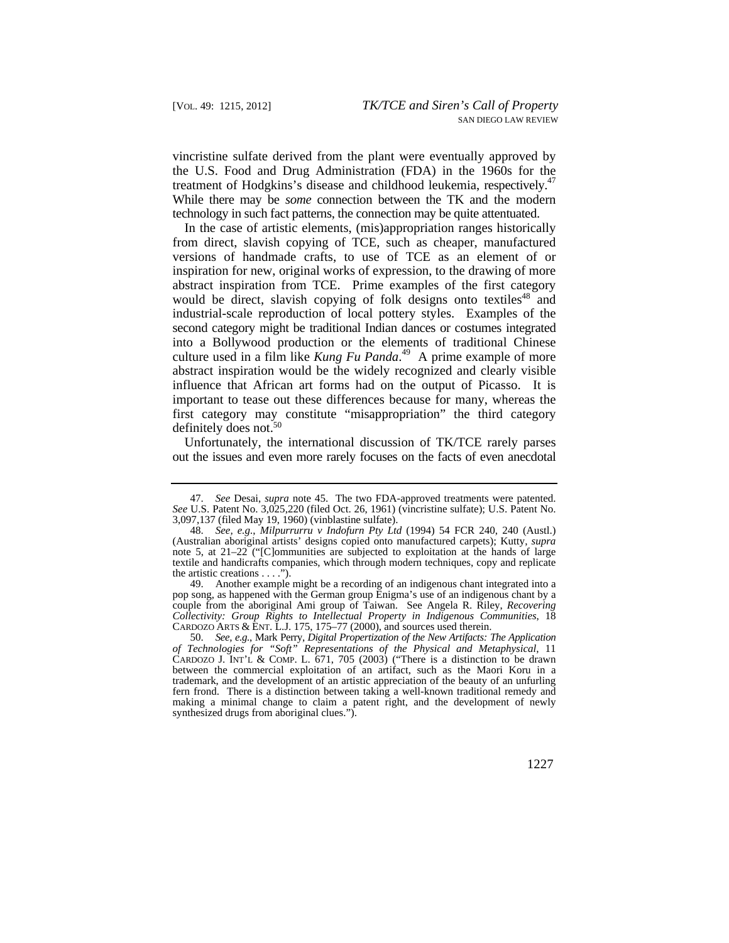treatment of Hodgkins's disease and childhood leukemia, respectively.<sup>47</sup> While there may be *some* connection between the TK and the modern technology in such fact patterns, the connection may be quite attentuated. vincristine sulfate derived from the plant were eventually approved by the U.S. Food and Drug Administration (FDA) in the 1960s for the

In the case of artistic elements, (mis)appropriation ranges historically from direct, slavish copying of TCE, such as cheaper, manufactured versions of handmade crafts, to use of TCE as an element of or inspiration for new, original works of expression, to the drawing of more abstract inspiration from TCE. Prime examples of the first category would be direct, slavish copying of folk designs onto textiles<sup>48</sup> and industrial-scale reproduction of local pottery styles. Examples of the second category might be traditional Indian dances or costumes integrated into a Bollywood production or the elements of traditional Chinese culture used in a film like *Kung Fu [Panda](https://Panda.49)*. 49 A prime example of more abstract inspiration would be the widely recognized and clearly visible influence that African art forms had on the output of Picasso. It is important to tease out these differences because for many, whereas the first category may constitute "misappropriation" the third category definitely does not.<sup>50</sup>

Unfortunately, the international discussion of TK/TCE rarely parses out the issues and even more rarely focuses on the facts of even anecdotal

<sup>47.</sup> *See* Desai, *supra* note 45. The two FDA-approved treatments were patented. *See* U.S. Patent No. 3,025,220 (filed Oct. 26, 1961) (vincristine sulfate); U.S. Patent No. 3,097,137 (filed May 19, 1960) (vinblastine sulfate).

the artistic creations  $\dots$ ."). 48. *See, e.g.*, *Milpurrurru v Indofurn Pty Ltd* (1994) 54 FCR 240, 240 (Austl.) (Australian aboriginal artists' designs copied onto manufactured carpets); Kutty, *supra*  note 5, at 21–22 ("[C]ommunities are subjected to exploitation at the hands of large textile and handicrafts companies, which through modern techniques, copy and replicate

<sup>49.</sup> Another example might be a recording of an indigenous chant integrated into a pop song, as happened with the German group Enigma's use of an indigenous chant by a couple from the aboriginal Ami group of Taiwan. See Angela R. Riley, *Recovering Collectivity: Group Rights to Intellectual Property in Indigenous Communities*, 18 CARDOZO ARTS  $&ENT. L.J. 175, 175–77 (2000),$  and sources used therein.

 making a minimal change to claim a patent right, and the development of newly 50. *See, e.g.*, Mark Perry, *Digital Propertization of the New Artifacts: The Application of Technologies for "Soft" Representations of the Physical and Metaphysical*, 11 CARDOZO J. INT'L & COMP. L. 671, 705 (2003) ("There is a distinction to be drawn between the commercial exploitation of an artifact, such as the Maori Koru in a trademark, and the development of an artistic appreciation of the beauty of an unfurling fern frond. There is a distinction between taking a well-known traditional remedy and synthesized drugs from aboriginal clues.").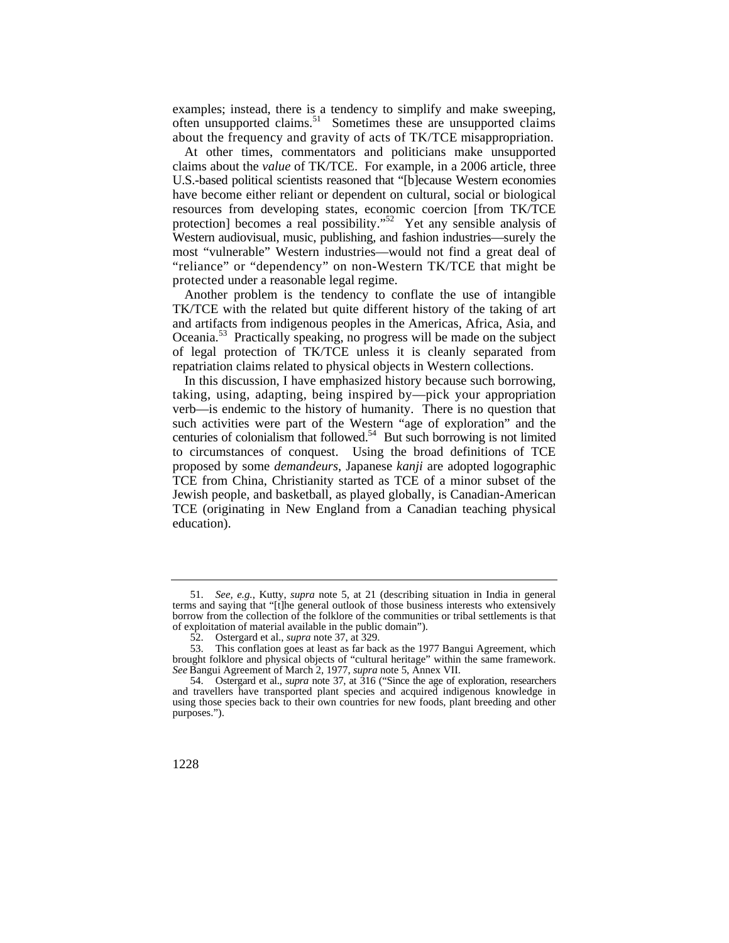examples; instead, there is a tendency to simplify and make sweeping, often unsupported [claims.](https://claims.51)<sup>51</sup> Sometimes these are unsupported claims about the frequency and gravity of acts of TK/TCE misappropriation.

protection] becomes a real possibility."<sup>52</sup> Yet any sensible analysis of Western audiovisual, music, publishing, and fashion industries—surely the At other times, commentators and politicians make unsupported claims about the *value* of TK/TCE. For example, in a 2006 article, three U.S.-based political scientists reasoned that "[b]ecause Western economies have become either reliant or dependent on cultural, social or biological resources from developing states, economic coercion [from TK/TCE most "vulnerable" Western industries—would not find a great deal of "reliance" or "dependency" on non-Western TK/TCE that might be protected under a reasonable legal regime.

Another problem is the tendency to conflate the use of intangible TK/TCE with the related but quite different history of the taking of art and artifacts from indigenous peoples in the Americas, Africa, Asia, and [Oceania.](https://Oceania.53)53 Practically speaking, no progress will be made on the subject of legal protection of TK/TCE unless it is cleanly separated from repatriation claims related to physical objects in Western collections.

In this discussion, I have emphasized history because such borrowing, taking, using, adapting, being inspired by—pick your appropriation verb—is endemic to the history of humanity. There is no question that such activities were part of the Western "age of exploration" and the centuries of colonialism that [followed.54](https://followed.54) But such borrowing is not limited to circumstances of conquest. Using the broad definitions of TCE proposed by some *demandeurs*, Japanese *kanji* are adopted logographic TCE from China, Christianity started as TCE of a minor subset of the Jewish people, and basketball, as played globally, is Canadian-American TCE (originating in New England from a Canadian teaching physical education).

<sup>51.</sup> *See, e.g.*, Kutty, *supra* note 5, at 21 (describing situation in India in general terms and saying that "[t]he general outlook of those business interests who extensively borrow from the collection of the folklore of the communities or tribal settlements is that of exploitation of material available in the public domain").

<sup>52.</sup> Ostergard et al., *supra* note 37, at 329.

<sup>53.</sup> This conflation goes at least as far back as the 1977 Bangui Agreement, which brought folklore and physical objects of "cultural heritage" within the same framework. *See* Bangui Agreement of March 2, 1977, *supra* note 5, Annex VII.

 54. Ostergard et al., *supra* note 37, at 316 ("Since the age of exploration, researchers and travellers have transported plant species and acquired indigenous knowledge in using those species back to their own countries for new foods, plant breeding and other purposes.").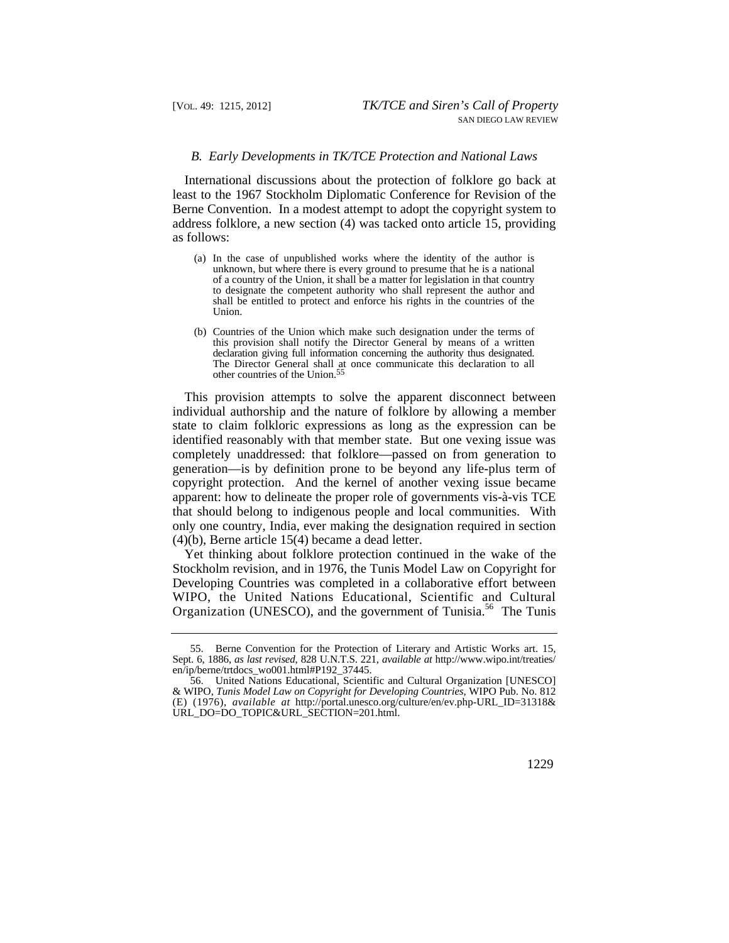#### *B. Early Developments in TK/TCE Protection and National Laws*

International discussions about the protection of folklore go back at least to the 1967 Stockholm Diplomatic Conference for Revision of the Berne Convention. In a modest attempt to adopt the copyright system to address folklore, a new section (4) was tacked onto article 15, providing as follows:

- (a) In the case of unpublished works where the identity of the author is unknown, but where there is every ground to presume that he is a national of a country of the Union, it shall be a matter for legislation in that country to designate the competent authority who shall represent the author and shall be entitled to protect and enforce his rights in the countries of the Union.
- declaration giving full information concerning the authority thus designated. (b) Countries of the Union which make such designation under the terms of this provision shall notify the Director General by means of a written The Director General shall at once communicate this declaration to all other countries of the [Union.55](https://Union.55)

This provision attempts to solve the apparent disconnect between individual authorship and the nature of folklore by allowing a member state to claim folkloric expressions as long as the expression can be identified reasonably with that member state. But one vexing issue was completely unaddressed: that folklore—passed on from generation to generation—is by definition prone to be beyond any life-plus term of copyright protection. And the kernel of another vexing issue became apparent: how to delineate the proper role of governments vis-à-vis TCE that should belong to indigenous people and local communities. With only one country, India, ever making the designation required in section (4)(b), Berne article 15(4) became a dead letter.

Yet thinking about folklore protection continued in the wake of the Stockholm revision, and in 1976, the Tunis Model Law on Copyright for Developing Countries was completed in a collaborative effort between WIPO, the United Nations Educational, Scientific and Cultural Organization (UNESCO), and the government of [Tunisia.](https://Tunisia.56)<sup>56</sup> The Tunis

<sup>55.</sup> Berne Convention for the Protection of Literary and Artistic Works art. 15, Sept. 6, 1886, *as last revised*, 828 U.N.T.S. 221, *available at* <http://www.wipo.int/treaties>/ en/ip/berne/trtdocs\_wo001.html#P192\_37445.

<sup>56.</sup> United Nations Educational, Scientific and Cultural Organization [UNESCO] & WIPO, *Tunis Model Law on Copyright for Developing Countries*, WIPO Pub. No. 812 (E) (1976), *available at* [http://portal.unesco.org/culture/en/ev.php-URL\\_ID=31318](http://portal.unesco.org/culture/en/ev.php-URL_ID=31318)& URL\_DO=DO\_TOPIC&URL\_SECTION=201.html.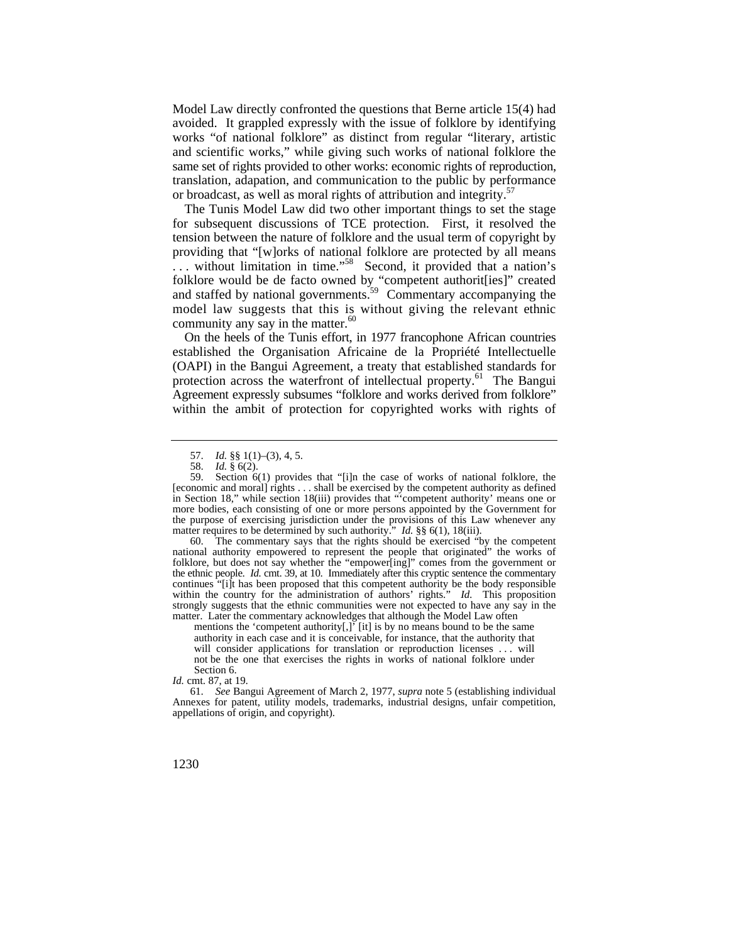Model Law directly confronted the questions that Berne article 15(4) had avoided. It grappled expressly with the issue of folklore by identifying works "of national folklore" as distinct from regular "literary, artistic and scientific works," while giving such works of national folklore the same set of rights provided to other works: economic rights of reproduction, translation, adapation, and communication to the public by performance or broadcast, as well as moral rights of attribution and integrity.<sup>57</sup>

The Tunis Model Law did two other important things to set the stage for subsequent discussions of TCE protection. First, it resolved the tension between the nature of folklore and the usual term of copyright by providing that "[w]orks of national folklore are protected by all means ... without limitation in time."<sup>58</sup> Second, it provided that a nation's folklore would be de facto owned by "competent authorit[ies]" created and staffed by national governments.<sup>59</sup> Commentary accompanying the model law suggests that this is without giving the relevant ethnic community any say in the [matter.](https://matter.60)<sup>60</sup>

On the heels of the Tunis effort, in 1977 francophone African countries established the Organisation Africaine de la Propriété Intellectuelle (OAPI) in the Bangui Agreement, a treaty that established standards for protection across the waterfront of intellectual property.<sup>61</sup> The Bangui Agreement expressly subsumes "folklore and works derived from folklore" within the ambit of protection for copyrighted works with rights of

 the ethnic people. *Id.* cmt. 39, at 10. Immediately after this cryptic sentence the commentary matter. Later the commentary acknowledges that although the Model Law often 60. The commentary says that the rights should be exercised "by the competent national authority empowered to represent the people that originated" the works of folklore, but does not say whether the "empower[ing]" comes from the government or continues "[i]t has been proposed that this competent authority be the body responsible within the country for the administration of authors' rights." *Id.* This proposition strongly suggests that the ethnic communities were not expected to have any say in the

mentions the 'competent authority[,]' [it] is by no means bound to be the same authority in each case and it is conceivable, for instance, that the authority that will consider applications for translation or reproduction licenses . . . will not be the one that exercises the rights in works of national folklore under Section 6.

*Id.* cmt. 87, at 19.

<sup>57.</sup> *Id.* §§ 1(1)–(3), 4, 5.

<sup>58.</sup> *Id.* § 6(2).

matter requires to be determined by such authority." *Id.* §§ 6(1), 18(iii). Section  $6(1)$  provides that "[i]n the case of works of national folklore, the [economic and moral] rights . . . shall be exercised by the competent authority as defined in Section 18," while section 18(iii) provides that "'competent authority' means one or more bodies, each consisting of one or more persons appointed by the Government for the purpose of exercising jurisdiction under the provisions of this Law whenever any

<sup>61.</sup> *See* Bangui Agreement of March 2, 1977, *supra* note 5 (establishing individual Annexes for patent, utility models, trademarks, industrial designs, unfair competition, appellations of origin, and copyright).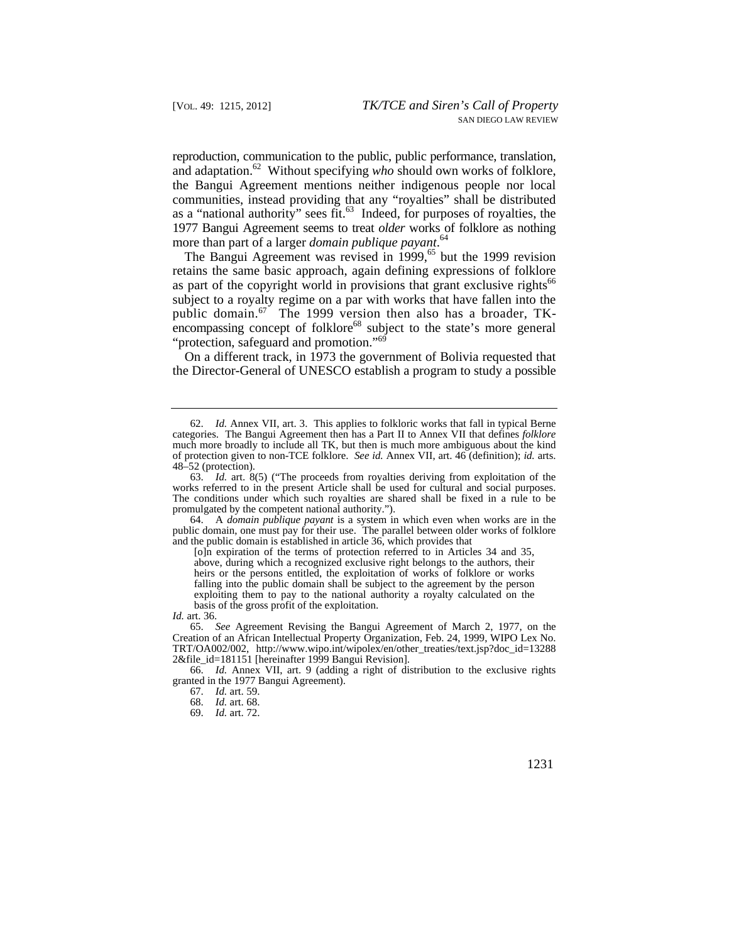reproduction, communication to the public, public performance, translation, and adaptation.<sup>62</sup> Without specifying who should own works of folklore, the Bangui Agreement mentions neither indigenous people nor local communities, instead providing that any "royalties" shall be distributed as a "national authority" sees fit.63 Indeed, for purposes of royalties, the 1977 Bangui Agreement seems to treat *older* works of folklore as nothing more than part of a larger *domain publique [payant](https://payant.64)*. 64

The Bangui Agreement was revised in  $1999$ , <sup>65</sup> but the 1999 revision retains the same basic approach, again defining expressions of folklore as part of the copyright world in provisions that grant exclusive rights<sup>66</sup> subject to a royalty regime on a par with works that have fallen into the public domain.<sup>67</sup> The 1999 version then also has a broader, TKencompassing concept of folklore<sup>68</sup> subject to the state's more general "protection, safeguard and promotion."69

On a different track, in 1973 the government of Bolivia requested that the Director-General of UNESCO establish a program to study a possible

64. A *domain publique payant* is a system in which even when works are in the public domain, one must pay for their use. The parallel between older works of folklore and the public domain is established in article 36, which provides that

[o]n expiration of the terms of protection referred to in Articles 34 and 35, above, during which a recognized exclusive right belongs to the authors, their heirs or the persons entitled, the exploitation of works of folklore or works falling into the public domain shall be subject to the agreement by the person exploiting them to pay to the national authority a royalty calculated on the basis of the gross profit of the exploitation.

*Id.* art. 36.

65. *See* Agreement Revising the Bangui Agreement of March 2, 1977, on the Creation of an African Intellectual Property Organization, Feb. 24, 1999, WIPO Lex No. TRT/OA002/002, [http://www.wipo.int/wipolex/en/other\\_treaties/text.jsp?doc\\_id=13288](http://www.wipo.int/wipolex/en/other_treaties/text.jsp?doc_id=13288) 2&file\_id=181151 [hereinafter 1999 Bangui Revision].

66. *Id.* Annex VII, art. 9 (adding a right of distribution to the exclusive rights granted in the 1977 Bangui Agreement).

<sup>62.</sup> *Id.* Annex VII, art. 3. This applies to folkloric works that fall in typical Berne categories. The Bangui Agreement then has a Part II to Annex VII that defines *folklore*  much more broadly to include all TK, but then is much more ambiguous about the kind of protection given to non-TCE folklore. *See id.* Annex VII, art. 46 (definition); *id.* arts. 48–52 (protection).

<sup>63.</sup> *Id.* art. 8(5) ("The proceeds from royalties deriving from exploitation of the works referred to in the present Article shall be used for cultural and social purposes. The conditions under which such royalties are shared shall be fixed in a rule to be promulgated by the competent national authority.").

<sup>67.</sup> *Id.* art. 59.

<sup>68.</sup> *Id.* art. 68.

<sup>69.</sup> *Id.* art. 72.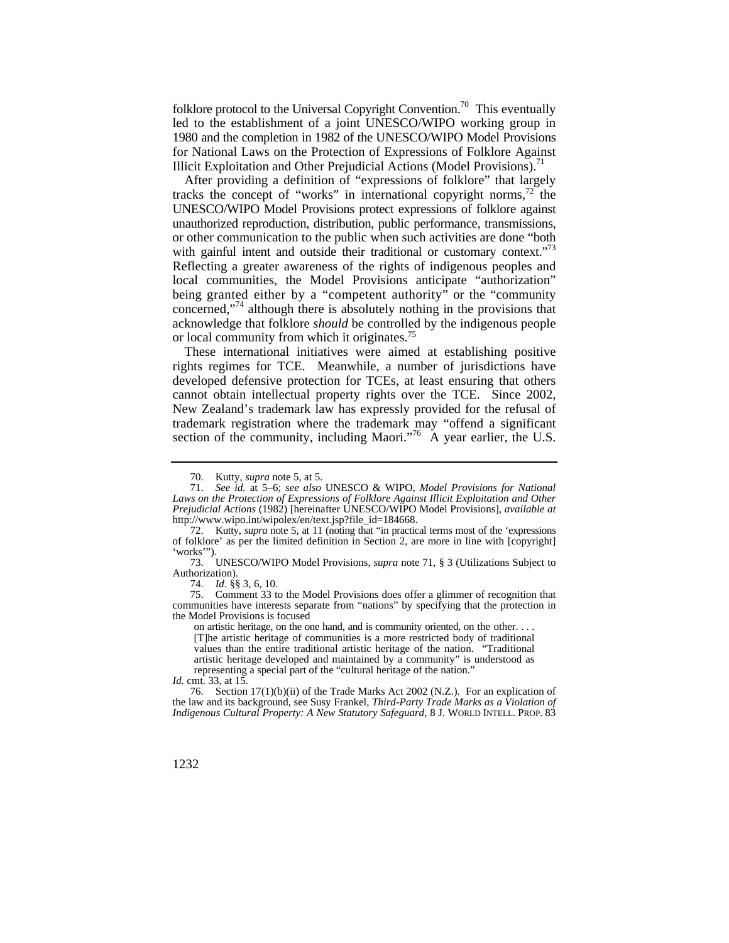folklore protocol to the Universal Copyright Convention.<sup>70</sup> This eventually led to the establishment of a joint UNESCO/WIPO working group in 1980 and the completion in 1982 of the UNESCO/WIPO Model Provisions for National Laws on the Protection of Expressions of Folklore Against Illicit Exploitation and Other Prejudicial Actions (Model Provisions).<sup>71</sup>

with gainful intent and outside their traditional or customary context."<sup>73</sup> being granted either by a "competent authority" or the "community After providing a definition of "expressions of folklore" that largely tracks the concept of "works" in international copyright norms, $72$  the UNESCO/WIPO Model Provisions protect expressions of folklore against unauthorized reproduction, distribution, public performance, transmissions, or other communication to the public when such activities are done "both Reflecting a greater awareness of the rights of indigenous peoples and local communities, the Model Provisions anticipate "authorization" concerned,"<sup>74</sup> although there is absolutely nothing in the provisions that acknowledge that folklore *should* be controlled by the indigenous people or local community from which it originates.<sup>75</sup>

These international initiatives were aimed at establishing positive rights regimes for TCE. Meanwhile, a number of jurisdictions have developed defensive protection for TCEs, at least ensuring that others cannot obtain intellectual property rights over the TCE. Since 2002, New Zealand's trademark law has expressly provided for the refusal of trademark registration where the trademark may "offend a significant section of the community, including Maori."<sup>76</sup> A year earlier, the U.S.

the Model Provisions is focused the Model Provisions is focused on artistic heritage, on the one hand, and is community oriented, on the other. . . . 75. Comment 33 to the Model Provisions does offer a glimmer of recognition that communities have interests separate from "nations" by specifying that the protection in

[T]he artistic heritage of communities is a more restricted body of traditional values than the entire traditional artistic heritage of the nation. "Traditional artistic heritage developed and maintained by a community" is understood as representing a special part of the "cultural heritage of the nation."

Kutty, *supra* note 5, at 5.

<sup>71.</sup> *See id.* at 5–6; *see also* UNESCO & WIPO, *Model Provisions for National Laws on the Protection of Expressions of Folklore Against Illicit Exploitation and Other Prejudicial Actions* (1982) [hereinafter UNESCO/WIPO Model Provisions], *available at*  [http://www.wipo.int/wipolex/en/text.jsp?file\\_id=184668.](http://www.wipo.int/wipolex/en/text.jsp?file_id=184668)

<sup>72.</sup> Kutty, *supra* note 5, at 11 (noting that "in practical terms most of the 'expressions of folklore' as per the limited definition in Section 2, are more in line with [copyright] 'works'").

<sup>73.</sup> UNESCO/WIPO Model Provisions, *supra* note 71, § 3 (Utilizations Subject to Authorization).

<sup>74.</sup> *Id.* §§ 3, 6, 10.

*Id.* cmt. 33, at 15.

 *Indigenous Cultural Property: A New Statutory Safeguard*, 8 J. WORLD INTELL. PROP. 83 76. Section 17(1)(b)(ii) of the Trade Marks Act 2002 (N.Z.). For an explication of the law and its background, see Susy Frankel, *Third-Party Trade Marks as a Violation of*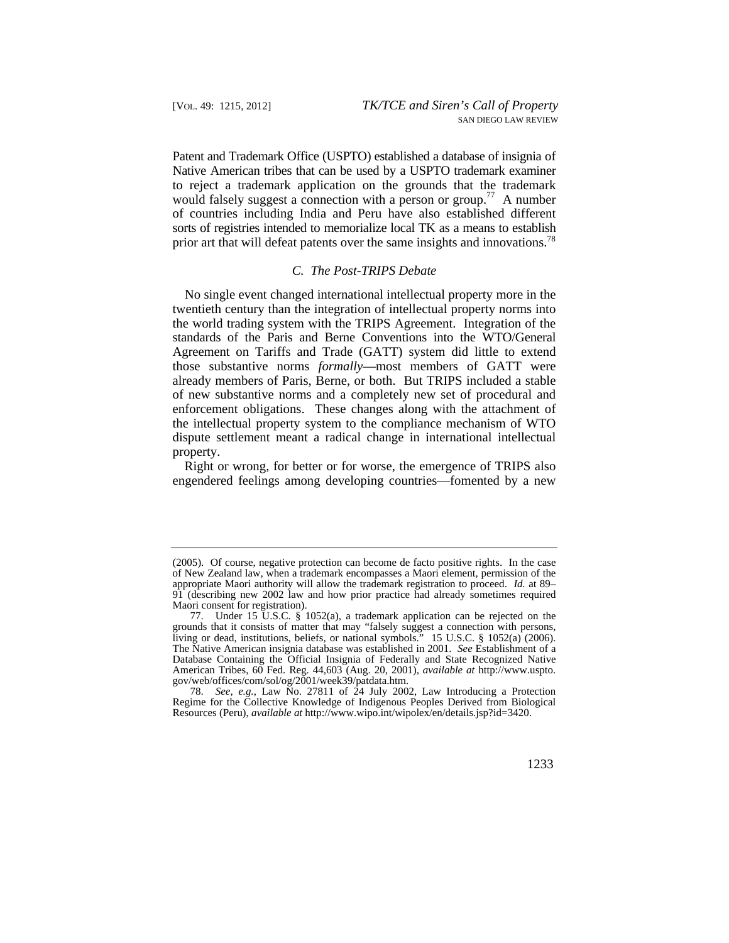Patent and Trademark Office (USPTO) established a database of insignia of Native American tribes that can be used by a USPTO trademark examiner to reject a trademark application on the grounds that the trademark would falsely suggest a connection with a person or group.<sup>77</sup> A number of countries including India and Peru have also established different sorts of registries intended to memorialize local TK as a means to establish prior art that will defeat patents over the same insights and innovations.<sup>78</sup>

## *C. The Post-TRIPS Debate*

No single event changed international intellectual property more in the twentieth century than the integration of intellectual property norms into the world trading system with the TRIPS Agreement. Integration of the standards of the Paris and Berne Conventions into the WTO/General Agreement on Tariffs and Trade (GATT) system did little to extend those substantive norms *formally*—most members of GATT were already members of Paris, Berne, or both. But TRIPS included a stable of new substantive norms and a completely new set of procedural and enforcement obligations. These changes along with the attachment of the intellectual property system to the compliance mechanism of WTO dispute settlement meant a radical change in international intellectual property.

Right or wrong, for better or for worse, the emergence of TRIPS also engendered feelings among developing countries—fomented by a new

<sup>(2005).</sup> Of course, negative protection can become de facto positive rights. In the case of New Zealand law, when a trademark encompasses a Maori element, permission of the appropriate Maori authority will allow the trademark registration to proceed. *Id.* at 89– 91 (describing new 2002 law and how prior practice had already sometimes required Maori consent for registration).

<sup>77.</sup> Under 15 U.S.C. § 1052(a), a trademark application can be rejected on the grounds that it consists of matter that may "falsely suggest a connection with persons, living or dead, institutions, beliefs, or national symbols." 15 U.S.C. § 1052(a) (2006). The Native American insignia database was established in 2001. *See* Establishment of a Database Containing the Official Insignia of Federally and State Recognized Native American Tribes, 60 Fed. Reg. 44,603 (Aug. 20, 2001), *available at* [http://www.uspto.](http://www.uspto) gov/web/offices/com/sol/og/2001/week39/patdata.htm.

<sup>78.</sup> *See, e.g.*, Law No. 27811 of 24 July 2002, Law Introducing a Protection Regime for the Collective Knowledge of Indigenous Peoples Derived from Biological Resources (Peru), *available at*<http://www.wipo.int/wipolex/en/details.jsp?id=3420>.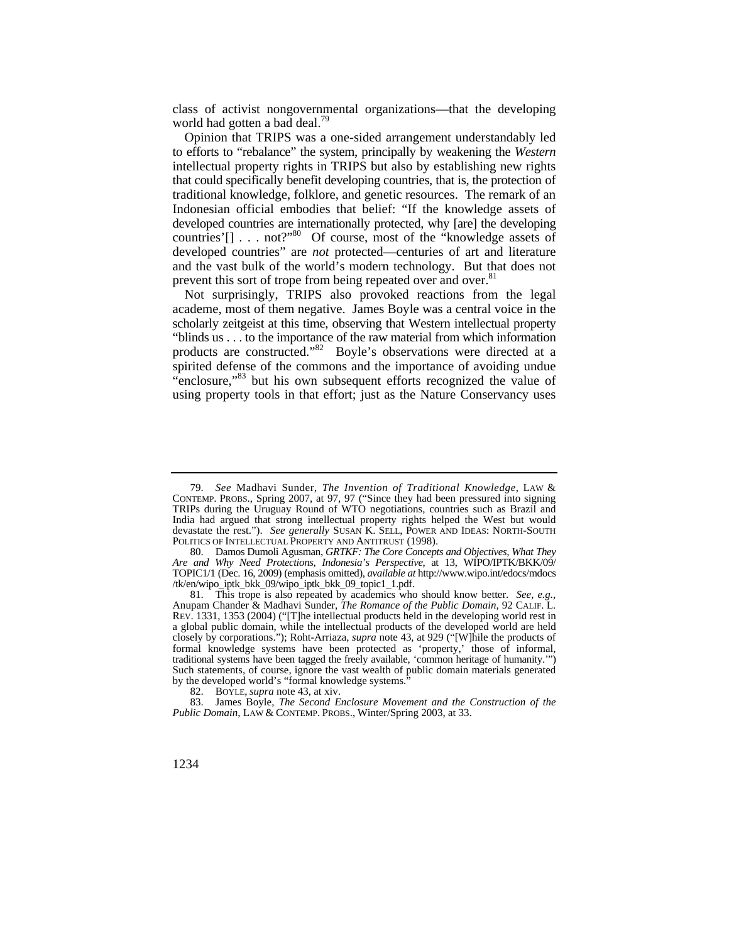class of activist nongovernmental organizations—that the developing world had gotten a bad deal.<sup>79</sup>

 that could specifically benefit developing countries, that is, the protection of Opinion that TRIPS was a one-sided arrangement understandably led to efforts to "rebalance" the system, principally by weakening the *Western*  intellectual property rights in TRIPS but also by establishing new rights traditional knowledge, folklore, and genetic resources. The remark of an Indonesian official embodies that belief: "If the knowledge assets of developed countries are internationally protected, why [are] the developing countries'[] . . . not?"<sup>80</sup> Of course, most of the "knowledge assets of developed countries" are *not* protected—centuries of art and literature and the vast bulk of the world's modern technology. But that does not prevent this sort of trope from being repeated over and over.<sup>81</sup>

Not surprisingly, TRIPS also provoked reactions from the legal academe, most of them negative. James Boyle was a central voice in the scholarly zeitgeist at this time, observing that Western intellectual property "blinds us . . . to the importance of the raw material from which information products are constructed."82 Boyle's observations were directed at a spirited defense of the commons and the importance of avoiding undue "enclosure,"<sup>83</sup> but his own subsequent efforts recognized the value of using property tools in that effort; just as the Nature Conservancy uses

 devastate the rest."). *See generally* SUSAN K. SELL, POWER AND IDEAS: NORTH-SOUTH 79. *See* Madhavi Sunder, *The Invention of Traditional Knowledge*, LAW & CONTEMP. PROBS., Spring 2007, at 97, 97 ("Since they had been pressured into signing TRIPs during the Uruguay Round of WTO negotiations, countries such as Brazil and India had argued that strong intellectual property rights helped the West but would POLITICS OF INTELLECTUAL PROPERTY AND ANTITRUST (1998).

 *Are and Why Need Protections, Indonesia's Perspective*, at 13, WIPO/IPTK/BKK/09/ 80. Damos Dumoli Agusman, *GRTKF: The Core Concepts and Objectives, What They*  TOPIC1/1 (Dec. 16, 2009) (emphasis omitted), *available at*<http://www.wipo.int/edocs/mdocs> /tk/en/wipo\_iptk\_bkk\_09/wipo\_iptk\_bkk\_09\_topic1\_1.pdf.

<sup>81.</sup> This trope is also repeated by academics who should know better. *See, e.g.*, Anupam Chander & Madhavi Sunder, *The Romance of the Public Domain*, 92 CALIF. L. REV. 1331, 1353 (2004) ("[T]he intellectual products held in the developing world rest in a global public domain, while the intellectual products of the developed world are held closely by corporations."); Roht-Arriaza, *supra* note 43, at 929 ("[W]hile the products of formal knowledge systems have been protected as 'property,' those of informal, traditional systems have been tagged the freely available, 'common heritage of humanity.'") Such statements, of course, ignore the vast wealth of public domain materials generated by the developed world's "formal knowledge systems."

<sup>82.</sup> BOYLE, *supra* note 43, at xiv.

 *Public Domain*, LAW & CONTEMP. PROBS., Winter/Spring 2003, at 33. 83. James Boyle, *The Second Enclosure Movement and the Construction of the*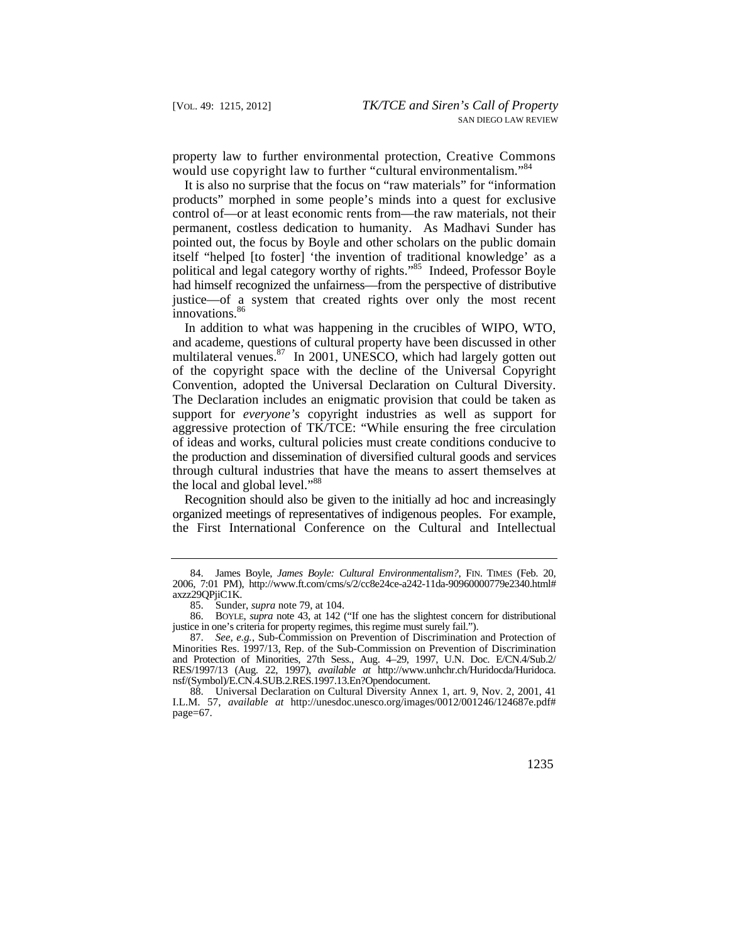property law to further environmental protection, Creative Commons would use copyright law to further "cultural environmentalism."<sup>84</sup>

 itself "helped [to foster] 'the invention of traditional knowledge' as a It is also no surprise that the focus on "raw materials" for "information products" morphed in some people's minds into a quest for exclusive control of—or at least economic rents from—the raw materials, not their permanent, costless dedication to humanity. As Madhavi Sunder has pointed out, the focus by Boyle and other scholars on the public domain political and legal category worthy of rights."85 Indeed, Professor Boyle had himself recognized the unfairness—from the perspective of distributive justice—of a system that created rights over only the most recent innovations.<sup>86</sup>

In addition to what was happening in the crucibles of WIPO, WTO, and academe, questions of cultural property have been discussed in other multilateral venues.<sup>87</sup> In 2001, UNESCO, which had largely gotten out of the copyright space with the decline of the Universal Copyright Convention, adopted the Universal Declaration on Cultural Diversity. The Declaration includes an enigmatic provision that could be taken as support for *everyone's* copyright industries as well as support for aggressive protection of TK/TCE: "While ensuring the free circulation of ideas and works, cultural policies must create conditions conducive to the production and dissemination of diversified cultural goods and services through cultural industries that have the means to assert themselves at the local and global level."<sup>88</sup>

Recognition should also be given to the initially ad hoc and increasingly organized meetings of representatives of indigenous peoples. For example, the First International Conference on the Cultural and Intellectual

<sup>84.</sup> James Boyle, *James Boyle: Cultural Environmentalism?*, FIN. TIMES (Feb. 20, 2006, 7:01 PM), [http://www.ft.com/cms/s/2/cc8e24ce-a242-11da-90960000779e2340.html#](http://www.ft.com/cms/s/2/cc8e24ce-a242-11da-90960000779e2340.html) axzz29OPiiC1K.

<sup>85.</sup> Sunder, *supra* note 79, at 104.

 justice in one's criteria for property regimes, this regime must surely fail."). 86. BOYLE, *supra* note 43, at 142 ("If one has the slightest concern for distributional

<sup>87.</sup> *See, e.g.*, Sub-Commission on Prevention of Discrimination and Protection of Minorities Res. 1997/13, Rep. of the Sub-Commission on Prevention of Discrimination and Protection of Minorities, 27th Sess., Aug. 4–29, 1997, U.N. Doc. E/CN.4/Sub.2/ RES/1997/13 (Aug. 22, 1997), *available at* [http://www.unhchr.ch/Huridocda/Huridoca.](http://www.unhchr.ch/Huridocda/Huridoca) nsf/(Symbol)/E.CN.4.SUB.2.RES.1997.13.En?Opendocument.

<sup>88.</sup> Universal Declaration on Cultural Diversity Annex 1, art. 9, Nov. 2, 2001, 41 I.L.M. 57, *available at* <http://unesdoc.unesco.org/images/0012/001246/124687e.pdf># page=67.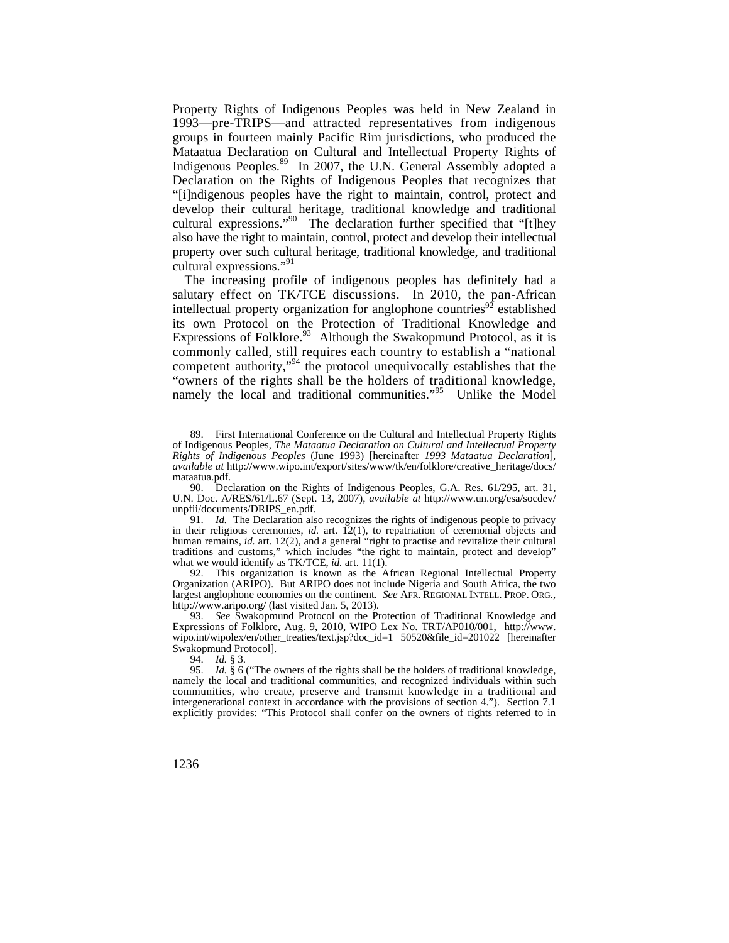Property Rights of Indigenous Peoples was held in New Zealand in 1993—pre-TRIPS—and attracted representatives from indigenous groups in fourteen mainly Pacific Rim jurisdictions, who produced the Mataatua Declaration on Cultural and Intellectual Property Rights of Indigenous [Peoples.](https://Peoples.89)89 In 2007, the U.N. General Assembly adopted a Declaration on the Rights of Indigenous Peoples that recognizes that "[i]ndigenous peoples have the right to maintain, control, protect and develop their cultural heritage, traditional knowledge and traditional cultural expressions."<sup>90</sup> The declaration further specified that "[t]hey also have the right to maintain, control, protect and develop their intellectual property over such cultural heritage, traditional knowledge, and traditional cultural expressions."<sup>91</sup>

Expressions of Folklore. $93$  Although the Swakopmund Protocol, as it is namely the local and traditional communities."<sup>95</sup> Unlike the Model The increasing profile of indigenous peoples has definitely had a salutary effect on TK/TCE discussions. In 2010, the pan-African intellectual property organization for anglophone countries<sup>92</sup> established its own Protocol on the Protection of Traditional Knowledge and commonly called, still requires each country to establish a "national competent authority,"<sup>94</sup> the protocol unequivocally establishes that the "owners of the rights shall be the holders of traditional knowledge,

 largest anglophone economies on the continent. *See* AFR. REGIONAL INTELL. PROP. ORG., 92. This organization is known as the African Regional Intellectual Property Organization (ARIPO). But ARIPO does not include Nigeria and South Africa, the two <http://www.aripo.org>/ (last visited Jan. 5, 2013).

93. *See* Swakopmund Protocol on the Protection of Traditional Knowledge and Expressions of Folklore, Aug. 9, 2010, WIPO Lex No. TRT/AP010/001, [http://www.](http://www) wipo.int/wipolex/en/other\_treaties/text.jsp?doc\_id=1 50520&file\_id=201022 [hereinafter Swakopmund Protocol].

94. *Id.* § 3.

95. *Id.* § 6 ("The owners of the rights shall be the holders of traditional knowledge, namely the local and traditional communities, and recognized individuals within such communities, who create, preserve and transmit knowledge in a traditional and intergenerational context in accordance with the provisions of section 4."). Section 7.1 explicitly provides: "This Protocol shall confer on the owners of rights referred to in

<sup>89.</sup> First International Conference on the Cultural and Intellectual Property Rights of Indigenous Peoples, *The Mataatua Declaration on Cultural and Intellectual Property Rights of Indigenous Peoples* (June 1993) [hereinafter *1993 Mataatua Declaration*], *available at* [http://www.wipo.int/export/sites/www/tk/en/folklore/creative\\_heritage/docs/](http://www.wipo.int/export/sites/www/tk/en/folklore/creative_heritage/docs) mataatua.pdf.

<sup>90.</sup> Declaration on the Rights of Indigenous Peoples, G.A. Res. 61/295, art. 31, U.N. Doc. [A/RES/61/L.67](https://A/RES/61/L.67) (Sept. 13, 2007), *available at* [http://www.un.org/esa/socdev/](http://www.un.org/esa/socdev) unpfii/documents/DRIPS\_en.pdf.

<sup>91.</sup> *Id.* The Declaration also recognizes the rights of indigenous people to privacy in their religious ceremonies, *id.* art. 12(1), to repatriation of ceremonial objects and human remains, *id.* art. 12(2), and a general "right to practise and revitalize their cultural traditions and customs," which includes "the right to maintain, protect and develop" what we would identify as TK/TCE, *id.* art. 11(1).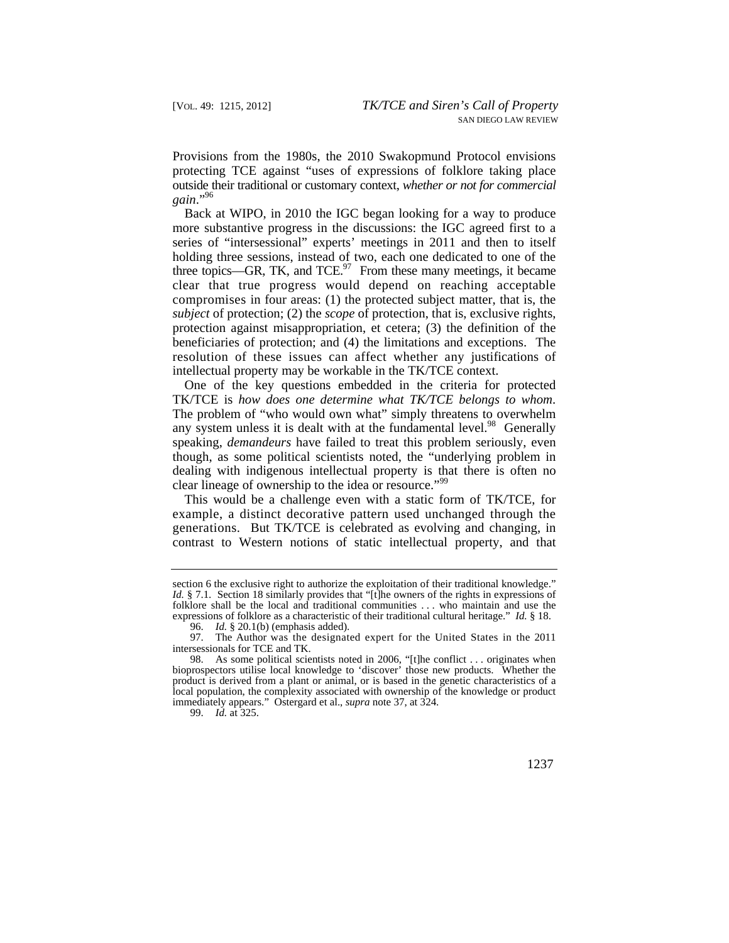Provisions from the 1980s, the 2010 Swakopmund Protocol envisions protecting TCE against "uses of expressions of folklore taking place outside their traditional or customary context, *whether or not for commercial gain*."96

 resolution of these issues can affect whether any justifications of Back at WIPO, in 2010 the IGC began looking for a way to produce more substantive progress in the discussions: the IGC agreed first to a series of "intersessional" experts' meetings in 2011 and then to itself holding three sessions, instead of two, each one dedicated to one of the three topics—GR, TK, and TCE. $97$  From these many meetings, it became clear that true progress would depend on reaching acceptable compromises in four areas: (1) the protected subject matter, that is, the *subject* of protection; (2) the *scope* of protection, that is, exclusive rights, protection against misappropriation, et cetera; (3) the definition of the beneficiaries of protection; and (4) the limitations and exceptions. The intellectual property may be workable in the TK/TCE context.

One of the key questions embedded in the criteria for protected TK/TCE is *how does one determine what TK/TCE belongs to whom*. The problem of "who would own what" simply threatens to overwhelm any system unless it is dealt with at the fundamental [level.](https://level.98) $98$  Generally speaking, *demandeurs* have failed to treat this problem seriously, even though, as some political scientists noted, the "underlying problem in dealing with indigenous intellectual property is that there is often no clear lineage of ownership to the idea or resource."<sup>99</sup>

This would be a challenge even with a static form of TK/TCE, for example, a distinct decorative pattern used unchanged through the generations. But TK/TCE is celebrated as evolving and changing, in contrast to Western notions of static intellectual property, and that

 folklore shall be the local and traditional communities . . . who maintain and use the expressions of folklore as a characteristic of their traditional cultural heritage." *Id.* § 18. section 6 the exclusive right to authorize the exploitation of their traditional knowledge." *Id.* § 7.1. Section 18 similarly provides that "[t]he owners of the rights in expressions of

<sup>96.</sup> *Id.* § 20.1(b) (emphasis added).

 97. The Author was the designated expert for the United States in the 2011 intersessionals for TCE and TK.

<sup>98.</sup> As some political scientists noted in 2006, "[t]he conflict . . . originates when bioprospectors utilise local knowledge to 'discover' those new products. Whether the product is derived from a plant or animal, or is based in the genetic characteristics of a local population, the complexity associated with ownership of the knowledge or product immediately appears." Ostergard et al., *supra* note 37, at 324.

<sup>99.</sup> *Id.* at 325.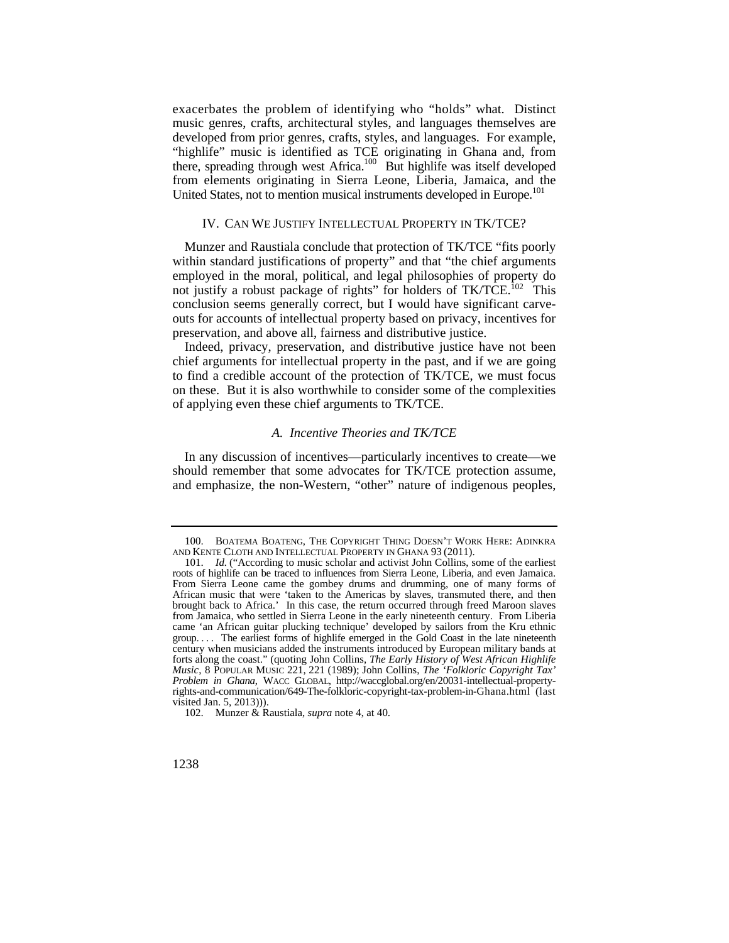exacerbates the problem of identifying who "holds" what. Distinct music genres, crafts, architectural styles, and languages themselves are developed from prior genres, crafts, styles, and languages. For example, "highlife" music is identified as TCE originating in Ghana and, from there, spreading through west Africa.<sup>100</sup> But highlife was itself developed from elements originating in Sierra Leone, Liberia, Jamaica, and the United States, not to mention musical instruments developed in Europe.<sup>101</sup>

## IV. CAN WE JUSTIFY INTELLECTUAL PROPERTY IN TK/TCE?

Munzer and Raustiala conclude that protection of TK/TCE "fits poorly within standard justifications of property" and that "the chief arguments employed in the moral, political, and legal philosophies of property do not justify a robust package of rights" for holders of TK/TCE.<sup>102</sup> This conclusion seems generally correct, but I would have significant carveouts for accounts of intellectual property based on privacy, incentives for preservation, and above all, fairness and distributive justice.

Indeed, privacy, preservation, and distributive justice have not been chief arguments for intellectual property in the past, and if we are going to find a credible account of the protection of TK/TCE, we must focus on these. But it is also worthwhile to consider some of the complexities of applying even these chief arguments to TK/TCE.

## *A. Incentive Theories and TK/TCE*

In any discussion of incentives—particularly incentives to create—we should remember that some advocates for TK/TCE protection assume, and emphasize, the non-Western, "other" nature of indigenous peoples,

 <sup>100.</sup> BOATEMA BOATENG, THE COPYRIGHT THING DOESN'T WORK HERE: ADINKRA AND KENTE CLOTH AND INTELLECTUAL PROPERTY IN GHANA 93 (2011).

roots of highlife can be traced to influences from Sierra Leone, Liberia, and even Jamaica. roots of highlife can be traced to influences from Sierra Leone, Liberia, and even Jamaica. From Sierra Leone came the gombey drums and drumming, one of many forms of group. . . . The earliest forms of highlife emerged in the Gold Coast in the late nineteenth century when musicians added the instruments introduced by European military bands at 101. *Id.* ("According to music scholar and activist John Collins, some of the earliest African music that were 'taken to the Americas by slaves, transmuted there, and then brought back to Africa.' In this case, the return occurred through freed Maroon slaves from Jamaica, who settled in Sierra Leone in the early nineteenth century. From Liberia came 'an African guitar plucking technique' developed by sailors from the Kru ethnic forts along the coast." (quoting John Collins, *The Early History of West African Highlife Music*, 8 POPULAR MUSIC 221, 221 (1989); John Collins, *The 'Folkloric Copyright Tax' Problem in Ghana*, WACC GLOBAL, <http://waccglobal.org/en/20031-intellectual-property>rights-and-communication/649-The-folkloric-copyright-tax-problem-in-Ghana.html (last visited Jan. 5, 2013))).

<sup>102.</sup> Munzer & Raustiala, *supra* note 4, at 40.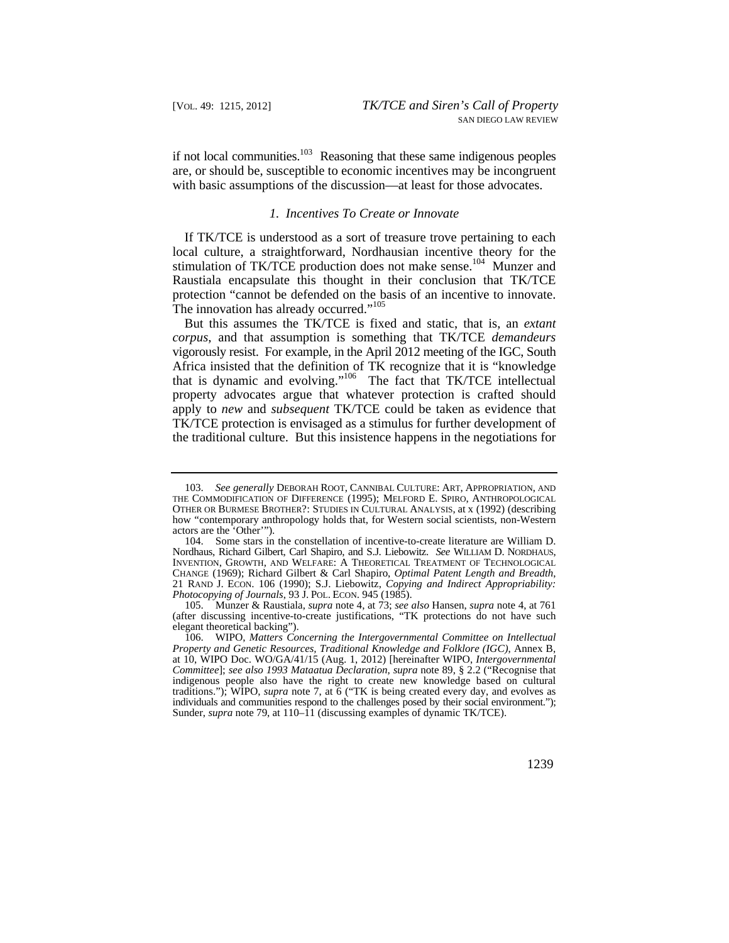if not local communities. $103$  Reasoning that these same indigenous peoples are, or should be, susceptible to economic incentives may be incongruent with basic assumptions of the discussion—at least for those advocates.

#### *1. Incentives To Create or Innovate*

If TK/TCE is understood as a sort of treasure trove pertaining to each local culture, a straightforward, Nordhausian incentive theory for the stimulation of TK/TCE production does not make sense.<sup>104</sup> Munzer and Raustiala encapsulate this thought in their conclusion that TK/TCE protection "cannot be defended on the basis of an incentive to innovate. The innovation has already occurred."<sup>105</sup>

But this assumes the TK/TCE is fixed and static, that is, an *extant corpus*, and that assumption is something that TK/TCE *demandeurs*  vigorously resist. For example, in the April 2012 meeting of the IGC, South Africa insisted that the definition of TK recognize that it is "knowledge that is dynamic and evolving."106 The fact that TK/TCE intellectual property advocates argue that whatever protection is crafted should apply to *new* and *subsequent* TK/TCE could be taken as evidence that TK/TCE protection is envisaged as a stimulus for further development of the traditional culture. But this insistence happens in the negotiations for

 103. *See generally* DEBORAH ROOT, CANNIBAL CULTURE: ART, APPROPRIATION, AND THE COMMODIFICATION OF DIFFERENCE (1995); MELFORD E. SPIRO, ANTHROPOLOGICAL OTHER OR BURMESE BROTHER?: STUDIES IN CULTURAL ANALYSIS, at x (1992) (describing how "contemporary anthropology holds that, for Western social scientists, non-Western actors are the 'Other'").

 INVENTION, GROWTH, AND WELFARE: A THEORETICAL TREATMENT OF TECHNOLOGICAL *Photocopying of Journals*, 93 J. POL. ECON. 945 (1985). 104. Some stars in the constellation of incentive-to-create literature are William D. Nordhaus, Richard Gilbert, Carl Shapiro, and S.J. Liebowitz. *See* WILLIAM D. NORDHAUS, CHANGE (1969); Richard Gilbert & Carl Shapiro, *Optimal Patent Length and Breadth*, 21 RAND J. ECON. 106 (1990); S.J. Liebowitz, *Copying and Indirect Appropriability:* 

<sup>105.</sup> Munzer & Raustiala, *supra* note 4, at 73; *see also* Hansen, *supra* note 4, at 761 (after discussing incentive-to-create justifications, "TK protections do not have such elegant theoretical backing").

 <sup>106.</sup> WIPO, *Matters Concerning the Intergovernmental Committee on Intellectual Property and Genetic Resources, Traditional Knowledge and Folklore (IGC)*, Annex B, at 10, WIPO Doc. WO/GA/41/15 (Aug. 1, 2012) [hereinafter WIPO, *Intergovernmental Committee*]; *see also 1993 Mataatua Declaration*, *supra* note 89, § 2.2 ("Recognise that indigenous people also have the right to create new knowledge based on cultural traditions."); WIPO, *supra* note 7, at 6 ("TK is being created every day, and evolves as individuals and communities respond to the challenges posed by their social environment."); Sunder, *supra* note 79, at 110–11 (discussing examples of dynamic TK/TCE).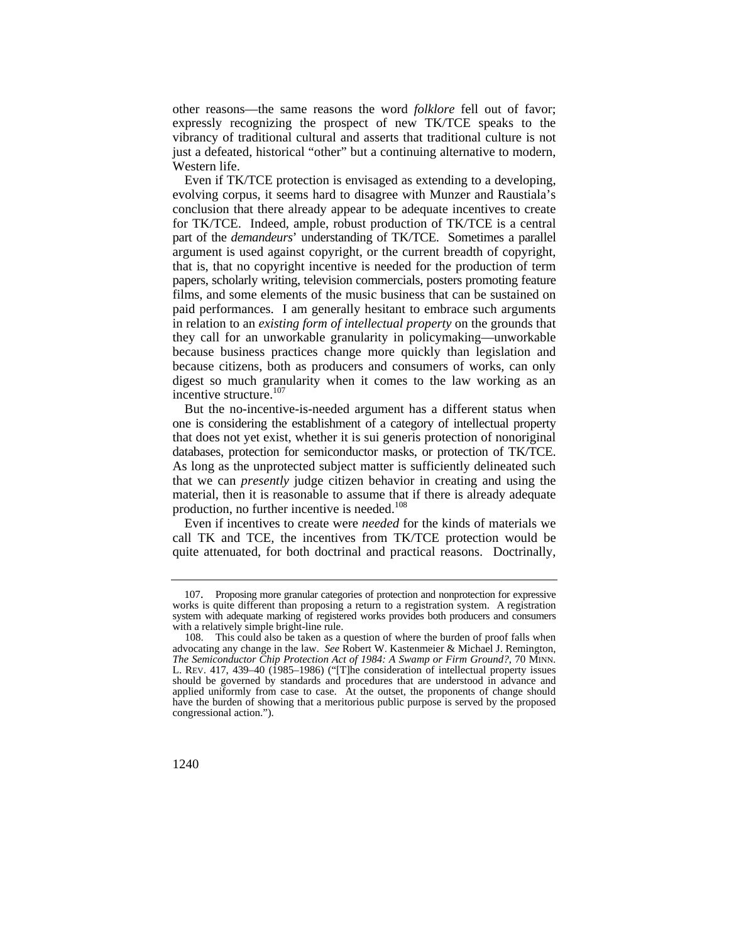other reasons—the same reasons the word *folklore* fell out of favor; expressly recognizing the prospect of new TK/TCE speaks to the vibrancy of traditional cultural and asserts that traditional culture is not just a defeated, historical "other" but a continuing alternative to modern, Western life.

 paid performances. I am generally hesitant to embrace such arguments Even if TK/TCE protection is envisaged as extending to a developing, evolving corpus, it seems hard to disagree with Munzer and Raustiala's conclusion that there already appear to be adequate incentives to create for TK/TCE. Indeed, ample, robust production of TK/TCE is a central part of the *demandeurs*' understanding of TK/TCE. Sometimes a parallel argument is used against copyright, or the current breadth of copyright, that is, that no copyright incentive is needed for the production of term papers, scholarly writing, television commercials, posters promoting feature films, and some elements of the music business that can be sustained on in relation to an *existing form of intellectual property* on the grounds that they call for an unworkable granularity in policymaking—unworkable because business practices change more quickly than legislation and because citizens, both as producers and consumers of works, can only digest so much granularity when it comes to the law working as an incentive structure.<sup>107</sup>

But the no-incentive-is-needed argument has a different status when one is considering the establishment of a category of intellectual property that does not yet exist, whether it is sui generis protection of nonoriginal databases, protection for semiconductor masks, or protection of TK/TCE. As long as the unprotected subject matter is sufficiently delineated such that we can *presently* judge citizen behavior in creating and using the material, then it is reasonable to assume that if there is already adequate production, no further incentive is needed.<sup>108</sup>

Even if incentives to create were *needed* for the kinds of materials we call TK and TCE, the incentives from TK/TCE protection would be quite attenuated, for both doctrinal and practical reasons. Doctrinally,

<sup>107.</sup> Proposing more granular categories of protection and nonprotection for expressive works is quite different than proposing a return to a registration system. A registration system with adequate marking of registered works provides both producers and consumers with a relatively simple bright-line rule.

 advocating any change in the law. *See* Robert W. Kastenmeier & Michael J. Remington, 108. This could also be taken as a question of where the burden of proof falls when *The Semiconductor Chip Protection Act of 1984: A Swamp or Firm Ground?*, 70 MINN. L. REV. 417, 439–40 (1985–1986) ("[T]he consideration of intellectual property issues should be governed by standards and procedures that are understood in advance and applied uniformly from case to case. At the outset, the proponents of change should have the burden of showing that a meritorious public purpose is served by the proposed congressional action.").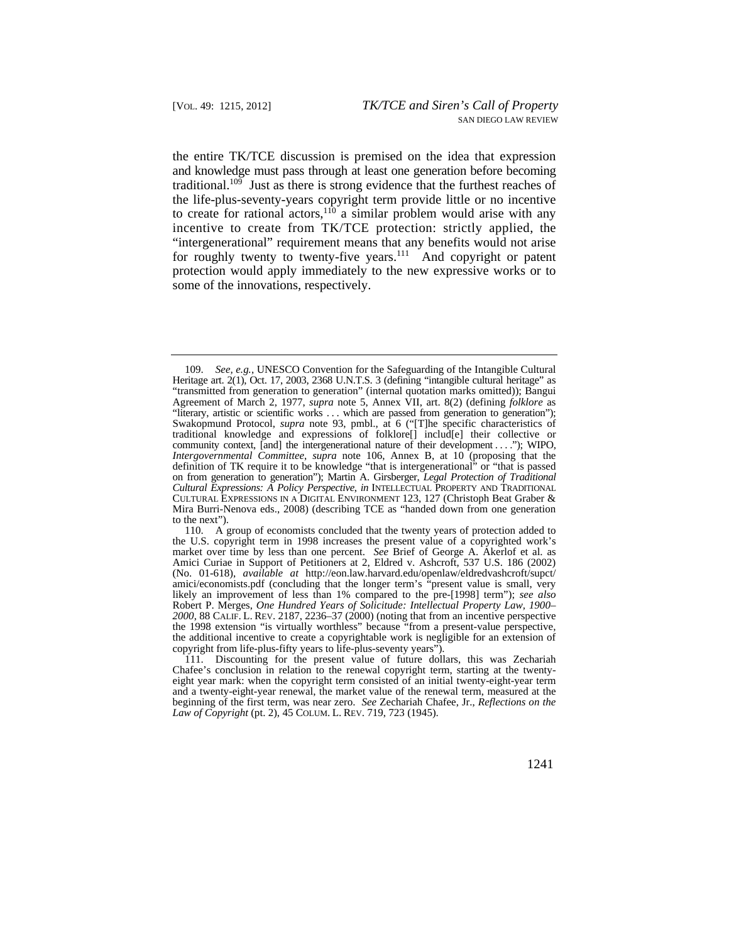the entire TK/TCE discussion is premised on the idea that expression and knowledge must pass through at least one generation before becoming traditional.<sup>109</sup> Just as there is strong evidence that the furthest reaches of the life-plus-seventy-years copyright term provide little or no incentive to create for rational actors, $110$  a similar problem would arise with any incentive to create from TK/TCE protection: strictly applied, the "intergenerational" requirement means that any benefits would not arise for roughly twenty to twenty-five years. $111$  And copyright or patent protection would apply immediately to the new expressive works or to some of the innovations, respectively.

 "transmitted from generation to generation" (internal quotation marks omitted)); Bangui 109. *See, e.g.*, UNESCO Convention for the Safeguarding of the Intangible Cultural Heritage art. 2(1), Oct. 17, 2003, 2368 U.N.T.S. 3 (defining "intangible cultural heritage" as Agreement of March 2, 1977, *supra* note 5, Annex VII, art. 8(2) (defining *folklore* as "literary, artistic or scientific works . . . which are passed from generation to generation"); Swakopmund Protocol, *supra* note 93, pmbl., at 6 ("[T]he specific characteristics of traditional knowledge and expressions of folklore[] includ[e] their collective or community context, [and] the intergenerational nature of their development . . . ."); WIPO, *Intergovernmental Committee*, *supra* note 106, Annex B, at 10 (proposing that the definition of TK require it to be knowledge "that is intergenerational" or "that is passed on from generation to generation"); Martin A. Girsberger, *Legal Protection of Traditional Cultural Expressions: A Policy Perspective*, *in* INTELLECTUAL PROPERTY AND TRADITIONAL CULTURAL EXPRESSIONS IN A DIGITAL ENVIRONMENT 123, 127 (Christoph Beat Graber & Mira Burri-Nenova eds., 2008) (describing TCE as "handed down from one generation to the next").

 market over time by less than one percent. *See* Brief of George A. Akerlof et al. as *2000*, 88 CALIF. L. REV. 2187, 2236–37 (2000) (noting that from an incentive perspective 110. A group of economists concluded that the twenty years of protection added to the U.S. copyright term in 1998 increases the present value of a copyrighted work's Amici Curiae in Support of Petitioners at 2, Eldred v. Ashcroft, 537 U.S. 186 (2002) (No. 01-618), *available at* [http://eon.law.harvard.edu/openlaw/eldredvashcroft/supct/](http://eon.law.harvard.edu/openlaw/eldredvashcroft/supct) amici/economists.pdf (concluding that the longer term's "present value is small, very likely an improvement of less than 1% compared to the pre-[1998] term"); *see also*  Robert P. Merges, *One Hundred Years of Solicitude: Intellectual Property Law, 1900–*  the 1998 extension "is virtually worthless" because "from a present-value perspective, the additional incentive to create a copyrightable work is negligible for an extension of copyright from life-plus-fifty years to life-plus-seventy years").

 *Law of Copyright* (pt. 2), 45 COLUM. L. REV. 719, 723 (1945). 111. Discounting for the present value of future dollars, this was Zechariah Chafee's conclusion in relation to the renewal copyright term, starting at the twentyeight year mark: when the copyright term consisted of an initial twenty-eight-year term and a twenty-eight-year renewal, the market value of the renewal term, measured at the beginning of the first term, was near zero. *See* Zechariah Chafee, Jr., *Reflections on the*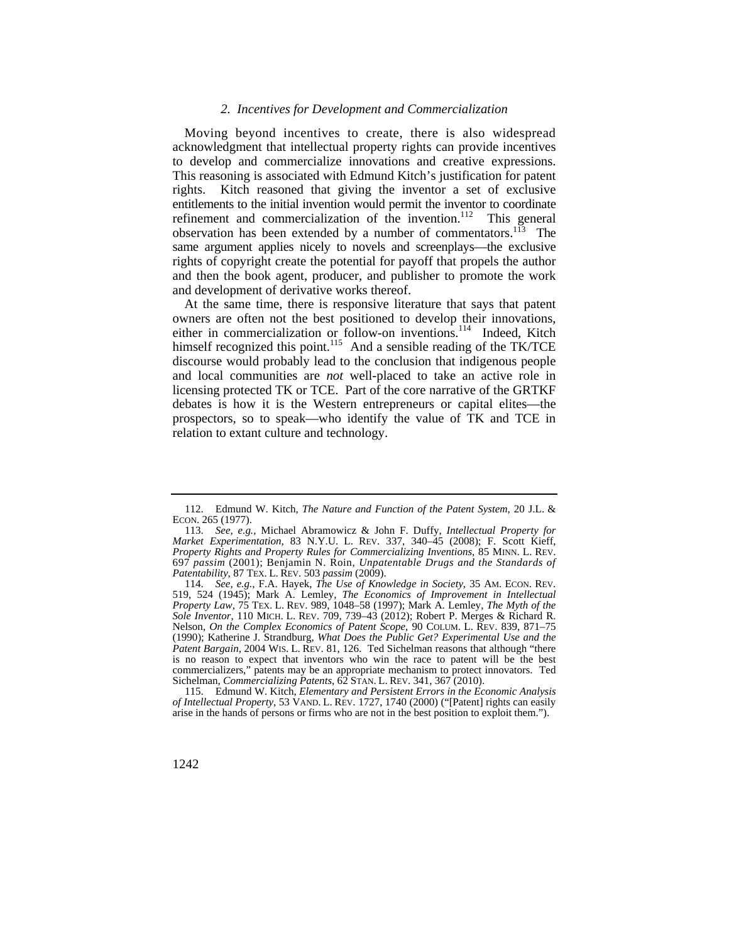#### *2. Incentives for Development and Commercialization*

observation has been extended by a number of commentators.<sup>113</sup> The Moving beyond incentives to create, there is also widespread acknowledgment that intellectual property rights can provide incentives to develop and commercialize innovations and creative expressions. This reasoning is associated with Edmund Kitch's justification for patent rights. Kitch reasoned that giving the inventor a set of exclusive entitlements to the initial invention would permit the inventor to coordinate refinement and commercialization of the invention. $112$  This general same argument applies nicely to novels and screenplays—the exclusive rights of copyright create the potential for payoff that propels the author and then the book agent, producer, and publisher to promote the work and development of derivative works thereof.

At the same time, there is responsive literature that says that patent owners are often not the best positioned to develop their innovations, either in commercialization or follow-on inventions.<sup>114</sup> Indeed, Kitch himself recognized this point.<sup>115</sup> And a sensible reading of the TK/TCE discourse would probably lead to the conclusion that indigenous people and local communities are *not* well-placed to take an active role in licensing protected TK or TCE. Part of the core narrative of the GRTKF debates is how it is the Western entrepreneurs or capital elites—the prospectors, so to speak—who identify the value of TK and TCE in relation to extant culture and technology.

 *of Intellectual Property*, 53 VAND. L. REV. 1727, 1740 (2000) ("[Patent] rights can easily 115. Edmund W. Kitch, *Elementary and Persistent Errors in the Economic Analysis*  arise in the hands of persons or firms who are not in the best position to exploit them.").

<sup>112.</sup> Edmund W. Kitch, *The Nature and Function of the Patent System*, 20 J.L. & ECON. 265 (1977).

 *Market Experimentation*, 83 N.Y.U. L. REV. 337, 340–45 (2008); F. Scott Kieff, *Property Rights and Property Rules for Commercializing Inventions*, 85 MINN. L. REV. *Patentability*, 87 TEX. L. REV. 503 *passim* (2009). 113. *See, e.g.*, Michael Abramowicz & John F. Duffy, *Intellectual Property for*  697 *passim* (2001); Benjamin N. Roin, *Unpatentable Drugs and the Standards of* 

 114. *See, e.g.*, F.A. Hayek, *The Use of Knowledge in Society*, 35 AM. ECON. REV. *Property Law*, 75 TEX. L. REV. 989, 1048–58 (1997); Mark A. Lemley, *The Myth of the Sole Inventor*, 110 MICH. L. REV. 709, 739–43 (2012); Robert P. Merges & Richard R. Nelson, *On the Complex Economics of Patent Scope*, 90 COLUM. L. REV. 839, 871–75 *Patent Bargain*, 2004 WIS. L. REV. 81, 126. Ted Sichelman reasons that although "there commercializers," patents may be an appropriate mechanism to protect innovators. Ted Sichelman, *Commercializing Patents*, 62 STAN. L. REV. 341, 367 (2010). 519, 524 (1945); Mark A. Lemley, *The Economics of Improvement in Intellectual*  (1990); Katherine J. Strandburg, *What Does the Public Get? Experimental Use and the*  is no reason to expect that inventors who win the race to patent will be the best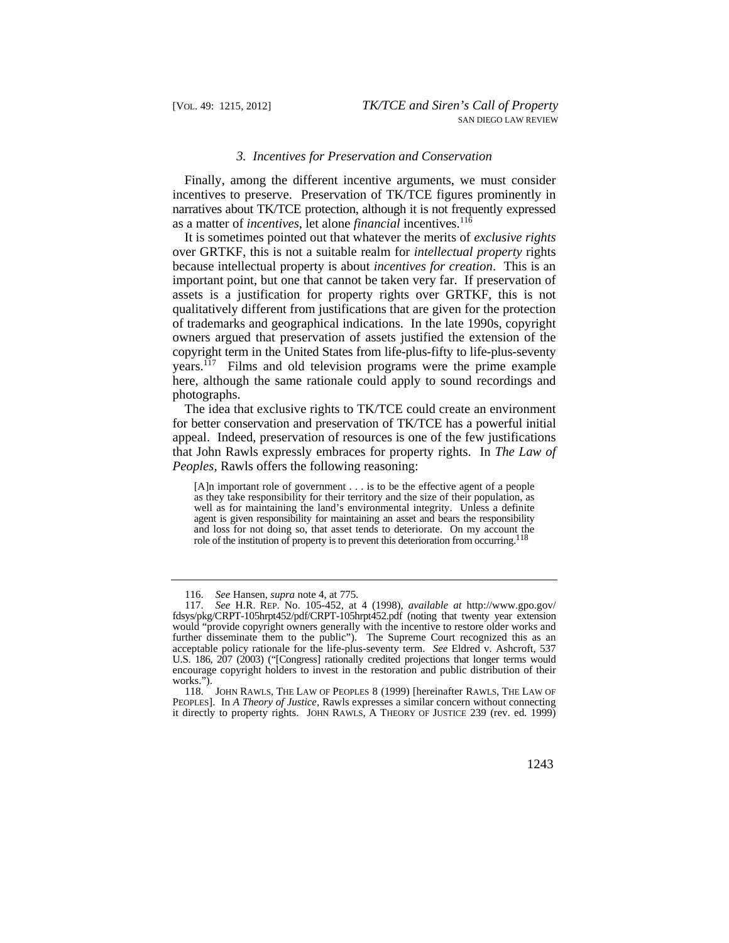#### *3. Incentives for Preservation and Conservation*

Finally, among the different incentive arguments, we must consider incentives to preserve. Preservation of TK/TCE figures prominently in narratives about TK/TCE protection, although it is not frequently expressed as a matter of *incentives*, let alone *financial* incentives.116

It is sometimes pointed out that whatever the merits of *exclusive rights*  over GRTKF, this is not a suitable realm for *intellectual property* rights because intellectual property is about *incentives for creation*. This is an important point, but one that cannot be taken very far. If preservation of assets is a justification for property rights over GRTKF, this is not qualitatively different from justifications that are given for the protection of trademarks and geographical indications. In the late 1990s, copyright owners argued that preservation of assets justified the extension of the copyright term in the United States from life-plus-fifty to life-plus-seventy years.117 Films and old television programs were the prime example here, although the same rationale could apply to sound recordings and photographs.

The idea that exclusive rights to TK/TCE could create an environment for better conservation and preservation of TK/TCE has a powerful initial appeal. Indeed, preservation of resources is one of the few justifications that John Rawls expressly embraces for property rights. In *The Law of Peoples*, Rawls offers the following reasoning:

[A]n important role of government . . . is to be the effective agent of a people as they take responsibility for their territory and the size of their population, as well as for maintaining the land's environmental integrity. Unless a definite agent is given responsibility for maintaining an asset and bears the responsibility and loss for not doing so, that asset tends to deteriorate. On my account the role of the institution of property is to prevent this deterioration from occurring.<sup>1</sup>

 it directly to property rights. JOHN RAWLS, A THEORY OF JUSTICE 239 (rev. ed. 1999) 118. JOHN RAWLS, THE LAW OF PEOPLES 8 (1999) [hereinafter RAWLS, THE LAW OF PEOPLES]. In *A Theory of Justice*, Rawls expresses a similar concern without connecting

<sup>116.</sup> *See* Hansen, *supra* note 4, at 775.

<sup>117.</sup> *See* H.R. REP. No. 105-452, at 4 (1998), *available at* [http://www.gpo.gov/](http://www.gpo.gov) fdsys/pkg/CRPT-105hrpt452/pdf/CRPT-105hrpt452.pdf (noting that twenty year extension would "provide copyright owners generally with the incentive to restore older works and further disseminate them to the public"). The Supreme Court recognized this as an acceptable policy rationale for the life-plus-seventy term. *See* Eldred v. Ashcroft, 537 U.S. 186, 207 (2003) ("[Congress] rationally credited projections that longer terms would encourage copyright holders to invest in the restoration and public distribution of their works.").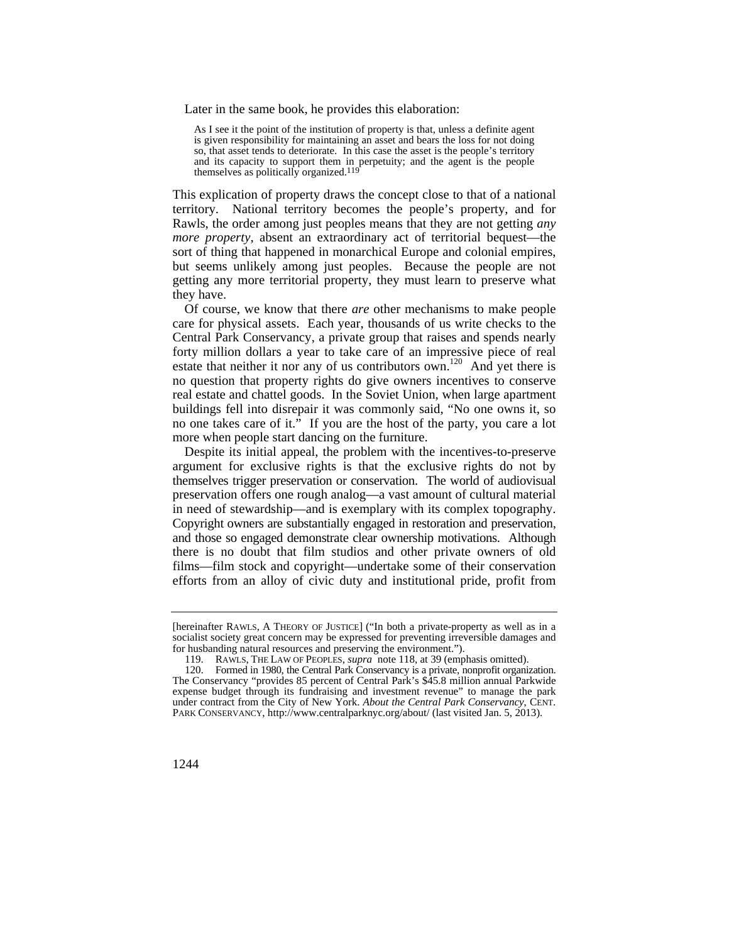Later in the same book, he provides this elaboration:

As I see it the point of the institution of property is that, unless a definite agent is given responsibility for maintaining an asset and bears the loss for not doing so, that asset tends to deteriorate. In this case the asset is the people's territory and its capacity to support them in perpetuity; and the agent is the people themselves as politically organized.<sup>119</sup>

This explication of property draws the concept close to that of a national territory. National territory becomes the people's property, and for Rawls, the order among just peoples means that they are not getting *any more property*, absent an extraordinary act of territorial bequest—the sort of thing that happened in monarchical Europe and colonial empires, but seems unlikely among just peoples. Because the people are not getting any more territorial property, they must learn to preserve what they have.

Of course, we know that there *are* other mechanisms to make people care for physical assets. Each year, thousands of us write checks to the Central Park Conservancy, a private group that raises and spends nearly forty million dollars a year to take care of an impressive piece of real estate that neither it nor any of us contributors own.<sup>120</sup> And yet there is no question that property rights do give owners incentives to conserve real estate and chattel goods. In the Soviet Union, when large apartment buildings fell into disrepair it was commonly said, "No one owns it, so no one takes care of it." If you are the host of the party, you care a lot more when people start dancing on the furniture.

Despite its initial appeal, the problem with the incentives-to-preserve argument for exclusive rights is that the exclusive rights do not by themselves trigger preservation or conservation. The world of audiovisual preservation offers one rough analog—a vast amount of cultural material in need of stewardship—and is exemplary with its complex topography. Copyright owners are substantially engaged in restoration and preservation, and those so engaged demonstrate clear ownership motivations. Although there is no doubt that film studios and other private owners of old films—film stock and copyright—undertake some of their conservation efforts from an alloy of civic duty and institutional pride, profit from

 [hereinafter RAWLS, A THEORY OF JUSTICE] ("In both a private-property as well as in a socialist society great concern may be expressed for preventing irreversible damages and for husbanding natural resources and preserving the environment.").

 <sup>119.</sup> RAWLS, THE LAW OF PEOPLES, *supra* note 118, at 39 (emphasis omitted).

 120. Formed in 1980, the Central Park Conservancy is a private, nonprofit organization. The Conservancy "provides 85 percent of Central Park's \$45.8 million annual Parkwide expense budget through its fundraising and investment revenue" to manage the park under contract from the City of New York. *About the Central Park Conservancy*, CENT. PARK CONSERVANCY, <http://www.centralparknyc.org/about>/ (last visited Jan. 5, 2013).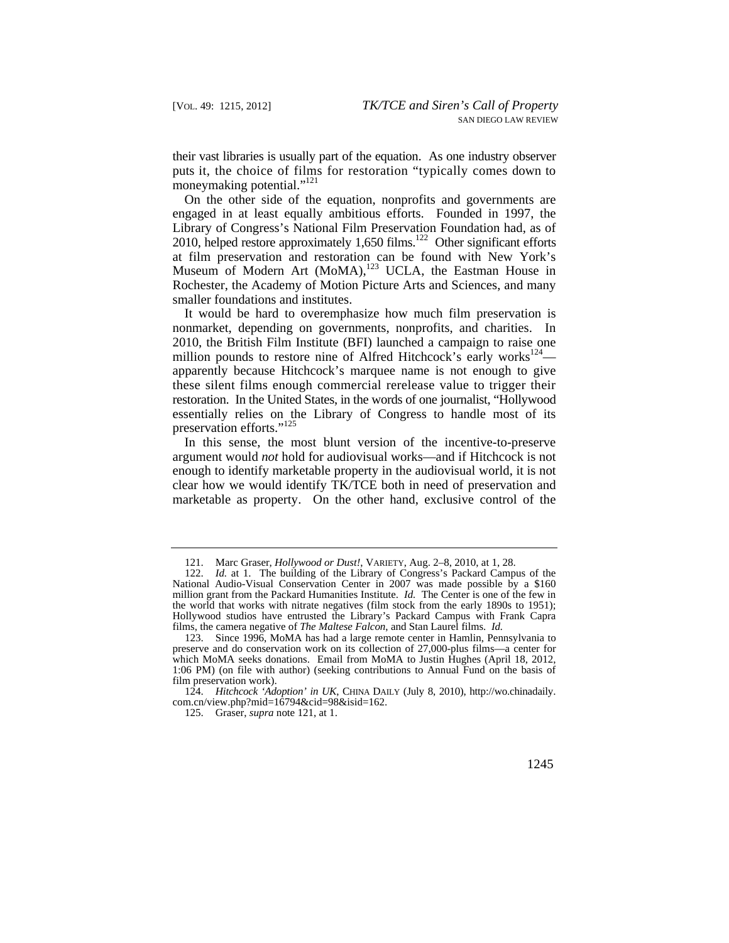puts it, the choice of films for restoration "typically comes down to their vast libraries is usually part of the equation. As one industry observer moneymaking potential."<sup>121</sup>

On the other side of the equation, nonprofits and governments are engaged in at least equally ambitious efforts. Founded in 1997, the Library of Congress's National Film Preservation Foundation had, as of 2010, helped restore approximately  $1,650$  films.<sup>122</sup> Other significant efforts at film preservation and restoration can be found with New York's Museum of Modern Art  $(MoMA)$ ,<sup>123</sup> UCLA, the Eastman House in Rochester, the Academy of Motion Picture Arts and Sciences, and many smaller foundations and institutes.

It would be hard to overemphasize how much film preservation is nonmarket, depending on governments, nonprofits, and charities. In 2010, the British Film Institute (BFI) launched a campaign to raise one million pounds to restore nine of Alfred Hitchcock's early works<sup>124</sup> apparently because Hitchcock's marquee name is not enough to give these silent films enough commercial rerelease value to trigger their restoration. In the United States, in the words of one journalist, "Hollywood essentially relies on the Library of Congress to handle most of its preservation efforts."<sup>125</sup>

In this sense, the most blunt version of the incentive-to-preserve argument would *not* hold for audiovisual works—and if Hitchcock is not enough to identify marketable property in the audiovisual world, it is not clear how we would identify TK/TCE both in need of preservation and marketable as property. On the other hand, exclusive control of the

 <sup>121.</sup> Marc Graser, *Hollywood or Dust!*, VARIETY, Aug. 2–8, 2010, at 1, 28.

 million grant from the Packard Humanities Institute. *Id.* The Center is one of the few in films, the camera negative of *The Maltese Falcon*, and Stan Laurel films. *Id.*  122. *Id.* at 1. The building of the Library of Congress's Packard Campus of the National Audio-Visual Conservation Center in 2007 was made possible by a \$160 the world that works with nitrate negatives (film stock from the early 1890s to 1951); Hollywood studios have entrusted the Library's Packard Campus with Frank Capra

<sup>123.</sup> Since 1996, MoMA has had a large remote center in Hamlin, Pennsylvania to preserve and do conservation work on its collection of 27,000-plus films—a center for which MoMA seeks donations. Email from MoMA to Justin Hughes (April 18, 2012, 1:06 PM) (on file with author) (seeking contributions to Annual Fund on the basis of film preservation work).

<sup>124.</sup> *Hitchcock 'Adoption' in UK*, CHINA DAILY (July 8, 2010), [http://wo.chinadaily.](http://wo.chinadaily) com.cn/view.php?mid=16794&cid=98&isid=162.

 <sup>125.</sup> Graser, *supra* note 121, at 1.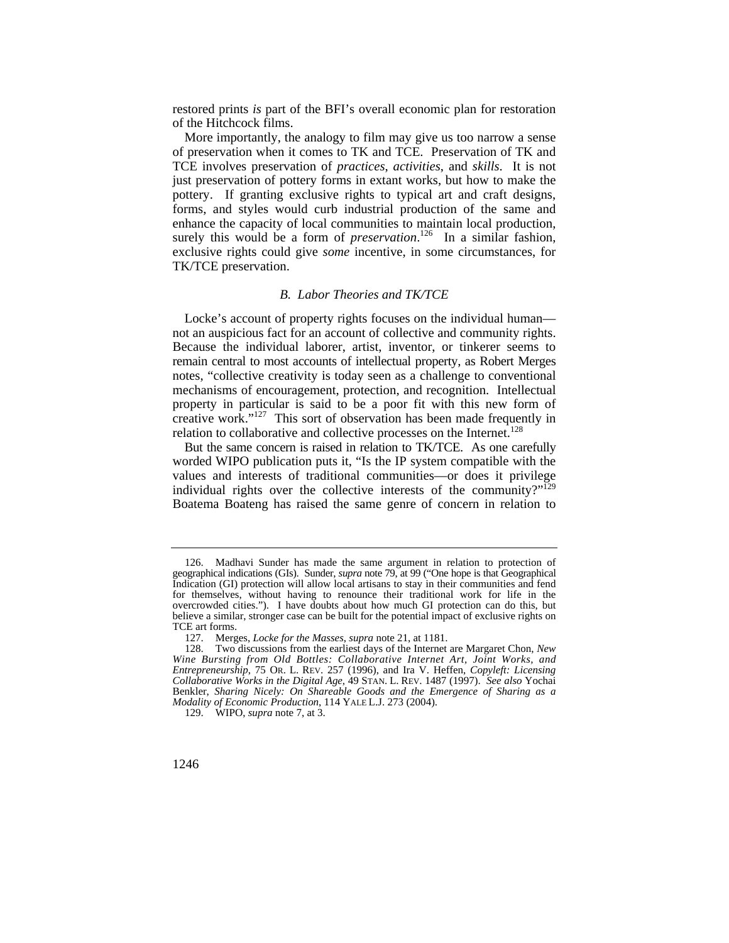restored prints *is* part of the BFI's overall economic plan for restoration of the Hitchcock films.

More importantly, the analogy to film may give us too narrow a sense of preservation when it comes to TK and TCE. Preservation of TK and TCE involves preservation of *practices*, *activities*, and *skills*. It is not just preservation of pottery forms in extant works, but how to make the pottery. If granting exclusive rights to typical art and craft designs, forms, and styles would curb industrial production of the same and enhance the capacity of local communities to maintain local production, surely this would be a form of *preservation*.<sup>126</sup> In a similar fashion, exclusive rights could give *some* incentive, in some circumstances, for TK/TCE preservation.

# *B. Labor Theories and TK/TCE*

creative work."<sup>127</sup> This sort of observation has been made frequently in Locke's account of property rights focuses on the individual human not an auspicious fact for an account of collective and community rights. Because the individual laborer, artist, inventor, or tinkerer seems to remain central to most accounts of intellectual property, as Robert Merges notes, "collective creativity is today seen as a challenge to conventional mechanisms of encouragement, protection, and recognition. Intellectual property in particular is said to be a poor fit with this new form of relation to collaborative and collective processes on the Internet.<sup>128</sup>

individual rights over the collective interests of the community?" $129$ But the same concern is raised in relation to TK/TCE. As one carefully worded WIPO publication puts it, "Is the IP system compatible with the values and interests of traditional communities—or does it privilege Boatema Boateng has raised the same genre of concern in relation to

<sup>126.</sup> Madhavi Sunder has made the same argument in relation to protection of geographical indications (GIs). Sunder, *supra* note 79, at 99 ("One hope is that Geographical Indication (GI) protection will allow local artisans to stay in their communities and fend for themselves, without having to renounce their traditional work for life in the overcrowded cities."). I have doubts about how much GI protection can do this, but believe a similar, stronger case can be built for the potential impact of exclusive rights on TCE art forms.

 <sup>127.</sup> Merges, *Locke for the Masses*, *supra* note 21, at 1181.

 *Entrepreneurship*, 75 OR. L. REV. 257 (1996), and Ira V. Heffen, *Copyleft: Licensing Collaborative Works in the Digital Age*, 49 STAN. L. REV. 1487 (1997). *See also* Yochai 128. Two discussions from the earliest days of the Internet are Margaret Chon, *New Wine Bursting from Old Bottles: Collaborative Internet Art, Joint Works, and*  Benkler, *Sharing Nicely: On Shareable Goods and the Emergence of Sharing as a Modality of Economic Production*, 114 YALE L.J. 273 (2004).

 <sup>129.</sup> WIPO, *supra* note 7, at 3.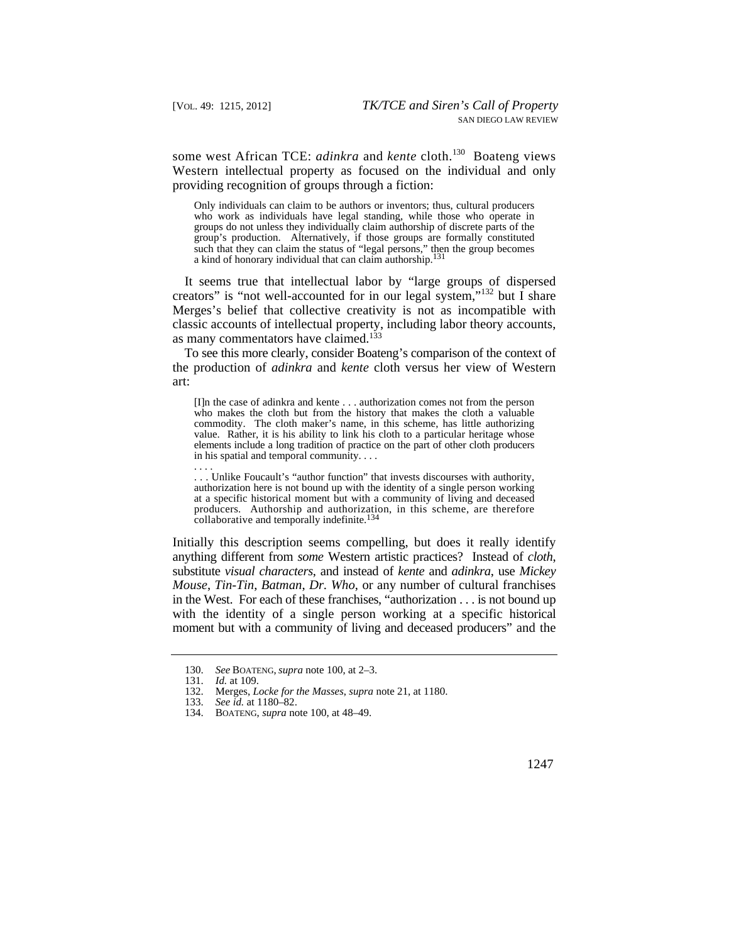some west African TCE: *adinkra* and *kente* cloth.<sup>130</sup> Boateng views Western intellectual property as focused on the individual and only providing recognition of groups through a fiction:

 groups do not unless they individually claim authorship of discrete parts of the Only individuals can claim to be authors or inventors; thus, cultural producers who work as individuals have legal standing, while those who operate in group's production. Alternatively, if those groups are formally constituted such that they can claim the status of "legal persons," then the group becomes a kind of honorary individual that can claim authorship.131

It seems true that intellectual labor by "large groups of dispersed creators" is "not well-accounted for in our legal system,"<sup>132</sup> but I share Merges's belief that collective creativity is not as incompatible with classic accounts of intellectual property, including labor theory accounts, as many commentators have claimed.<sup>133</sup>

To see this more clearly, consider Boateng's comparison of the context of the production of *adinkra* and *kente* cloth versus her view of Western art:

[I]n the case of adinkra and kente . . . authorization comes not from the person who makes the cloth but from the history that makes the cloth a valuable commodity. The cloth maker's name, in this scheme, has little authorizing value. Rather, it is his ability to link his cloth to a particular heritage whose elements include a long tradition of practice on the part of other cloth producers in his spatial and temporal community. . . .

producers. Authorship and authorization, in this scheme, are therefore collaborative and temporally indefinite.<sup>134</sup> . . . Unlike Foucault's "author function" that invests discourses with authority, authorization here is not bound up with the identity of a single person working at a specific historical moment but with a community of living and deceased

 moment but with a community of living and deceased producers" and the Initially this description seems compelling, but does it really identify anything different from *some* Western artistic practices? Instead of *cloth*, substitute *visual characters*, and instead of *kente* and *adinkra*, use *Mickey Mouse*, *Tin-Tin*, *Batman*, *Dr. Who*, or any number of cultural franchises in the West. For each of these franchises, "authorization . . . is not bound up with the identity of a single person working at a specific historical

. . . .

<sup>130.</sup> *See* BOATENG, *supra* note 100, at 2–3.

<sup>131.</sup> *Id.* at 109.

 <sup>132.</sup> Merges, *Locke for the Masses*, *supra* note 21, at 1180.

<sup>133.</sup> *See id.* at 1180–82.

 <sup>134.</sup> BOATENG, *supra* note 100, at 48–49.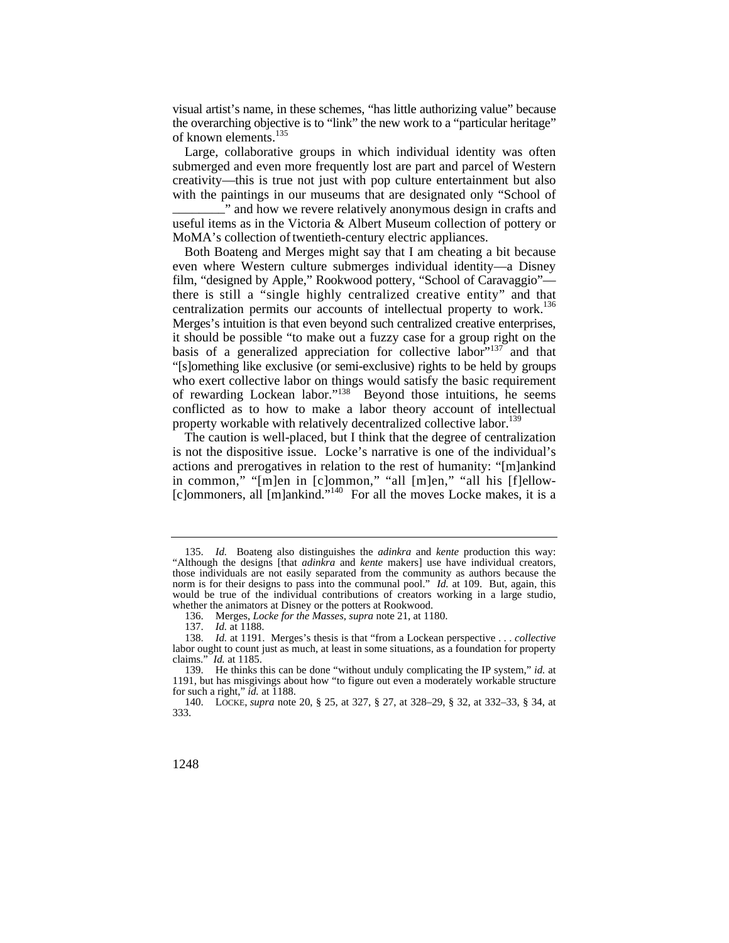visual artist's name, in these schemes, "has little authorizing value" because the overarching objective is to "link" the new work to a "particular heritage" of known elements.<sup>135</sup>

Large, collaborative groups in which individual identity was often submerged and even more frequently lost are part and parcel of Western creativity—this is true not just with pop culture entertainment but also with the paintings in our museums that are designated only "School of \_\_\_\_\_\_\_\_" and how we revere relatively anonymous design in crafts and useful items as in the Victoria & Albert Museum collection of pottery or MoMA's collection of twentieth-century electric appliances.

 there is still a "single highly centralized creative entity" and that centralization permits our accounts of intellectual property to work.<sup>136</sup> "[s]omething like exclusive (or semi-exclusive) rights to be held by groups Both Boateng and Merges might say that I am cheating a bit because even where Western culture submerges individual identity—a Disney film, "designed by Apple," Rookwood pottery, "School of Caravaggio"— Merges's intuition is that even beyond such centralized creative enterprises, it should be possible "to make out a fuzzy case for a group right on the basis of a generalized appreciation for collective labor<sup>"137</sup> and that who exert collective labor on things would satisfy the basic requirement of rewarding Lockean labor."<sup>138</sup> Beyond those intuitions, he seems conflicted as to how to make a labor theory account of intellectual property workable with relatively decentralized collective labor.<sup>139</sup>

 in common," "[m]en in [c]ommon," "all [m]en," "all his [f]ellow- The caution is well-placed, but I think that the degree of centralization is not the dispositive issue. Locke's narrative is one of the individual's actions and prerogatives in relation to the rest of humanity: "[m]ankind [c]ommoners, all [m]ankind."<sup>140</sup> For all the moves Locke makes, it is a

<sup>135.</sup> *Id.* Boateng also distinguishes the *adinkra* and *kente* production this way: "Although the designs [that *adinkra* and *kente* makers] use have individual creators, those individuals are not easily separated from the community as authors because the norm is for their designs to pass into the communal pool." *Id.* at 109. But, again, this would be true of the individual contributions of creators working in a large studio, whether the animators at Disney or the potters at Rookwood.

 <sup>136.</sup> Merges, *Locke for the Masses*, *supra* note 21, at 1180.

<sup>137.</sup> *Id.* at 1188.

<sup>138.</sup> *Id.* at 1191. Merges's thesis is that "from a Lockean perspective . . . *collective*  labor ought to count just as much, at least in some situations, as a foundation for property claims." *Id.* at  $1185$ . *Id.* at 1185.

<sup>139.</sup> He thinks this can be done "without unduly complicating the IP system," *id.* at 1191, but has misgivings about how "to figure out even a moderately workable structure for such a right," *id.* at 1188.

 <sup>140.</sup> LOCKE, *supra* note 20, § 25, at 327, § 27, at 328–29, § 32, at 332–33, § 34, at 333.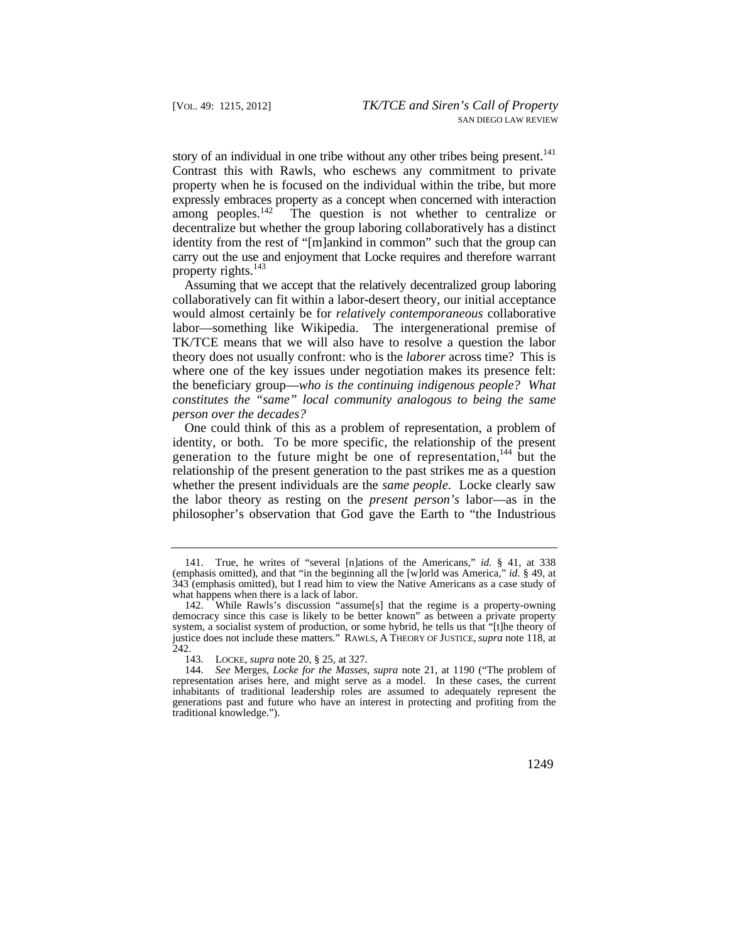story of an individual in one tribe without any other tribes being present.<sup>141</sup> identity from the rest of "[m]ankind in common" such that the group can Contrast this with Rawls, who eschews any commitment to private property when he is focused on the individual within the tribe, but more expressly embraces property as a concept when concerned with interaction among peoples. $142$  The question is not whether to centralize or decentralize but whether the group laboring collaboratively has a distinct carry out the use and enjoyment that Locke requires and therefore warrant property rights. $143$ 

 theory does not usually confront: who is the *laborer* across time? This is Assuming that we accept that the relatively decentralized group laboring collaboratively can fit within a labor-desert theory, our initial acceptance would almost certainly be for *relatively contemporaneous* collaborative labor—something like Wikipedia. The intergenerational premise of TK/TCE means that we will also have to resolve a question the labor where one of the key issues under negotiation makes its presence felt: the beneficiary group—*who is the continuing indigenous people? What constitutes the "same" local community analogous to being the same person over the decades?* 

whether the present individuals are the *same people*. Locke clearly saw One could think of this as a problem of representation, a problem of identity, or both. To be more specific, the relationship of the present generation to the future might be one of representation,<sup>144</sup> but the relationship of the present generation to the past strikes me as a question the labor theory as resting on the *present person's* labor—as in the philosopher's observation that God gave the Earth to "the Industrious

<sup>141.</sup> True, he writes of "several [n]ations of the Americans," *id.* § 41, at 338 (emphasis omitted), and that "in the beginning all the [w]orld was America," *id.* § 49, at 343 (emphasis omitted), but I read him to view the Native Americans as a case study of what happens when there is a lack of labor.

 justice does not include these matters." RAWLS, A THEORY OF JUSTICE, *supra* note 118, at 142. While Rawls's discussion "assume[s] that the regime is a property-owning democracy since this case is likely to be better known" as between a private property system, a socialist system of production, or some hybrid, he tells us that "[t]he theory of 242.

 <sup>143.</sup> LOCKE, *supra* note 20, § 25, at 327.

<sup>144.</sup> *See* Merges, *Locke for the Masses*, *supra* note 21, at 1190 ("The problem of representation arises here, and might serve as a model. In these cases, the current inhabitants of traditional leadership roles are assumed to adequately represent the generations past and future who have an interest in protecting and profiting from the traditional knowledge.").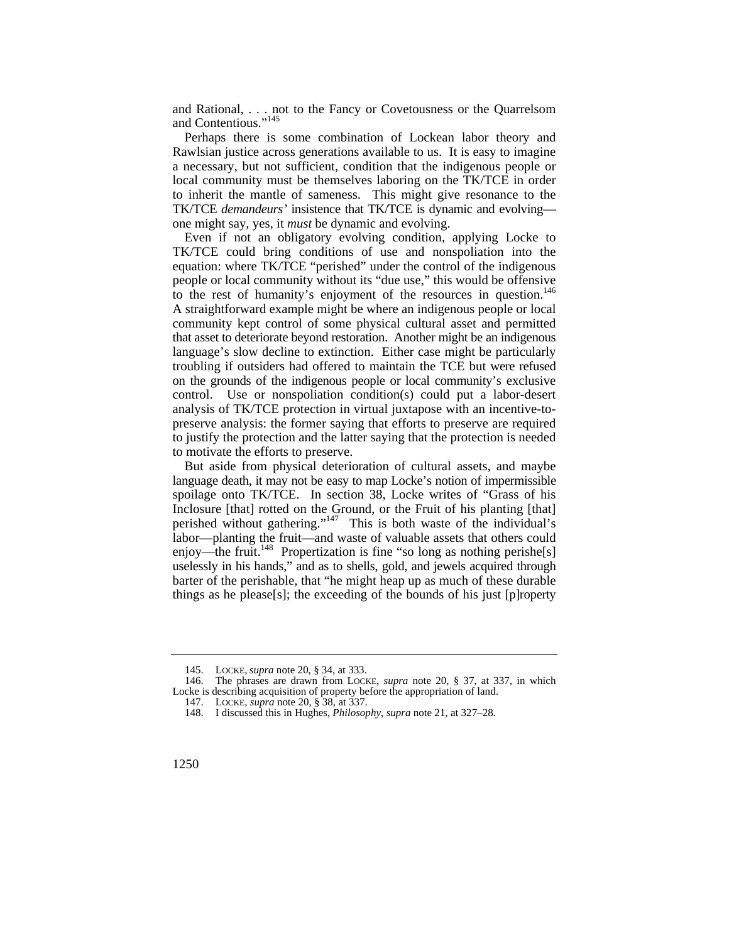and Rational, . . . not to the Fancy or Covetousness or the Quarrelsom and Contentious."<sup>145</sup>

Perhaps there is some combination of Lockean labor theory and Rawlsian justice across generations available to us. It is easy to imagine a necessary, but not sufficient, condition that the indigenous people or local community must be themselves laboring on the TK/TCE in order to inherit the mantle of sameness. This might give resonance to the TK/TCE *demandeurs'* insistence that TK/TCE is dynamic and evolving one might say, yes, it *must* be dynamic and evolving.

to the rest of humanity's enjoyment of the resources in question.<sup>146</sup> that asset to deteriorate beyond restoration. Another might be an indigenous language's slow decline to extinction. Either case might be particularly troubling if outsiders had offered to maintain the TCE but were refused Even if not an obligatory evolving condition, applying Locke to TK/TCE could bring conditions of use and nonspoliation into the equation: where TK/TCE "perished" under the control of the indigenous people or local community without its "due use," this would be offensive A straightforward example might be where an indigenous people or local community kept control of some physical cultural asset and permitted on the grounds of the indigenous people or local community's exclusive control. Use or nonspoliation condition(s) could put a labor-desert analysis of TK/TCE protection in virtual juxtapose with an incentive-topreserve analysis: the former saying that efforts to preserve are required to justify the protection and the latter saying that the protection is needed to motivate the efforts to preserve.

But aside from physical deterioration of cultural assets, and maybe language death, it may not be easy to map Locke's notion of impermissible spoilage onto TK/TCE. In section 38, Locke writes of "Grass of his Inclosure [that] rotted on the Ground, or the Fruit of his planting [that] perished without gathering."<sup>147</sup> This is both waste of the individual's labor—planting the fruit—and waste of valuable assets that others could enjoy—the fruit.<sup>148</sup> Propertization is fine "so long as nothing perishe[s] uselessly in his hands," and as to shells, gold, and jewels acquired through barter of the perishable, that "he might heap up as much of these durable things as he please[s]; the exceeding of the bounds of his just [p]roperty

 <sup>145.</sup> LOCKE, *supra* note 20, § 34, at 333.

<sup>146.</sup> The phrases are drawn from LOCKE, *supra* note 20, § 37, at 337, in which Locke is describing acquisition of property before the appropriation of land.

 <sup>147.</sup> LOCKE, *supra* note 20, § 38, at 337.

<sup>148.</sup> I discussed this in Hughes, *Philosophy*, *supra* note 21, at 327–28.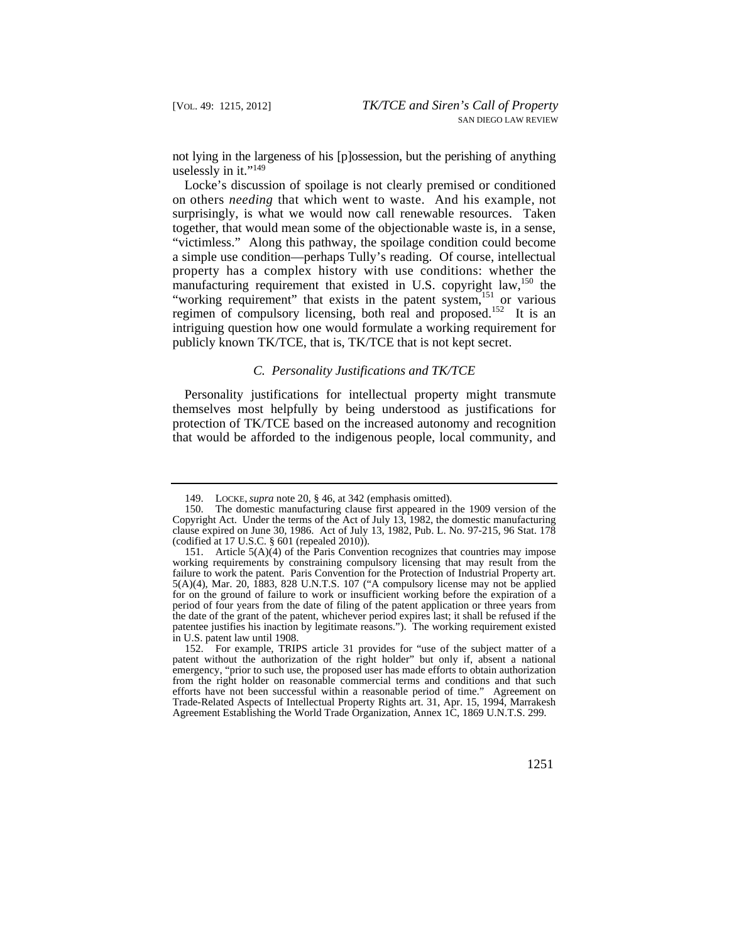not lying in the largeness of his [p]ossession, but the perishing of anything uselessly in it."<sup>149</sup>

 on others *needing* that which went to waste. And his example, not Locke's discussion of spoilage is not clearly premised or conditioned surprisingly, is what we would now call renewable resources. Taken together, that would mean some of the objectionable waste is, in a sense, "victimless." Along this pathway, the spoilage condition could become a simple use condition—perhaps Tully's reading. Of course, intellectual property has a complex history with use conditions: whether the manufacturing requirement that existed in U.S. copyright law,  $150$  the "working requirement" that exists in the patent system,<sup>151</sup> or various regimen of compulsory licensing, both real and proposed.<sup>152</sup> It is an intriguing question how one would formulate a working requirement for publicly known TK/TCE, that is, TK/TCE that is not kept secret.

#### *C. Personality Justifications and TK/TCE*

Personality justifications for intellectual property might transmute themselves most helpfully by being understood as justifications for protection of TK/TCE based on the increased autonomy and recognition that would be afforded to the indigenous people, local community, and

 <sup>149.</sup> LOCKE, *supra* note 20, § 46, at 342 (emphasis omitted).

The domestic manufacturing clause first appeared in the 1909 version of the Copyright Act. Under the terms of the Act of July 13, 1982, the domestic manufacturing clause expired on June 30, 1986. Act of July 13, 1982, Pub. L. No. 97-215, 96 Stat. 178 (codified at 17 U.S.C. § 601 (repealed 2010)).

<sup>151.</sup> Article 5(A)(4) of the Paris Convention recognizes that countries may impose working requirements by constraining compulsory licensing that may result from the failure to work the patent. Paris Convention for the Protection of Industrial Property art. 5(A)(4), Mar. 20, 1883, 828 U.N.T.S. 107 ("A compulsory license may not be applied for on the ground of failure to work or insufficient working before the expiration of a period of four years from the date of filing of the patent application or three years from the date of the grant of the patent, whichever period expires last; it shall be refused if the patentee justifies his inaction by legitimate reasons."). The working requirement existed in U.S. patent law until 1908.

<sup>152.</sup> For example, TRIPS article 31 provides for "use of the subject matter of a patent without the authorization of the right holder" but only if, absent a national emergency, "prior to such use, the proposed user has made efforts to obtain authorization from the right holder on reasonable commercial terms and conditions and that such efforts have not been successful within a reasonable period of time." Agreement on Trade-Related Aspects of Intellectual Property Rights art. 31, Apr. 15, 1994, Marrakesh Agreement Establishing the World Trade Organization, Annex 1C, 1869 U.N.T.S. 299.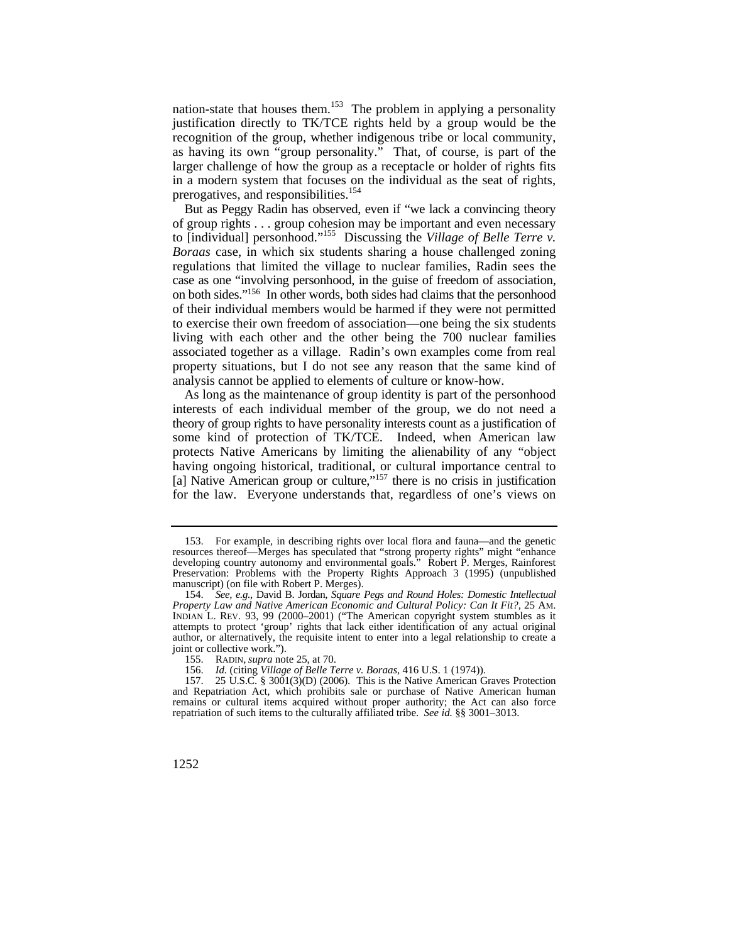nation-state that houses them.<sup>153</sup> The problem in applying a personality justification directly to TK/TCE rights held by a group would be the recognition of the group, whether indigenous tribe or local community, as having its own "group personality." That, of course, is part of the larger challenge of how the group as a receptacle or holder of rights fits in a modern system that focuses on the individual as the seat of rights, prerogatives, and responsibilities.<sup>154</sup>

But as Peggy Radin has observed, even if "we lack a convincing theory of group rights . . . group cohesion may be important and even necessary to [individual] personhood."155 Discussing the *Village of Belle Terre v. Boraas* case, in which six students sharing a house challenged zoning regulations that limited the village to nuclear families, Radin sees the case as one "involving personhood, in the guise of freedom of association, on both sides."156 In other words, both sides had claims that the personhood of their individual members would be harmed if they were not permitted to exercise their own freedom of association—one being the six students living with each other and the other being the 700 nuclear families associated together as a village. Radin's own examples come from real property situations, but I do not see any reason that the same kind of analysis cannot be applied to elements of culture or know-how.

As long as the maintenance of group identity is part of the personhood interests of each individual member of the group, we do not need a theory of group rights to have personality interests count as a justification of some kind of protection of TK/TCE. Indeed, when American law protects Native Americans by limiting the alienability of any "object having ongoing historical, traditional, or cultural importance central to [a] Native American group or culture,"<sup>157</sup> there is no crisis in justification for the law. Everyone understands that, regardless of one's views on

 manuscript) (on file with Robert P. Merges). 153. For example, in describing rights over local flora and fauna—and the genetic resources thereof—Merges has speculated that "strong property rights" might "enhance developing country autonomy and environmental goals." Robert P. Merges, Rainforest Preservation: Problems with the Property Rights Approach 3 (1995) (unpublished

<sup>154.</sup> *See, e.g.*, David B. Jordan, *Square Pegs and Round Holes: Domestic Intellectual Property Law and Native American Economic and Cultural Policy: Can It Fit?*, 25 AM. INDIAN L. REV. 93, 99 (2000–2001) ("The American copyright system stumbles as it attempts to protect 'group' rights that lack either identification of any actual original author, or alternatively, the requisite intent to enter into a legal relationship to create a joint or collective work.").<br>155. RADIN, *supra* not

RADIN, *supra* note 25, at 70.

<sup>156.</sup> *Id.* (citing *Village of Belle Terre v. Boraas*, 416 U.S. 1 (1974)).

 157. 25 U.S.C. § 3001(3)(D) (2006). This is the Native American Graves Protection repatriation of such items to the culturally affiliated tribe. *See id.* §§ 3001–3013. and Repatriation Act, which prohibits sale or purchase of Native American human remains or cultural items acquired without proper authority; the Act can also force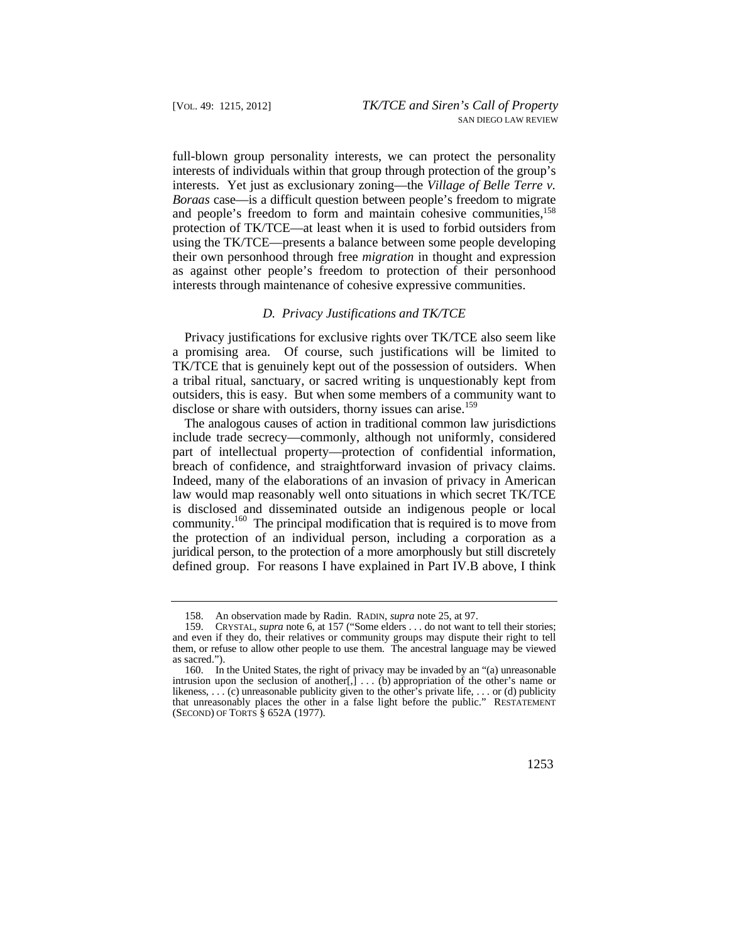*Boraas* case—is a difficult question between people's freedom to migrate full-blown group personality interests, we can protect the personality interests of individuals within that group through protection of the group's interests. Yet just as exclusionary zoning—the *Village of Belle Terre v.*  and people's freedom to form and maintain cohesive communities,<sup>158</sup> protection of TK/TCE—at least when it is used to forbid outsiders from using the TK/TCE—presents a balance between some people developing their own personhood through free *migration* in thought and expression as against other people's freedom to protection of their personhood interests through maintenance of cohesive expressive communities.

#### *D. Privacy Justifications and TK/TCE*

 TK/TCE that is genuinely kept out of the possession of outsiders. When Privacy justifications for exclusive rights over TK/TCE also seem like a promising area. Of course, such justifications will be limited to a tribal ritual, sanctuary, or sacred writing is unquestionably kept from outsiders, this is easy. But when some members of a community want to disclose or share with outsiders, thorny issues can arise.<sup>159</sup>

The analogous causes of action in traditional common law jurisdictions include trade secrecy—commonly, although not uniformly, considered part of intellectual property—protection of confidential information, breach of confidence, and straightforward invasion of privacy claims. Indeed, many of the elaborations of an invasion of privacy in American law would map reasonably well onto situations in which secret TK/TCE is disclosed and disseminated outside an indigenous people or local community.<sup>160</sup> The principal modification that is required is to move from the protection of an individual person, including a corporation as a juridical person, to the protection of a more amorphously but still discretely defined group. For reasons I have explained in Part IV.B above, I think

<sup>158.</sup> An observation made by Radin. RADIN, *supra* note 25, at 97.

 <sup>159.</sup> CRYSTAL, *supra* note 6, at 157 ("Some elders . . . do not want to tell their stories; and even if they do, their relatives or community groups may dispute their right to tell them, or refuse to allow other people to use them. The ancestral language may be viewed as sacred.").

in a false light before the public." 160. In the United States, the right of privacy may be invaded by an "(a) unreasonable intrusion upon the seclusion of another[,] . . . (b) appropriation of the other's name or likeness, . . . (c) unreasonable publicity given to the other's private life, . . . or (d) publicity that unreasonably places the other in a false light before the public." RESTATEMENT (SECOND) OF TORTS § 652A (1977).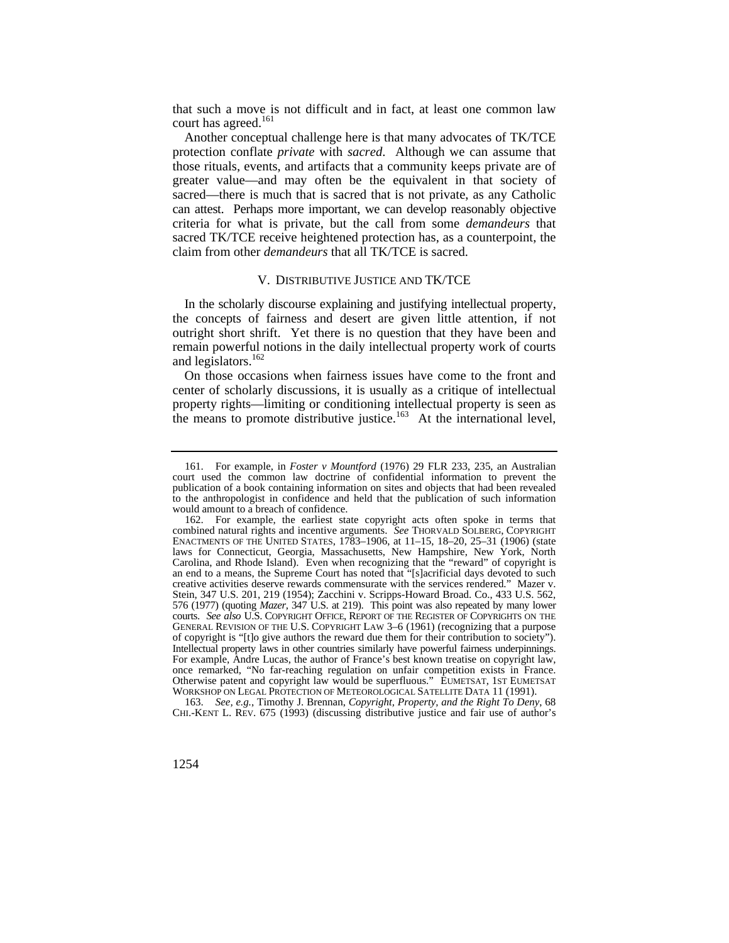that such a move is not difficult and in fact, at least one common law court has agreed.<sup>161</sup>

 greater value—and may often be the equivalent in that society of Another conceptual challenge here is that many advocates of TK/TCE protection conflate *private* with *sacred*. Although we can assume that those rituals, events, and artifacts that a community keeps private are of sacred—there is much that is sacred that is not private, as any Catholic can attest. Perhaps more important, we can develop reasonably objective criteria for what is private, but the call from some *demandeurs* that sacred TK/TCE receive heightened protection has, as a counterpoint, the claim from other *demandeurs* that all TK/TCE is sacred.

## V. DISTRIBUTIVE JUSTICE AND TK/TCE

In the scholarly discourse explaining and justifying intellectual property, the concepts of fairness and desert are given little attention, if not outright short shrift. Yet there is no question that they have been and remain powerful notions in the daily intellectual property work of courts and legislators.<sup>162</sup>

On those occasions when fairness issues have come to the front and center of scholarly discussions, it is usually as a critique of intellectual property rights—limiting or conditioning intellectual property is seen as the means to promote distributive justice.<sup>163</sup> At the international level,

 CHI.-KENT L. REV. 675 (1993) (discussing distributive justice and fair use of author's 163. *See, e.g.*, Timothy J. Brennan, *Copyright, Property, and the Right To Deny*, 68

<sup>161.</sup> For example, in *Foster v Mountford* (1976) 29 FLR 233, 235, an Australian court used the common law doctrine of confidential information to prevent the publication of a book containing information on sites and objects that had been revealed to the anthropologist in confidence and held that the publication of such information would amount to a breach of confidence.

 combined natural rights and incentive arguments. *See* THORVALD SOLBERG, COPYRIGHT 576 (1977) (quoting *Mazer*, 347 U.S. at 219). This point was also repeated by many lower courts. *See also* U.S. COPYRIGHT OFFICE, REPORT OF THE REGISTER OF COPYRIGHTS ON THE 162. For example, the earliest state copyright acts often spoke in terms that ENACTMENTS OF THE UNITED STATES, 1783–1906, at 11–15, 18–20, 25–31 (1906) (state laws for Connecticut, Georgia, Massachusetts, New Hampshire, New York, North Carolina, and Rhode Island). Even when recognizing that the "reward" of copyright is an end to a means, the Supreme Court has noted that "[s]acrificial days devoted to such creative activities deserve rewards commensurate with the services rendered." Mazer v. Stein, 347 U.S. 201, 219 (1954); Zacchini v. Scripps-Howard Broad. Co., 433 U.S. 562, GENERAL REVISION OF THE U.S. COPYRIGHT LAW 3–6 (1961) (recognizing that a purpose of copyright is "[t]o give authors the reward due them for their contribution to society"). Intellectual property laws in other countries similarly have powerful fairness underpinnings. For example, Andre Lucas, the author of France's best known treatise on copyright law, once remarked, "No far-reaching regulation on unfair competition exists in France. Otherwise patent and copyright law would be superfluous." EUMETSAT, 1ST EUMETSAT WORKSHOP ON LEGAL PROTECTION OF METEOROLOGICAL SATELLITE DATA 11 (1991).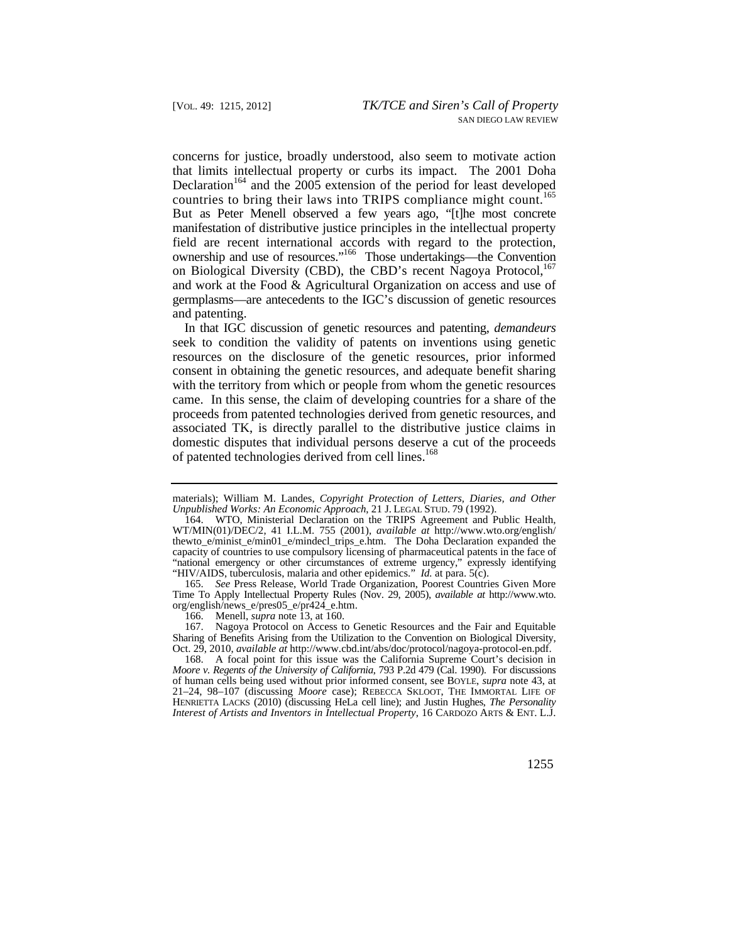countries to bring their laws into TRIPS compliance might count.<sup>165</sup> concerns for justice, broadly understood, also seem to motivate action that limits intellectual property or curbs its impact. The 2001 Doha Declaration<sup>164</sup> and the  $2005$  extension of the period for least developed But as Peter Menell observed a few years ago, "[t]he most concrete manifestation of distributive justice principles in the intellectual property field are recent international accords with regard to the protection, ownership and use of resources."166 Those undertakings—the Convention on Biological Diversity (CBD), the CBD's recent Nagoya Protocol,<sup>167</sup> and work at the Food & Agricultural Organization on access and use of germplasms—are antecedents to the IGC's discussion of genetic resources and patenting.

In that IGC discussion of genetic resources and patenting, *demandeurs*  seek to condition the validity of patents on inventions using genetic resources on the disclosure of the genetic resources, prior informed consent in obtaining the genetic resources, and adequate benefit sharing with the territory from which or people from whom the genetic resources came. In this sense, the claim of developing countries for a share of the proceeds from patented technologies derived from genetic resources, and associated TK, is directly parallel to the distributive justice claims in domestic disputes that individual persons deserve a cut of the proceeds of patented technologies derived from cell lines.<sup>168</sup>

165. *See* Press Release, World Trade Organization, Poorest Countries Given More Time To Apply Intellectual Property Rules (Nov. 29, 2005), *available at* [http://www.wto.](http://www.wto) org/english/news\_e/pres05\_e/pr424\_e.htm.

167. Nagoya Protocol on Access to Genetic Resources and the Fair and Equitable Sharing of Benefits Arising from the Utilization to the Convention on Biological Diversity, Oct. 29, 2010, *available at* <http://www.cbd.int/abs/doc/protocol/nagoya-protocol-en.pdf>.

 *Interest of Artists and Inventors in Intellectual Property*, 16 CARDOZO ARTS & ENT. L.J. 168. A focal point for this issue was the California Supreme Court's decision in *Moore v. Regents of the University of California*, 793 P.2d 479 (Cal. 1990). For discussions of human cells being used without prior informed consent, see BOYLE, *supra* note 43, at 21–24, 98–107 (discussing *Moore* case); REBECCA SKLOOT, THE IMMORTAL LIFE OF HENRIETTA LACKS (2010) (discussing HeLa cell line); and Justin Hughes, *The Personality* 

materials); William M. Landes, *Copyright Protection of Letters, Diaries, and Other Unpublished Works: An Economic Approach*, 21 J. LEGAL STUD. 79 (1992).

 capacity of countries to use compulsory licensing of pharmaceutical patents in the face of "HIV/AIDS, tuberculosis, malaria and other epidemics." *Id.* at para. 5(c). 164. WTO, Ministerial Declaration on the TRIPS Agreement and Public Health, WT/MIN(01)/DEC/2, 41 I.L.M. 755 (2001), *available at* [http://www.wto.org/english/](http://www.wto.org/english) thewto\_e/minist\_e/min01\_e/mindecl\_trips\_e.htm. The Doha Declaration expanded the "national emergency or other circumstances of extreme urgency," expressly identifying

<sup>166.</sup> Menell, *supra* note 13, at 160.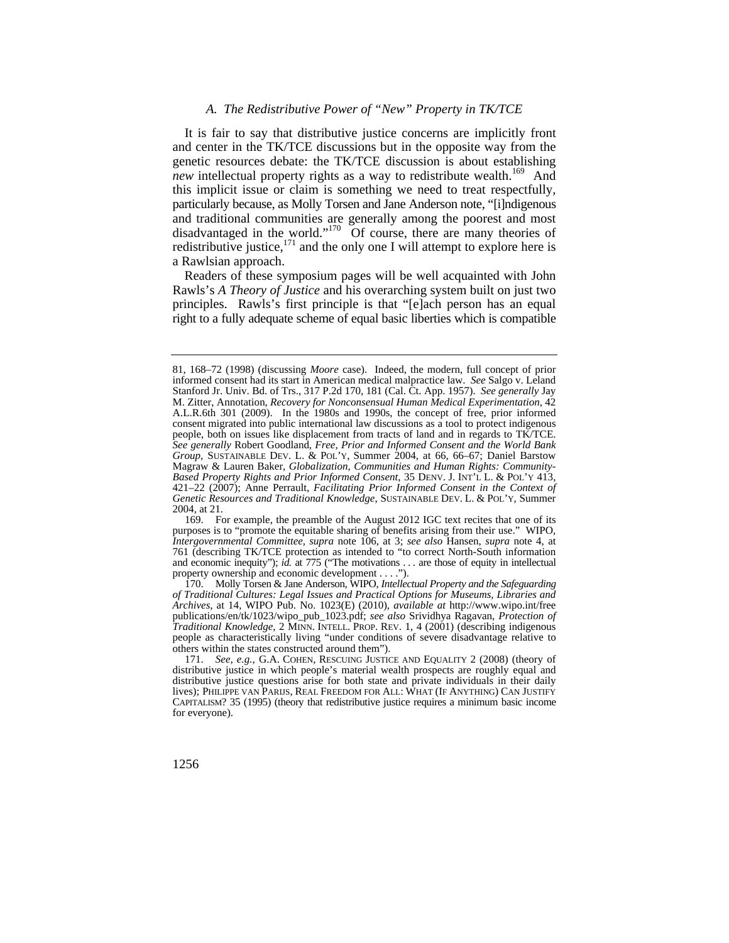#### *A. The Redistributive Power of "New" Property in TK/TCE*

It is fair to say that distributive justice concerns are implicitly front and center in the TK/TCE discussions but in the opposite way from the genetic resources debate: the TK/TCE discussion is about establishing *new* intellectual property rights as a way to redistribute wealth.<sup>169</sup> And this implicit issue or claim is something we need to treat respectfully, particularly because, as Molly Torsen and Jane Anderson note, "[i]ndigenous and traditional communities are generally among the poorest and most disadvantaged in the world."<sup>170</sup> Of course, there are many theories of redistributive justice,  $171$  and the only one I will attempt to explore here is a Rawlsian approach.

Readers of these symposium pages will be well acquainted with John Rawls's *A Theory of Justice* and his overarching system built on just two principles. Rawls's first principle is that "[e]ach person has an equal right to a fully adequate scheme of equal basic liberties which is compatible

 and economic inequity"); *id.* at 775 ("The motivations . . . are those of equity in intellectual 169. For example, the preamble of the August 2012 IGC text recites that one of its purposes is to "promote the equitable sharing of benefits arising from their use." WIPO, *Intergovernmental Committee*, *supra* note 106, at 3; *see also* Hansen, *supra* note 4, at 761 (describing TK/TCE protection as intended to "to correct North-South information property ownership and economic development . . . .").

 *Traditional Knowledge*, 2 MINN. INTELL. PROP. REV. 1, 4 (2001) (describing indigenous 170. Molly Torsen & Jane Anderson, WIPO, *Intellectual Property and the Safeguarding of Traditional Cultures: Legal Issues and Practical Options for Museums, Libraries and Archives*, at 14, WIPO Pub. No. 1023(E) (2010), *available at* <http://www.wipo.int/free> publications/en/tk/1023/wipo\_pub\_1023.pdf; *see also* Srividhya Ragavan, *Protection of*  people as characteristically living "under conditions of severe disadvantage relative to others within the states constructed around them").

 people, both on issues like displacement from tracts of land and in regards to TK/TCE. *Group*, SUSTAINABLE DEV. L. & POL'Y, Summer 2004, at 66, 66–67; Daniel Barstow *Based Property Rights and Prior Informed Consent*, 35 DENV. J. INT'L L. & POL'Y 413, *Genetic Resources and Traditional Knowledge*, SUSTAINABLE DEV. L. & POL'Y, Summer 81, 168–72 (1998) (discussing *Moore* case). Indeed, the modern, full concept of prior informed consent had its start in American medical malpractice law. *See* Salgo v. Leland Stanford Jr. Univ. Bd. of Trs., 317 P.2d 170, 181 (Cal. Ct. App. 1957). *See generally* Jay M. Zitter, Annotation, *Recovery for Nonconsensual Human Medical Experimentation*, 42 A.L.R.6th 301 (2009). In the 1980s and 1990s, the concept of free, prior informed consent migrated into public international law discussions as a tool to protect indigenous *See generally* Robert Goodland, *Free, Prior and Informed Consent and the World Bank*  Magraw & Lauren Baker, *Globalization, Communities and Human Rights: Community-*421–22 (2007); Anne Perrault, *Facilitating Prior Informed Consent in the Context of* 2004, at 21.

 171. *See, e.g.*, G.A. COHEN, RESCUING JUSTICE AND EQUALITY 2 (2008) (theory of distributive justice in which people's material wealth prospects are roughly equal and distributive justice questions arise for both state and private individuals in their daily lives); PHILIPPE VAN PARIJS, REAL FREEDOM FOR ALL: WHAT (IF ANYTHING) CAN JUSTIFY CAPITALISM? 35 (1995) (theory that redistributive justice requires a minimum basic income for everyone).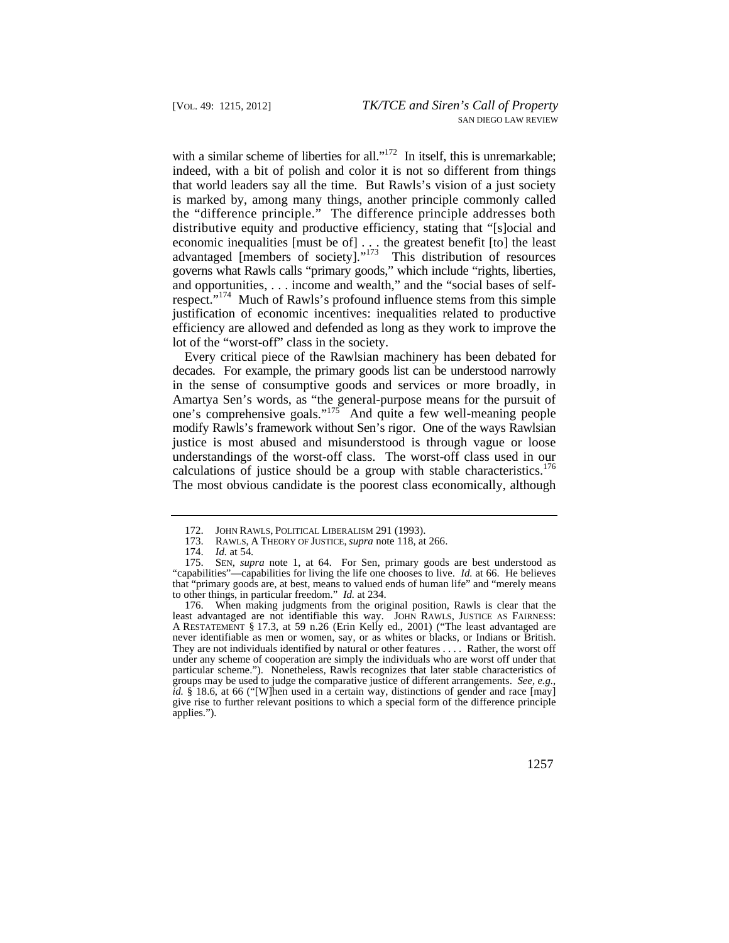with a similar scheme of liberties for all."<sup>172</sup> In itself, this is unremarkable; indeed, with a bit of polish and color it is not so different from things that world leaders say all the time. But Rawls's vision of a just society is marked by, among many things, another principle commonly called the "difference principle." The difference principle addresses both distributive equity and productive efficiency, stating that "[s]ocial and economic inequalities [must be of] . . . the greatest benefit [to] the least advantaged [members of society]."<sup>173</sup> This distribution of resources governs what Rawls calls "primary goods," which include "rights, liberties, and opportunities, . . . income and wealth," and the "social bases of selfrespect."<sup>174</sup> Much of Rawls's profound influence stems from this simple justification of economic incentives: inequalities related to productive efficiency are allowed and defended as long as they work to improve the lot of the "worst-off" class in the society.

calculations of justice should be a group with stable characteristics.<sup>176</sup> Every critical piece of the Rawlsian machinery has been debated for decades. For example, the primary goods list can be understood narrowly in the sense of consumptive goods and services or more broadly, in Amartya Sen's words, as "the general-purpose means for the pursuit of one's comprehensive goals."<sup>175</sup> And quite a few well-meaning people modify Rawls's framework without Sen's rigor. One of the ways Rawlsian justice is most abused and misunderstood is through vague or loose understandings of the worst-off class. The worst-off class used in our The most obvious candidate is the poorest class economically, although

 under any scheme of cooperation are simply the individuals who are worst off under that 176. When making judgments from the original position, Rawls is clear that the least advantaged are not identifiable this way. JOHN RAWLS, JUSTICE AS FAIRNESS: A RESTATEMENT § 17.3, at 59 n.26 (Erin Kelly ed., 2001) ("The least advantaged are never identifiable as men or women, say, or as whites or blacks, or Indians or British. They are not individuals identified by natural or other features . . . . Rather, the worst off particular scheme."). Nonetheless, Rawls recognizes that later stable characteristics of groups may be used to judge the comparative justice of different arrangements. *See, e.g.*, *id.* § 18.6, at 66 ("[W]hen used in a certain way, distinctions of gender and race [may] give rise to further relevant positions to which a special form of the difference principle applies.").

<sup>172.</sup> JOHN RAWLS, POLITICAL LIBERALISM 291 (1993).<br>173. RAWLS, A THEORY OF JUSTICE, *supra* note 118, at

 173. RAWLS, A THEORY OF JUSTICE, *supra* note 118, at 266.

<sup>174.</sup> *Id.* at 54.

 <sup>175.</sup> SEN, *supra* note 1, at 64. For Sen, primary goods are best understood as "capabilities"—capabilities for living the life one chooses to live. *Id.* at 66. He believes that "primary goods are, at best, means to valued ends of human life" and "merely means to other things, in particular freedom." *Id.* at 234.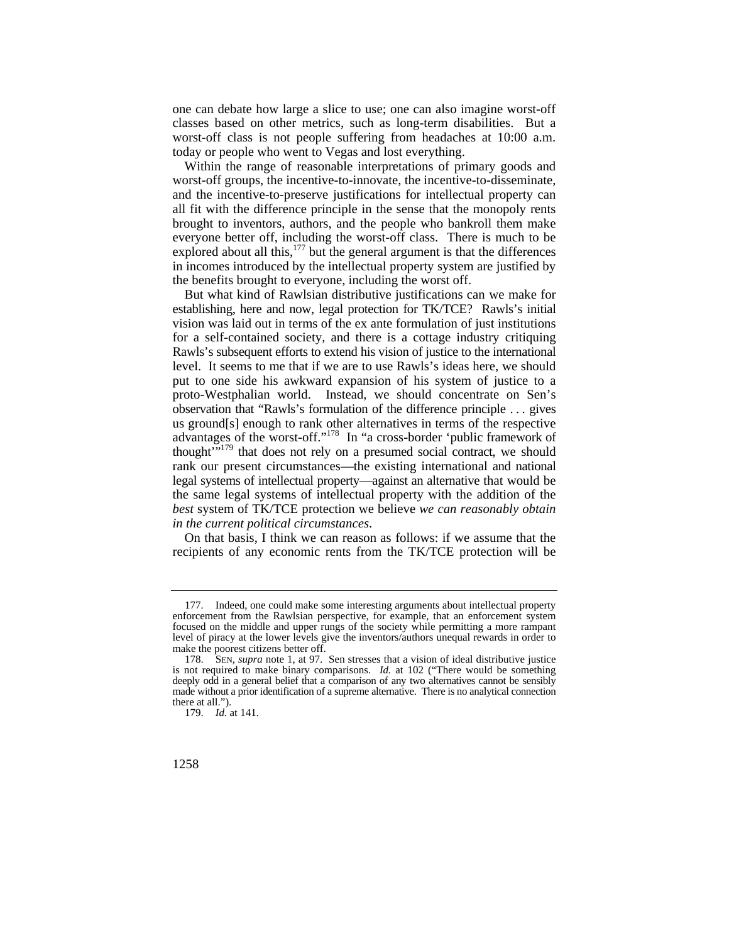one can debate how large a slice to use; one can also imagine worst-off classes based on other metrics, such as long-term disabilities. But a worst-off class is not people suffering from headaches at 10:00 a.m. today or people who went to Vegas and lost everything.

 brought to inventors, authors, and the people who bankroll them make Within the range of reasonable interpretations of primary goods and worst-off groups, the incentive-to-innovate, the incentive-to-disseminate, and the incentive-to-preserve justifications for intellectual property can all fit with the difference principle in the sense that the monopoly rents everyone better off, including the worst-off class. There is much to be explored about all this, $177$  but the general argument is that the differences in incomes introduced by the intellectual property system are justified by the benefits brought to everyone, including the worst off.

 observation that "Rawls's formulation of the difference principle . . . gives thought<sup>"179</sup> that does not rely on a presumed social contract, we should rank our present circumstances—the existing international and national legal systems of intellectual property—against an alternative that would be But what kind of Rawlsian distributive justifications can we make for establishing, here and now, legal protection for TK/TCE? Rawls's initial vision was laid out in terms of the ex ante formulation of just institutions for a self-contained society, and there is a cottage industry critiquing Rawls's subsequent efforts to extend his vision of justice to the international level. It seems to me that if we are to use Rawls's ideas here, we should put to one side his awkward expansion of his system of justice to a proto-Westphalian world. Instead, we should concentrate on Sen's us ground[s] enough to rank other alternatives in terms of the respective advantages of the worst-off."<sup>178</sup> In "a cross-border 'public framework of the same legal systems of intellectual property with the addition of the *best* system of TK/TCE protection we believe *we can reasonably obtain in the current political circumstances*.

On that basis, I think we can reason as follows: if we assume that the recipients of any economic rents from the TK/TCE protection will be

<sup>177.</sup> Indeed, one could make some interesting arguments about intellectual property enforcement from the Rawlsian perspective, for example, that an enforcement system focused on the middle and upper rungs of the society while permitting a more rampant level of piracy at the lower levels give the inventors/authors unequal rewards in order to make the poorest citizens better off.

 deeply odd in a general belief that a comparison of any two alternatives cannot be sensibly 178. SEN, *supra* note 1, at 97. Sen stresses that a vision of ideal distributive justice is not required to make binary comparisons. *Id.* at 102 ("There would be something made without a prior identification of a supreme alternative. There is no analytical connection there at all.").

<sup>179.</sup> *Id.* at 141.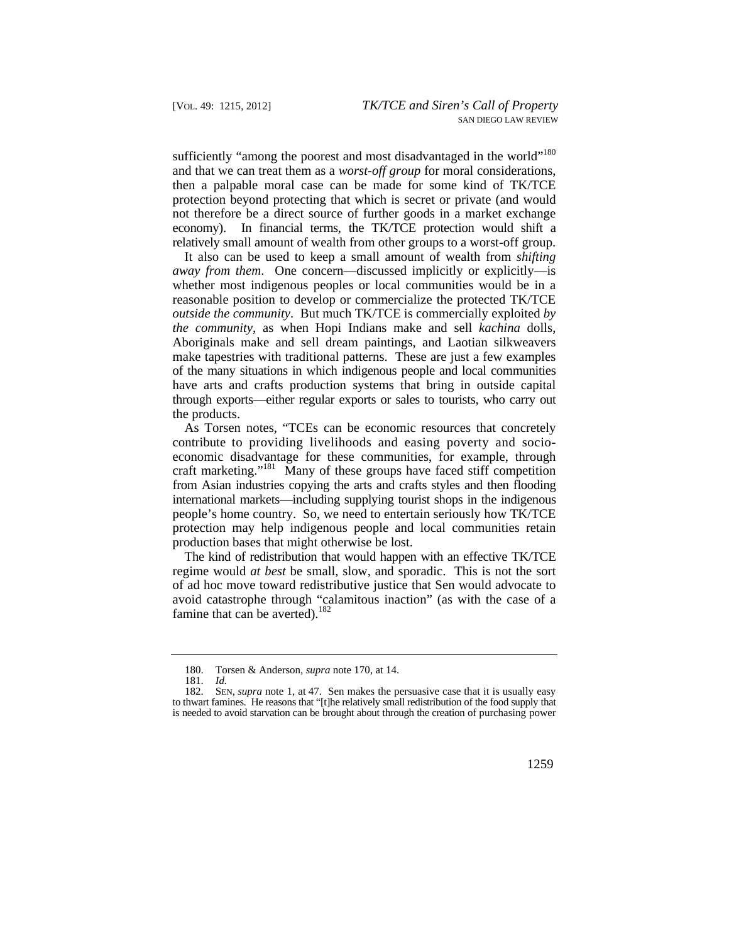sufficiently "among the poorest and most disadvantaged in the world"<sup>180</sup> and that we can treat them as a *worst-off group* for moral considerations, then a palpable moral case can be made for some kind of TK/TCE protection beyond protecting that which is secret or private (and would not therefore be a direct source of further goods in a market exchange economy). In financial terms, the TK/TCE protection would shift a relatively small amount of wealth from other groups to a worst-off group.

It also can be used to keep a small amount of wealth from *shifting away from them*. One concern—discussed implicitly or explicitly—is whether most indigenous peoples or local communities would be in a reasonable position to develop or commercialize the protected TK/TCE *outside the community*. But much TK/TCE is commercially exploited *by the community*, as when Hopi Indians make and sell *kachina* dolls, Aboriginals make and sell dream paintings, and Laotian silkweavers make tapestries with traditional patterns. These are just a few examples of the many situations in which indigenous people and local communities have arts and crafts production systems that bring in outside capital through exports—either regular exports or sales to tourists, who carry out the products.

As Torsen notes, "TCEs can be economic resources that concretely contribute to providing livelihoods and easing poverty and socioeconomic disadvantage for these communities, for example, through craft marketing."<sup>181</sup> Many of these groups have faced stiff competition from Asian industries copying the arts and crafts styles and then flooding international markets—including supplying tourist shops in the indigenous people's home country. So, we need to entertain seriously how TK/TCE protection may help indigenous people and local communities retain production bases that might otherwise be lost.

The kind of redistribution that would happen with an effective TK/TCE regime would *at best* be small, slow, and sporadic. This is not the sort of ad hoc move toward redistributive justice that Sen would advocate to avoid catastrophe through "calamitous inaction" (as with the case of a famine that can be averted).<sup>182</sup>

<sup>180.</sup> Torsen & Anderson, *supra* note 170, at 14.

<sup>181.</sup> *Id.*

 to thwart famines. He reasons that "[t]he relatively small redistribution of the food supply that is needed to avoid starvation can be brought about through the creation of purchasing power 182. SEN, *supra* note 1, at 47. Sen makes the persuasive case that it is usually easy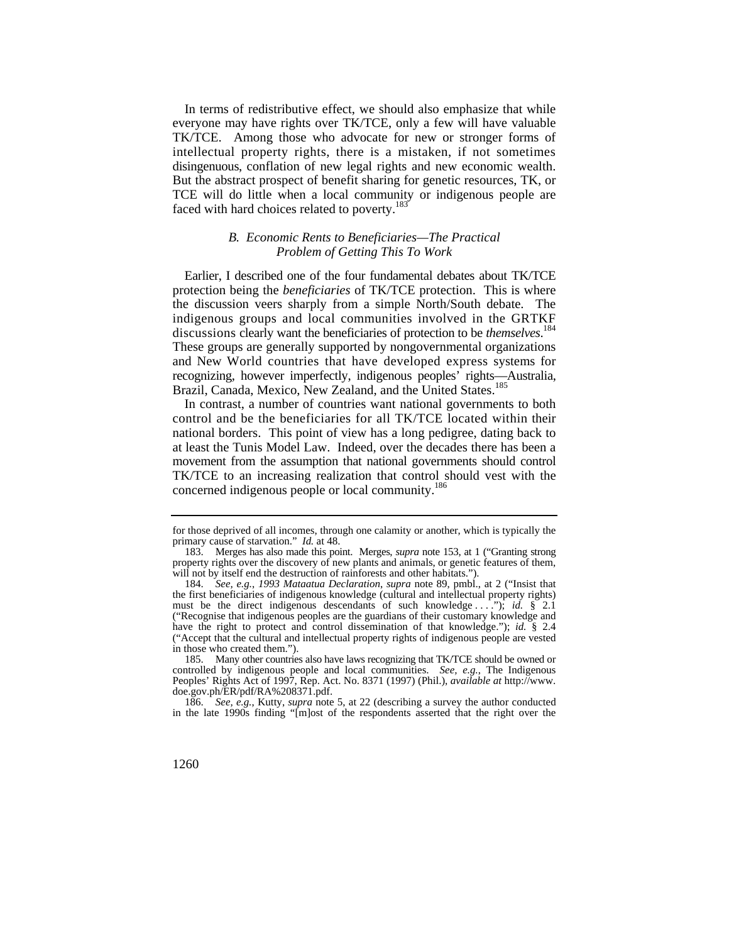In terms of redistributive effect, we should also emphasize that while everyone may have rights over TK/TCE, only a few will have valuable TK/TCE. Among those who advocate for new or stronger forms of intellectual property rights, there is a mistaken, if not sometimes disingenuous, conflation of new legal rights and new economic wealth. But the abstract prospect of benefit sharing for genetic resources, TK, or TCE will do little when a local community or indigenous people are faced with hard choices related to poverty.<sup>183</sup>

# *B. Economic Rents to Beneficiaries—The Practical Problem of Getting This To Work*

 and New World countries that have developed express systems for Earlier, I described one of the four fundamental debates about TK/TCE protection being the *beneficiaries* of TK/TCE protection. This is where the discussion veers sharply from a simple North/South debate. The indigenous groups and local communities involved in the GRTKF discussions clearly want the beneficiaries of protection to be *themselves*. 184 These groups are generally supported by nongovernmental organizations recognizing, however imperfectly, indigenous peoples' rights—Australia, Brazil, Canada, Mexico, New Zealand, and the United States.<sup>185</sup>

In contrast, a number of countries want national governments to both control and be the beneficiaries for all TK/TCE located within their national borders. This point of view has a long pedigree, dating back to at least the Tunis Model Law. Indeed, over the decades there has been a movement from the assumption that national governments should control TK/TCE to an increasing realization that control should vest with the concerned indigenous people or local community.<sup>186</sup>

for those deprived of all incomes, through one calamity or another, which is typically the primary cause of starvation." *Id.* at 48.

 183. Merges has also made this point. Merges, *supra* note 153, at 1 ("Granting strong property rights over the discovery of new plants and animals, or genetic features of them, will not by itself end the destruction of rainforests and other habitats.").

<sup>184.</sup> *See, e.g.*, *1993 Mataatua Declaration*, *supra* note 89, pmbl., at 2 ("Insist that the first beneficiaries of indigenous knowledge (cultural and intellectual property rights) must be the direct indigenous descendants of such knowledge . . . ."); *id.* § 2.1 ("Recognise that indigenous peoples are the guardians of their customary knowledge and have the right to protect and control dissemination of that knowledge."); *id.* § 2.4 ("Accept that the cultural and intellectual property rights of indigenous people are vested in those who created them.").

<sup>185.</sup> Many other countries also have laws recognizing that TK/TCE should be owned or controlled by indigenous people and local communities. *See, e.g.*, The Indigenous Peoples' Rights Act of 1997, Rep. Act. No. 8371 (1997) (Phil.), *available at* [http://www.](http://www) doe.gov.ph/ER/pdf/RA%208371.pdf.

<sup>186.</sup> *See, e.g.*, Kutty, *supra* note 5, at 22 (describing a survey the author conducted in the late 1990s finding "[m]ost of the respondents asserted that the right over the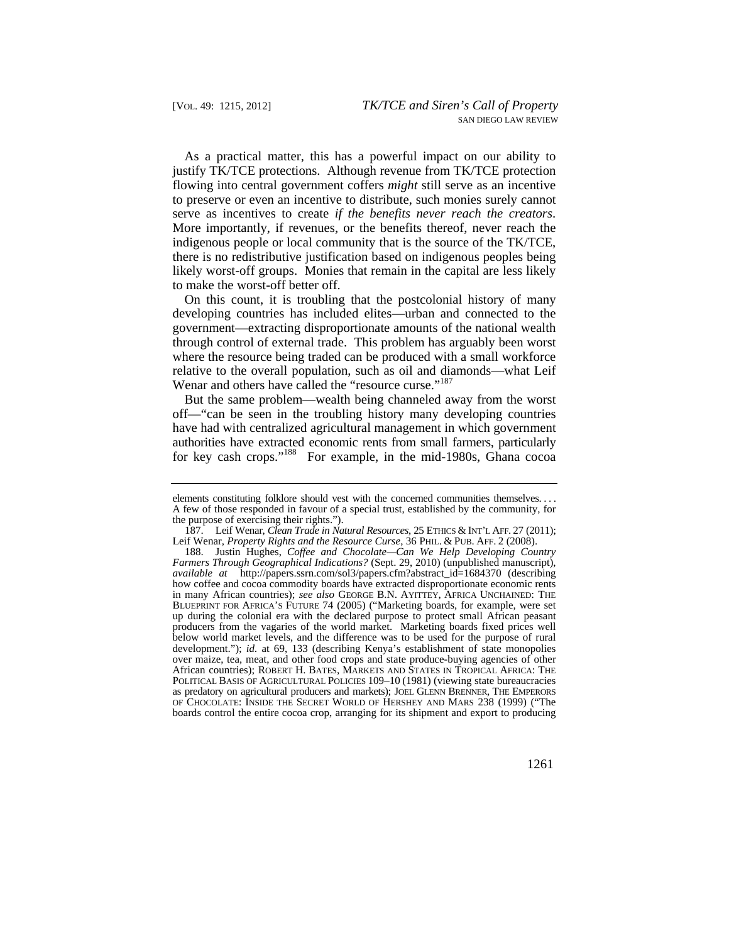As a practical matter, this has a powerful impact on our ability to justify TK/TCE protections. Although revenue from TK/TCE protection flowing into central government coffers *might* still serve as an incentive to preserve or even an incentive to distribute, such monies surely cannot serve as incentives to create *if the benefits never reach the creators*. More importantly, if revenues, or the benefits thereof, never reach the indigenous people or local community that is the source of the TK/TCE, there is no redistributive justification based on indigenous peoples being likely worst-off groups. Monies that remain in the capital are less likely to make the worst-off better off.

 On this count, it is troubling that the postcolonial history of many developing countries has included elites—urban and connected to the government—extracting disproportionate amounts of the national wealth through control of external trade. This problem has arguably been worst where the resource being traded can be produced with a small workforce relative to the overall population, such as oil and diamonds—what Leif Wenar and others have called the "resource curse."<sup>187</sup>

But the same problem—wealth being channeled away from the worst off—"can be seen in the troubling history many developing countries have had with centralized agricultural management in which government authorities have extracted economic rents from small farmers, particularly for key cash crops."<sup>188</sup> For example, in the mid-1980s, Ghana cocoa

 elements constituting folklore should vest with the concerned communities themselves. . . . A few of those responded in favour of a special trust, established by the community, for the purpose of exercising their rights.").

 187. Leif Wenar, *Clean Trade in Natural Resources*, 25 ETHICS & INT'L AFF. 27 (2011); Leif Wenar, *Property Rights and the Resource Curse*, 36 PHIL. & PUB. AFF. 2 (2008).

 in many African countries); *see also* GEORGE B.N. AYITTEY, AFRICA UNCHAINED: THE up during the colonial era with the declared purpose to protect small African peasant African countries); ROBERT H. BATES, MARKETS AND STATES IN TROPICAL AFRICA: THE 188. Justin Hughes, *Coffee and Chocolate—Can We Help Developing Country Farmers Through Geographical Indications?* (Sept. 29, 2010) (unpublished manuscript), *available at* [http://papers.ssrn.com/sol3/papers.cfm?abstract\\_id=1684370](http://papers.ssrn.com/sol3/papers.cfm?abstract_id=1684370) (describing how coffee and cocoa commodity boards have extracted disproportionate economic rents BLUEPRINT FOR AFRICA'S FUTURE 74 (2005) ("Marketing boards, for example, were set producers from the vagaries of the world market. Marketing boards fixed prices well below world market levels, and the difference was to be used for the purpose of rural development."); *id.* at 69, 133 (describing Kenya's establishment of state monopolies over maize, tea, meat, and other food crops and state produce-buying agencies of other POLITICAL BASIS OF AGRICULTURAL POLICIES 109–10 (1981) (viewing state bureaucracies as predatory on agricultural producers and markets); JOEL GLENN BRENNER, THE EMPERORS OF CHOCOLATE: INSIDE THE SECRET WORLD OF HERSHEY AND MARS 238 (1999) ("The boards control the entire cocoa crop, arranging for its shipment and export to producing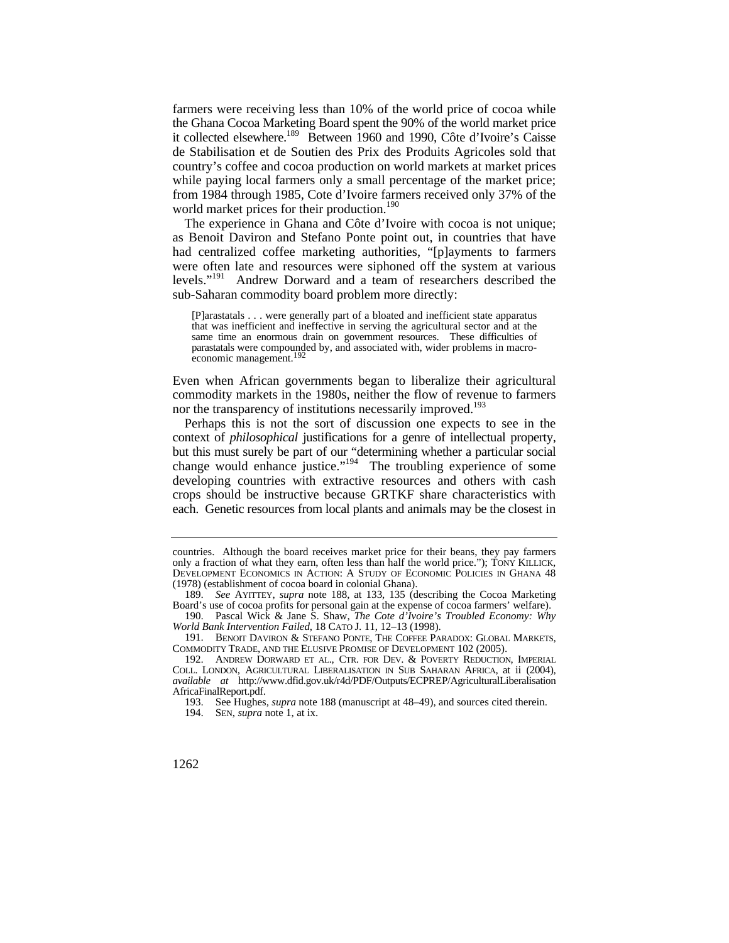farmers were receiving less than 10% of the world price of cocoa while the Ghana Cocoa Marketing Board spent the 90% of the world market price it collected elsewhere.<sup>189</sup> Between 1960 and 1990, Côte d'Ivoire's Caisse de Stabilisation et de Soutien des Prix des Produits Agricoles sold that country's coffee and cocoa production on world markets at market prices while paying local farmers only a small percentage of the market price; from 1984 through 1985, Cote d'Ivoire farmers received only 37% of the world market prices for their production.<sup>190</sup>

The experience in Ghana and Côte d'Ivoire with cocoa is not unique; as Benoit Daviron and Stefano Ponte point out, in countries that have had centralized coffee marketing authorities, "[p]ayments to farmers were often late and resources were siphoned off the system at various levels."191 Andrew Dorward and a team of researchers described the sub-Saharan commodity board problem more directly:

[P]arastatals . . . were generally part of a bloated and inefficient state apparatus that was inefficient and ineffective in serving the agricultural sector and at the same time an enormous drain on government resources. These difficulties of parastatals were compounded by, and associated with, wider problems in macroeconomic management.<sup>19</sup>

Even when African governments began to liberalize their agricultural commodity markets in the 1980s, neither the flow of revenue to farmers nor the transparency of institutions necessarily improved.<sup>193</sup>

Perhaps this is not the sort of discussion one expects to see in the context of *philosophical* justifications for a genre of intellectual property, but this must surely be part of our "determining whether a particular social change would enhance justice."<sup>194</sup> The troubling experience of some developing countries with extractive resources and others with cash crops should be instructive because GRTKF share characteristics with each. Genetic resources from local plants and animals may be the closest in

 DEVELOPMENT ECONOMICS IN ACTION: A STUDY OF ECONOMIC POLICIES IN GHANA 48 countries. Although the board receives market price for their beans, they pay farmers only a fraction of what they earn, often less than half the world price."); TONY KILLICK, (1978) (establishment of cocoa board in colonial Ghana).

<sup>189.</sup> *See* AYITTEY, *supra* note 188, at 133, 135 (describing the Cocoa Marketing Board's use of cocoa profits for personal gain at the expense of cocoa farmers' welfare).

<sup>190.</sup> Pascal Wick & Jane S. Shaw, *The Cote d'Ivoire's Troubled Economy: Why World Bank Intervention Failed*, 18 CATO J. 11, 12–13 (1998).

<sup>191.</sup> BENOIT DAVIRON & STEFANO PONTE, THE COFFEE PARADOX: GLOBAL MARKETS, COMMODITY TRADE, AND THE ELUSIVE PROMISE OF DEVELOPMENT 102 (2005).

 192. ANDREW DORWARD ET AL., CTR. FOR DEV. & POVERTY REDUCTION, IMPERIAL COLL. LONDON, AGRICULTURAL LIBERALISATION IN SUB SAHARAN AFRICA, at ii (2004), *available at* <http://www.dfid.gov.uk/r4d/PDF/Outputs/ECPREP/AgriculturalLiberalisation> AfricaFinalReport.pdf.

 <sup>193.</sup> See Hughes, *supra* note 188 (manuscript at 48–49), and sources cited therein.

 <sup>194.</sup> SEN, *supra* note 1, at ix.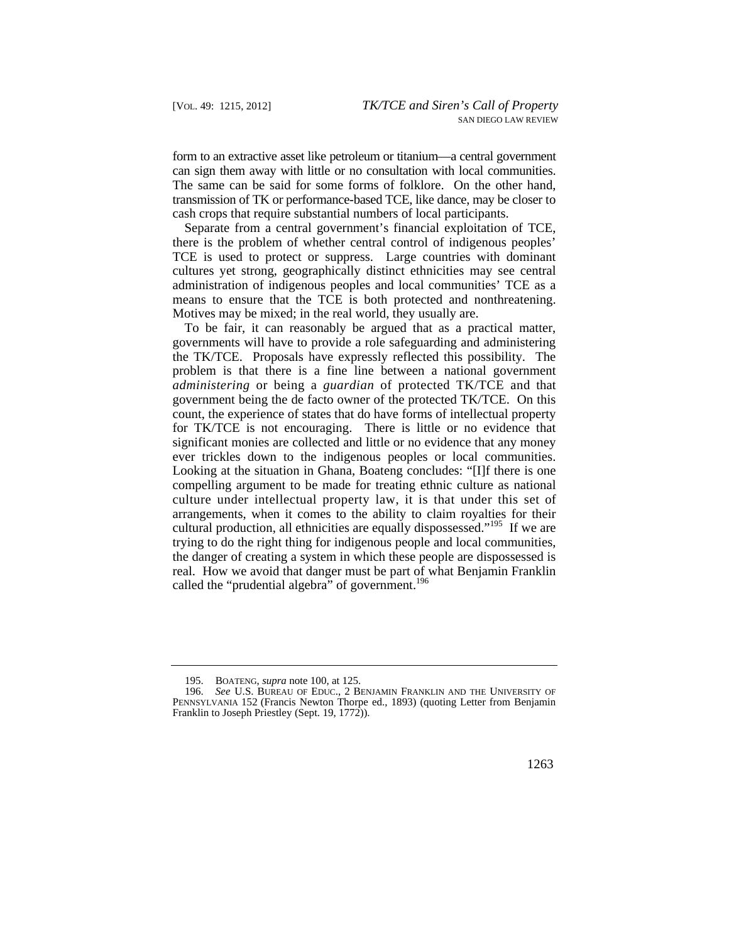form to an extractive asset like petroleum or titanium—a central government can sign them away with little or no consultation with local communities. The same can be said for some forms of folklore. On the other hand, transmission of TK or performance-based TCE, like dance, may be closer to cash crops that require substantial numbers of local participants.

Separate from a central government's financial exploitation of TCE, there is the problem of whether central control of indigenous peoples' TCE is used to protect or suppress. Large countries with dominant cultures yet strong, geographically distinct ethnicities may see central administration of indigenous peoples and local communities' TCE as a means to ensure that the TCE is both protected and nonthreatening. Motives may be mixed; in the real world, they usually are.

 significant monies are collected and little or no evidence that any money To be fair, it can reasonably be argued that as a practical matter, governments will have to provide a role safeguarding and administering the TK/TCE. Proposals have expressly reflected this possibility. The problem is that there is a fine line between a national government *administering* or being a *guardian* of protected TK/TCE and that government being the de facto owner of the protected TK/TCE. On this count, the experience of states that do have forms of intellectual property for TK/TCE is not encouraging. There is little or no evidence that ever trickles down to the indigenous peoples or local communities. Looking at the situation in Ghana, Boateng concludes: "[I]f there is one compelling argument to be made for treating ethnic culture as national culture under intellectual property law, it is that under this set of arrangements, when it comes to the ability to claim royalties for their cultural production, all ethnicities are equally dispossessed."<sup>195</sup> If we are trying to do the right thing for indigenous people and local communities, the danger of creating a system in which these people are dispossessed is real. How we avoid that danger must be part of what Benjamin Franklin called the "prudential algebra" of government.<sup>196</sup>

 <sup>195.</sup> BOATENG, *supra* note 100, at 125.

<sup>196.</sup> *See* U.S. BUREAU OF EDUC., 2 BENJAMIN FRANKLIN AND THE UNIVERSITY OF PENNSYLVANIA 152 (Francis Newton Thorpe ed., 1893) (quoting Letter from Benjamin Franklin to Joseph Priestley (Sept. 19, 1772)).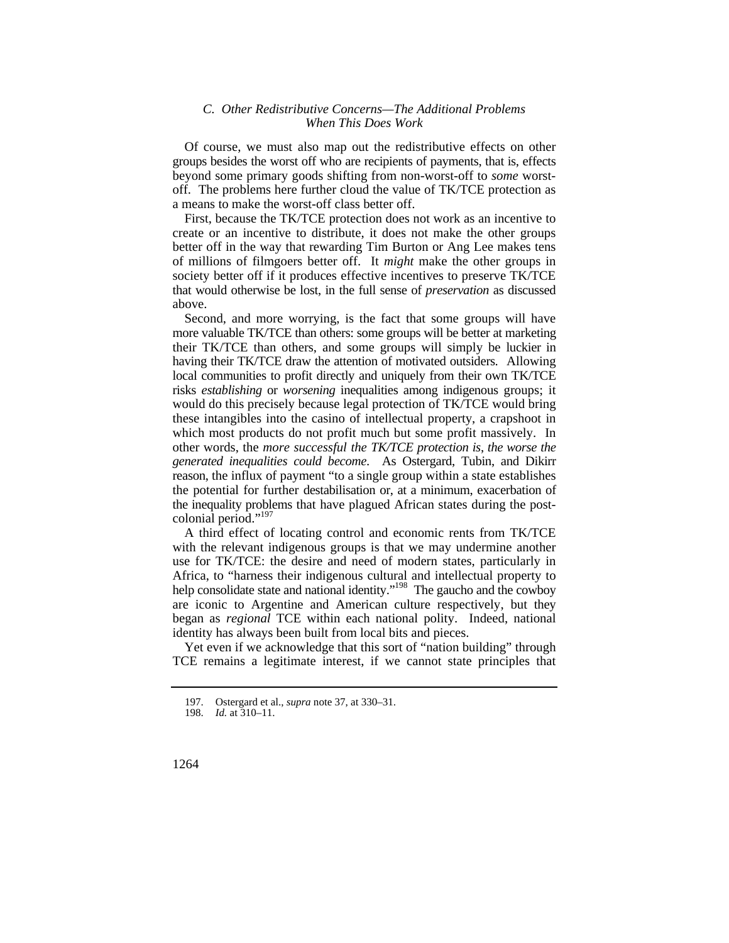## *C. Other Redistributive Concerns—The Additional Problems When This Does Work*

Of course, we must also map out the redistributive effects on other groups besides the worst off who are recipients of payments, that is, effects beyond some primary goods shifting from non-worst-off to *some* worstoff. The problems here further cloud the value of TK/TCE protection as a means to make the worst-off class better off.

First, because the TK/TCE protection does not work as an incentive to create or an incentive to distribute, it does not make the other groups better off in the way that rewarding Tim Burton or Ang Lee makes tens of millions of filmgoers better off. It *might* make the other groups in society better off if it produces effective incentives to preserve TK/TCE that would otherwise be lost, in the full sense of *preservation* as discussed above.

 their TK/TCE than others, and some groups will simply be luckier in having their TK/TCE draw the attention of motivated outsiders. Allowing local communities to profit directly and uniquely from their own TK/TCE  other words, the *more successful the TK/TCE protection is*, *the worse the*  the potential for further destabilisation or, at a minimum, exacerbation of the inequality problems that have plagued African states during the post-Second, and more worrying, is the fact that some groups will have more valuable TK/TCE than others: some groups will be better at marketing risks *establishing* or *worsening* inequalities among indigenous groups; it would do this precisely because legal protection of TK/TCE would bring these intangibles into the casino of intellectual property, a crapshoot in which most products do not profit much but some profit massively. In *generated inequalities could become*. As Ostergard, Tubin, and Dikirr reason, the influx of payment "to a single group within a state establishes colonial period."<sup>197</sup>

A third effect of locating control and economic rents from TK/TCE with the relevant indigenous groups is that we may undermine another use for TK/TCE: the desire and need of modern states, particularly in Africa, to "harness their indigenous cultural and intellectual property to help consolidate state and national identity."<sup>198</sup> The gaucho and the cowboy are iconic to Argentine and American culture respectively, but they began as *regional* TCE within each national polity. Indeed, national identity has always been built from local bits and pieces.

Yet even if we acknowledge that this sort of "nation building" through TCE remains a legitimate interest, if we cannot state principles that

<sup>197.</sup> Ostergard et al., *supra* note 37, at 330–31.

*Id.* at  $310-11$ .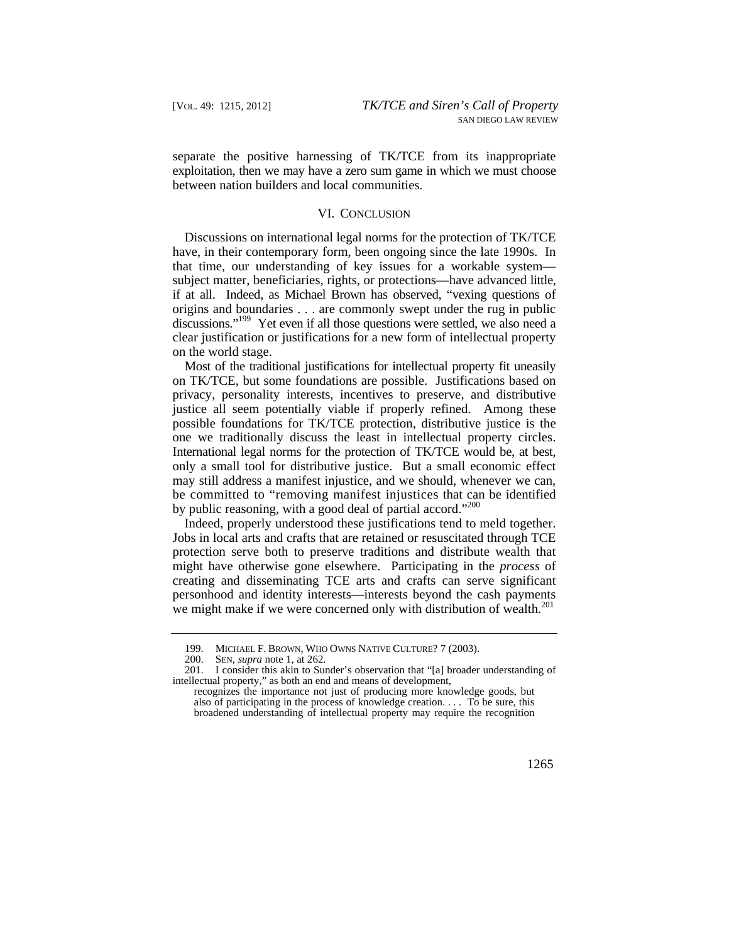separate the positive harnessing of TK/TCE from its inappropriate exploitation, then we may have a zero sum game in which we must choose between nation builders and local communities.

#### VI. CONCLUSION

 if at all. Indeed, as Michael Brown has observed, "vexing questions of discussions."<sup>199</sup> Yet even if all those questions were settled, we also need a Discussions on international legal norms for the protection of TK/TCE have, in their contemporary form, been ongoing since the late 1990s. In that time, our understanding of key issues for a workable system subject matter, beneficiaries, rights, or protections—have advanced little, origins and boundaries . . . are commonly swept under the rug in public clear justification or justifications for a new form of intellectual property on the world stage.

 Most of the traditional justifications for intellectual property fit uneasily be committed to "removing manifest injustices that can be identified on TK/TCE, but some foundations are possible. Justifications based on privacy, personality interests, incentives to preserve, and distributive justice all seem potentially viable if properly refined. Among these possible foundations for TK/TCE protection, distributive justice is the one we traditionally discuss the least in intellectual property circles. International legal norms for the protection of TK/TCE would be, at best, only a small tool for distributive justice. But a small economic effect may still address a manifest injustice, and we should, whenever we can, by public reasoning, with a good deal of partial accord."<sup>200</sup>

Indeed, properly understood these justifications tend to meld together. Jobs in local arts and crafts that are retained or resuscitated through TCE protection serve both to preserve traditions and distribute wealth that might have otherwise gone elsewhere. Participating in the *process* of creating and disseminating TCE arts and crafts can serve significant personhood and identity interests—interests beyond the cash payments we might make if we were concerned only with distribution of wealth.<sup>201</sup>

 199. MICHAEL F. BROWN, WHO OWNS NATIVE CULTURE? 7 (2003).

 <sup>200.</sup> SEN, *supra* note 1, at 262.

<sup>201.</sup> I consider this akin to Sunder's observation that "[a] broader understanding of intellectual property," as both an end and means of development,

recognizes the importance not just of producing more knowledge goods, but also of participating in the process of knowledge creation. . . . To be sure, this broadened understanding of intellectual property may require the recognition